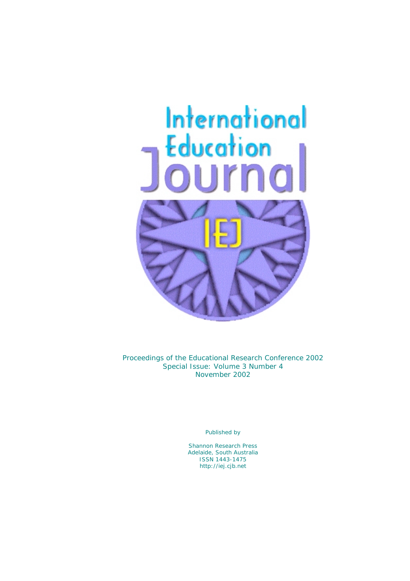# International Education



*Proceedings of the Educational Research Conference 2002*  Special Issue: Volume 3 Number 4 November 2002

Published by

Shannon Research Press Adelaide, South Australia ISSN 1443-1475 http://iej.cjb.net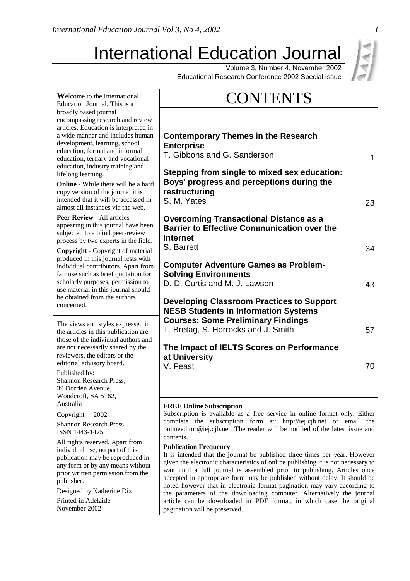Education Journal. This is a

# International Education Journal

Volume 3, Number 4, November 2002

Educational Research Conference 2002 Special Issue

# **Welcome to the International CONTENTS**

| broadly based journal<br>encompassing research and review<br>articles. Education is interpreted in<br>a wide manner and includes human<br>development, learning, school<br>education, formal and informal<br>education, tertiary and vocational<br>education, industry training and<br>lifelong learning.<br><b>Online</b> - While there will be a hard<br>copy version of the journal it is<br>intended that it will be accessed in<br>almost all instances via the web. | <b>Contemporary Themes in the Research</b><br><b>Enterprise</b><br>T. Gibbons and G. Sanderson<br>1<br>Stepping from single to mixed sex education:<br>Boys' progress and perceptions during the<br>restructuring<br>S. M. Yates<br>23                                                                                                                                                                                                                                                                                                                                                                                             |  |  |  |  |
|---------------------------------------------------------------------------------------------------------------------------------------------------------------------------------------------------------------------------------------------------------------------------------------------------------------------------------------------------------------------------------------------------------------------------------------------------------------------------|------------------------------------------------------------------------------------------------------------------------------------------------------------------------------------------------------------------------------------------------------------------------------------------------------------------------------------------------------------------------------------------------------------------------------------------------------------------------------------------------------------------------------------------------------------------------------------------------------------------------------------|--|--|--|--|
| <b>Peer Review - All articles</b><br>appearing in this journal have been<br>subjected to a blind peer-review<br>process by two experts in the field.<br>Copyright - Copyright of material                                                                                                                                                                                                                                                                                 | <b>Overcoming Transactional Distance as a</b><br><b>Barrier to Effective Communication over the</b><br><b>Internet</b><br>S. Barrett<br>34                                                                                                                                                                                                                                                                                                                                                                                                                                                                                         |  |  |  |  |
| produced in this journal rests with<br>individual contributors. Apart from<br>fair use such as brief quotation for<br>scholarly purposes, permission to<br>use material in this journal should<br>be obtained from the authors<br>concerned.                                                                                                                                                                                                                              | <b>Computer Adventure Games as Problem-</b><br><b>Solving Environments</b><br>D. D. Curtis and M. J. Lawson<br>43<br><b>Developing Classroom Practices to Support</b>                                                                                                                                                                                                                                                                                                                                                                                                                                                              |  |  |  |  |
| The views and styles expressed in<br>the articles in this publication are<br>those of the individual authors and<br>are not necessarily shared by the<br>reviewers, the editors or the<br>editorial advisory board.                                                                                                                                                                                                                                                       | <b>NESB Students in Information Systems</b><br><b>Courses: Some Preliminary Findings</b><br>T. Bretag, S. Horrocks and J. Smith<br>57<br>The Impact of IELTS Scores on Performance<br>at University<br>70<br>V. Feast                                                                                                                                                                                                                                                                                                                                                                                                              |  |  |  |  |
| Published by:<br>Shannon Research Press,<br>39 Dorrien Avenue,<br>Woodcroft, SA 5162,                                                                                                                                                                                                                                                                                                                                                                                     |                                                                                                                                                                                                                                                                                                                                                                                                                                                                                                                                                                                                                                    |  |  |  |  |
| Australia<br>Copyright © 2002<br><b>Shannon Research Press</b><br>ISSN 1443-1475                                                                                                                                                                                                                                                                                                                                                                                          | <b>FREE Online Subscription</b><br>Subscription is available as a free service in online format only. Either<br>complete the subscription form at: http://iej.cjb.net or email the<br>onlineeditor@iej.cjb.net. The reader will be notified of the latest issue and                                                                                                                                                                                                                                                                                                                                                                |  |  |  |  |
| All rights reserved. Apart from<br>individual use, no part of this<br>publication may be reproduced in<br>any form or by any means without<br>prior written permission from the<br>publisher.<br>Designed by Katherine Dix<br>Printed in Adelaide<br>November 2002                                                                                                                                                                                                        | contents.<br><b>Publication Frequency</b><br>It is intended that the journal be published three times per year. However<br>given the electronic characteristics of online publishing it is not necessary to<br>wait until a full journal is assembled prior to publishing. Articles once<br>accepted in appropriate form may be published without delay. It should be<br>noted however that in electronic format pagination may vary according to<br>the parameters of the downloading computer. Alternatively the journal<br>article can be downloaded in PDF format, in which case the original<br>pagination will be preserved. |  |  |  |  |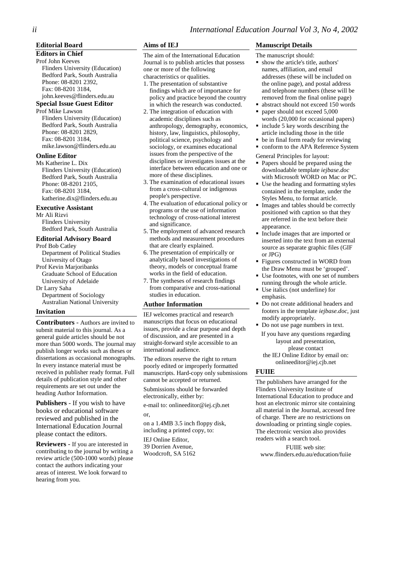# *ii International Education Journal Vol 3, No 4, 2002*

#### **Editorial Board**

#### **Editors in Chief**

Prof John Keeves Flinders University (Education) Bedford Park, South Australia Phone: 08-8201 2392, Fax: 08-8201 3184, john.keeves@flinders.edu.au

#### **Special Issue Guest Editor**

Prof Mike Lawson Flinders University (Education) Bedford Park, South Australia Phone: 08-8201 2829, Fax: 08-8201 3184, mike.lawson@flinders.edu.au

#### **Online Editor**

Ms Katherine L. Dix Flinders University (Education) Bedford Park, South Australia Phone: 08-8201 2105, Fax: 08-8201 3184, katherine.dix@flinders.edu.au

#### **Executive Assistant**

Mr Ali Rizvi Flinders University Bedford Park, South Australia

#### **Editorial Advisory Board**

Prof Bob Catley Department of Political Studies University of Otago Prof Kevin Marjoribanks Graduate School of Education University of Adelaide Dr Larry Saha Department of Sociology Australian National University

#### **Invitation**

**Contributors** - Authors are invited to submit material to this journal. As a general guide articles should be not more than 5000 words. The journal may publish longer works such as theses or dissertations as occasional monographs. In every instance material must be received in publisher ready format. Full details of publication style and other requirements are set out under the heading Author Information.

**Publishers** - If you wish to have books or educational software reviewed and published in the International Education Journal please contact the editors.

**Reviewers** - If you are interested in contributing to the journal by writing a review article (500-1000 words) please contact the authors indicating your areas of interest. We look forward to hearing from you.

#### **Aims of IEJ**

The aim of the International Education Journal is to publish articles that possess one or more of the following characteristics or qualities.

- 1. The presentation of substantive findings which are of importance for policy and practice beyond the country in which the research was conducted.
- 2. The integration of education with academic disciplines such as anthropology, demography, economics, history, law, linguistics, philosophy, political science, psychology and sociology, or examines educational issues from the perspective of the disciplines or investigates issues at the interface between education and one or more of these disciplines.
- 3. The examination of educational issues from a cross-cultural or indigenous people's perspective.
- 4. The evaluation of educational policy or programs or the use of information technology of cross-national interest and significance.
- 5. The employment of advanced research methods and measurement procedures that are clearly explained.
- 6. The presentation of empirically or analytically based investigations of theory, models or conceptual frame works in the field of education.
- 7. The syntheses of research findings from comparative and cross-national studies in education.

# **Author Information**

IEJ welcomes practical and research manuscripts that focus on educational issues, provide a clear purpose and depth of discussion, and are presented in a straight-forward style accessible to an international audience.

The editors reserve the right to return poorly edited or improperly formatted manuscripts. Hard-copy only submissions cannot be accepted or returned. Submissions should be forwarded electronically, either by:

e-mail to: onlineeditor@iej.cjb.net or,

on a 1.4MB 3.5 inch floppy disk, including a printed copy, to: IEJ Online Editor,

39 Dorrien Avenue, Woodcroft, SA 5162

#### **Manuscript Details**

- The manuscript should:
	- show the article's title, authors' names, affiliation, and email addresses (these will be included on the online page), and postal address and telephone numbers (these will be removed from the final online page)
	- abstract should not exceed 150 words
- paper should not exceed 5,000 words (20,000 for occasional papers)
- include 5 key words describing the article including those in the title
- $\blacksquare$  be in final form ready for reviewing
- **conform to the APA Reference System**
- General Principles for layout:
- Papers should be prepared using the downloadable template *iejbase.doc*  with Microsoft WORD on Mac or PC.
- Use the heading and formatting styles contained in the template, under the Styles Menu, to format article.
- Images and tables should be correctly positioned with caption so that they are referred in the text before their appearance.
- Include images that are imported or inserted into the text from an external source as separate graphic files (GIF or JPG)
- Figures constructed in WORD from the Draw Menu must be 'grouped'.
- Use footnotes, with one set of numbers running through the whole article.
- Use italics (not underline) for emphasis.
- Do not create additional headers and footers in the template *iejbase.doc*, just modify appropriately.
- Do not use page numbers in text.
- If you have any questions regarding layout and presentation, please contact
- the IEJ Online Editor by email on: onlineeditor@iej.cjb.net

#### **FUIIE**

The publishers have arranged for the Flinders University Institute of International Education to produce and host an electronic mirror site containing all material in the Journal, accessed free of charge. There are no restrictions on downloading or printing single copies. The electronic version also provides readers with a search tool.

FUIIE web site: www.flinders.edu.au/education/fuiie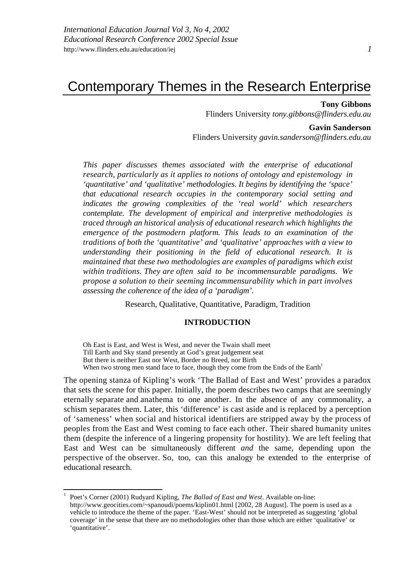# Contemporary Themes in the Research Enterprise

**Tony Gibbons** Flinders University *tony.gibbons@flinders.edu.au*

**Gavin Sanderson** Flinders University *gavin.sanderson@flinders.edu.au*

*This paper discusses themes associated with the enterprise of educational research, particularly as it applies to notions of ontology and epistemology in 'quantitative' and 'qualitative' methodologies. It begins by identifying the 'space' that educational research occupies in the contemporary social setting and indicates the growing complexities of the 'real world' which researchers contemplate. The development of empirical and interpretive methodologies is traced through an historical analysis of educational research which highlights the emergence of the postmodern platform. This leads to an examination of the traditions of both the 'quantitative' and 'qualitative' approaches with a view to understanding their positioning in the field of educational research. It is maintained that these two methodologies are examples of paradigms which exist within traditions. They are often said to be incommensurable paradigms. We propose a solution to their seeming incommensurability which in part involves assessing the coherence of the idea of a 'paradigm'.* 

Research, Qualitative, Quantitative, Paradigm, Tradition

# **INTRODUCTION**

Oh East is East, and West is West, and never the Twain shall meet Till Earth and Sky stand presently at God's great judgement seat But there is neither East nor West, Border no Breed, nor Birth When two strong men stand face to face, though they come from the Ends of the Earth<sup>1</sup>

The opening stanza of Kipling's work 'The Ballad of East and West' provides a paradox that sets the scene for this paper. Initially, the poem describes two camps that are seemingly eternally separate and anathema to one another. In the absence of any commonality, a schism separates them. Later, this 'difference' is cast aside and is replaced by a perception of 'sameness' when social and historical identifiers are stripped away by the process of peoples from the East and West coming to face each other. Their shared humanity unites them (despite the inference of a lingering propensity for hostility). We are left feeling that East and West can be simultaneously different *and* the same, depending upon the perspective of the observer. So, too, can this analogy be extended to the enterprise of educational research.

<sup>1</sup> Poet's Corner (2001) Rudyard Kipling, *The Ballad of East and West*. Available on-line: http://www.geocities.com/~spanoudi/poems/kiplin01.html [2002, 28 August]. The poem is used as a vehicle to introduce the theme of the paper. 'East-West' should not be interpreted as suggesting 'global coverage' in the sense that there are no methodologies other than those which are either 'qualitative' or 'quantitative'.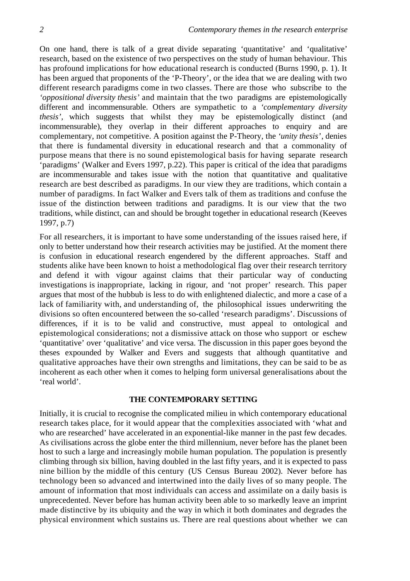On one hand, there is talk of a great divide separating 'quantitative' and 'qualitative' research, based on the existence of two perspectives on the study of human behaviour. This has profound implications for how educational research is conducted (Burns 1990, p. 1). It has been argued that proponents of the 'P-Theory', or the idea that we are dealing with two different research paradigms come in two classes. There are those who subscribe to the *'oppositional diversity thesis'* and maintain that the two paradigms are epistemologically different and incommensurable. Others are sympathetic to a *'complementary diversity thesis',* which suggests that whilst they may be epistemologically distinct (and incommensurable), they overlap in their different approaches to enquiry and are complementary, not competitive. A position against the P-Theory, the *'unity thesis'*, denies that there is fundamental diversity in educational research and that a commonality of purpose means that there is no sound epistemological basis for having separate research 'paradigms' (Walker and Evers 1997, p.22). This paper is critical of the idea that paradigms are incommensurable and takes issue with the notion that quantitative and qualitative research are best described as paradigms. In our view they are traditions, which contain a number of paradigms. In fact Walker and Evers talk of them as traditions and confuse the issue of the distinction between traditions and paradigms. It is our view that the two traditions, while distinct, can and should be brought together in educational research (Keeves 1997, p.7)

For all researchers, it is important to have some understanding of the issues raised here, if only to better understand how their research activities may be justified. At the moment there is confusion in educational research engendered by the different approaches. Staff and students alike have been known to hoist a methodological flag over their research territory and defend it with vigour against claims that their particular way of conducting investigations is inappropriate, lacking in rigour, and 'not proper' research. This paper argues that most of the hubbub is less to do with enlightened dialectic, and more a case of a lack of familiarity with, and understanding of, the philosophical issues underwriting the divisions so often encountered between the so-called 'research paradigms'. Discussions of differences, if it is to be valid and constructive, must appeal to ontological and epistemological considerations; not a dismissive attack on those who support or eschew 'quantitative' over 'qualitative' and vice versa. The discussion in this paper goes beyond the theses expounded by Walker and Evers and suggests that although quantitative and qualitative approaches have their own strengths and limitations, they can be said to be as incoherent as each other when it comes to helping form universal generalisations about the 'real world'.

# **THE CONTEMPORARY SETTING**

Initially, it is crucial to recognise the complicated milieu in which contemporary educational research takes place, for it would appear that the complexities associated with 'what and who are researched' have accelerated in an exponential-like manner in the past few decades. As civilisations across the globe enter the third millennium, never before has the planet been host to such a large and increasingly mobile human population. The population is presently climbing through six billion, having doubled in the last fifty years, and it is expected to pass nine billion by the middle of this century (US Census Bureau 2002). Never before has technology been so advanced and intertwined into the daily lives of so many people. The amount of information that most individuals can access and assimilate on a daily basis is unprecedented. Never before has human activity been able to so markedly leave an imprint made distinctive by its ubiquity and the way in which it both dominates and degrades the physical environment which sustains us. There are real questions about whether we can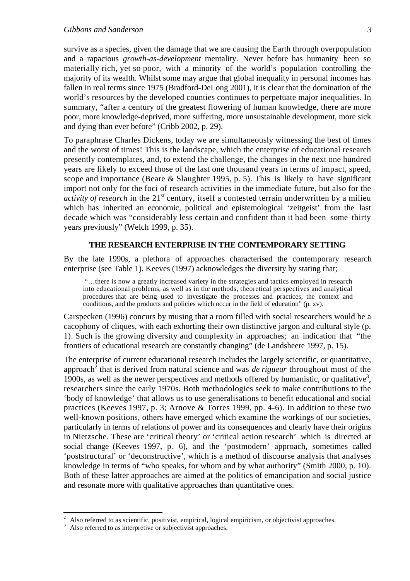survive as a species, given the damage that we are causing the Earth through overpopulation and a rapacious *growth-as-development* mentality. Never before has humanity been so materially rich, yet so poor, with a minority of the world's population controlling the majority of its wealth. Whilst some may argue that global inequality in personal incomes has fallen in real terms since 1975 (Bradford-DeLong 2001), it is clear that the domination of the world's resources by the developed counties continues to perpetuate major inequalities. In summary, "after a century of the greatest flowering of human knowledge, there are more poor, more knowledge-deprived, more suffering, more unsustainable development, more sick and dying than ever before" (Cribb 2002, p. 29).

To paraphrase Charles Dickens, today we are simultaneously witnessing the best of times and the worst of times! This is the landscape, which the enterprise of educational research presently contemplates, and, to extend the challenge, the changes in the next one hundred years are likely to exceed those of the last one thousand years in terms of impact, speed, scope and importance (Beare  $\&$  Slaughter 1995, p. 5). This is likely to have significant import not only for the foci of research activities in the immediate future, but also for the *activity of research* in the 21<sup>st</sup> century, itself a contested terrain underwritten by a milieu which has inherited an economic, political and epistemological 'zeitgeist' from the last decade which was "considerably less certain and confident than it had been some thirty years previously" (Welch 1999, p. 35).

# **THE RESEARCH ENTERPRISE IN THE CONTEMPORARY SETTING**

By the late 1990s, a plethora of approaches characterised the contemporary research enterprise (see Table 1). Keeves (1997) acknowledges the diversity by stating that;

 "…there is now a greatly increased variety in the strategies and tactics employed in research into educational problems, as well as in the methods, theoretical perspectives and analytical procedures that are being used to investigate the processes and practices, the context and conditions, and the products and policies which occur in the field of education" (p. xv).

Carspecken (1996) concurs by musing that a room filled with social researchers would be a cacophony of cliques, with each exhorting their own distinctive jargon and cultural style (p. 1). Such is the growing diversity and complexity in approaches; an indication that "the frontiers of educational research are constantly changing" (de Landsheere 1997, p. 15).

The enterprise of current educational research includes the largely scientific, or quantitative, approach<sup>2</sup> that is derived from natural science and was *de rigueur* throughout most of the 1900s, as well as the newer perspectives and methods offered by humanistic, or qualitative<sup>3</sup>, researchers since the early 1970s. Both methodologies seek to make contributions to the 'body of knowledge' that allows us to use generalisations to benefit educational and social practices (Keeves 1997, p. 3; Arnove & Torres 1999, pp. 4-6). In addition to these two well-known positions, others have emerged which examine the workings of our societies, particularly in terms of relations of power and its consequences and clearly have their origins in Nietzsche. These are 'critical theory' or 'critical action research' which is directed at social change (Keeves 1997, p. 6), and the 'postmodern' approach, sometimes called 'poststructural' or 'deconstructive', which is a method of discourse analysis that analyses knowledge in terms of "who speaks, for whom and by what authority" (Smith 2000, p. 10). Both of these latter approaches are aimed at the politics of emancipation and social justice and resonate more with qualitative approaches than quantitative ones.

<sup>2</sup> Also referred to as scientific, positivist, empirical, logical empiricism, or objectivist approaches.

Also referred to as interpretive or subjectivist approaches.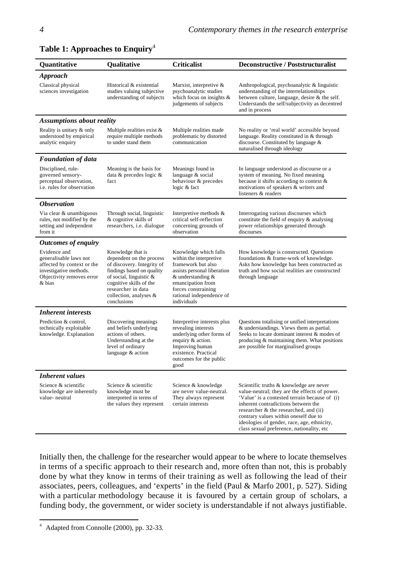| Quantitative                                                                                                                          | Qualitative                                                                                                                                                                                                                   | <b>Criticalist</b>                                                                                                                                                                                                    | <b>Deconstructive / Poststructuralist</b>                                                                                                                                                                                                                                                                                                                      |
|---------------------------------------------------------------------------------------------------------------------------------------|-------------------------------------------------------------------------------------------------------------------------------------------------------------------------------------------------------------------------------|-----------------------------------------------------------------------------------------------------------------------------------------------------------------------------------------------------------------------|----------------------------------------------------------------------------------------------------------------------------------------------------------------------------------------------------------------------------------------------------------------------------------------------------------------------------------------------------------------|
| <b>Approach</b>                                                                                                                       |                                                                                                                                                                                                                               |                                                                                                                                                                                                                       |                                                                                                                                                                                                                                                                                                                                                                |
| Classical physical<br>sciences investigation                                                                                          | Historical & existential<br>studies valuing subjective<br>understanding of subjects                                                                                                                                           | Marxist, interpretive &<br>psychoanalytic studies<br>which focus on insights $\&$<br>judgements of subjects                                                                                                           | Anthropological, psychoanalytic & linguistic<br>understanding of the interrelationships<br>between culture, language, desire & the self.<br>Understands the self/subjectivity as decentred<br>and in process                                                                                                                                                   |
| <b>Assumptions about reality</b>                                                                                                      |                                                                                                                                                                                                                               |                                                                                                                                                                                                                       |                                                                                                                                                                                                                                                                                                                                                                |
| Reality is unitary & only<br>understood by empirical<br>analytic enquiry                                                              | Multiple realities exist &<br>require multiple methods<br>to under stand them                                                                                                                                                 | Multiple realities made<br>problematic by distorted<br>communication                                                                                                                                                  | No reality or 'real world' accessible beyond<br>language. Reality constituted in & through<br>discourse. Constituted by language &<br>naturalised through ideology                                                                                                                                                                                             |
| <b>Foundation of data</b>                                                                                                             |                                                                                                                                                                                                                               |                                                                                                                                                                                                                       |                                                                                                                                                                                                                                                                                                                                                                |
| Disciplined, rule-<br>governed sensory-<br>perceptual observation,<br><i>i.e.</i> rules for observation                               | Meaning is the basis for<br>data & precedes logic &<br>fact                                                                                                                                                                   | Meanings found in<br>language & social<br>behaviour & precedes<br>logic & fact                                                                                                                                        | In language understood as discourse or a<br>system of meaning. No fixed meaning<br>because it shifts according to context $\&$<br>motivations of speakers & writers and<br>listeners & readers                                                                                                                                                                 |
| <b>Observation</b>                                                                                                                    |                                                                                                                                                                                                                               |                                                                                                                                                                                                                       |                                                                                                                                                                                                                                                                                                                                                                |
| Via clear & unambiguous<br>rules, not modified by the<br>setting and independent<br>from it                                           | Through social, linguistic<br>& cognitive skills of<br>researchers, i.e. dialogue                                                                                                                                             | Interpretive methods &<br>critical self-reflection<br>concerning grounds of<br>observation                                                                                                                            | Interrogating various discourses which<br>constitute the field of enquiry & analysing<br>power relationships generated through<br>discourses                                                                                                                                                                                                                   |
| <b>Outcomes of enquiry</b>                                                                                                            |                                                                                                                                                                                                                               |                                                                                                                                                                                                                       |                                                                                                                                                                                                                                                                                                                                                                |
| Evidence and<br>generalisable laws not<br>affected by context or the<br>investigative methods.<br>Objectivity removes error<br>& bias | Knowledge that is<br>dependent on the process<br>of discovery. Integrity of<br>findings based on quality<br>of social, linguistic &<br>cognitive skills of the<br>researcher in data<br>collection, analyses &<br>conclusions | Knowledge which falls<br>within the interpretive<br>framework but also<br>assists personal liberation<br>$&$ understanding $&$<br>emancipation from<br>forces constraining<br>rational independence of<br>individuals | How knowledge is constructed. Questions<br>foundations & frame-work of knowledge.<br>Asks how knowledge has been constructed as<br>truth and how social realities are constructed<br>through language                                                                                                                                                          |
| <b>Inherent interests</b>                                                                                                             |                                                                                                                                                                                                                               |                                                                                                                                                                                                                       |                                                                                                                                                                                                                                                                                                                                                                |
| Prediction & control,<br>technically exploitable<br>knowledge. Explanation                                                            | Discovering meanings<br>and beliefs underlying<br>actions of others.<br>Understanding at the<br>level of ordinary<br>language & action                                                                                        | Interpretive interests plus<br>revealing interests<br>underlying other forms of<br>enquiry & action.<br>Improving human<br>existence. Practical<br>outcomes for the public<br>good                                    | Questions totalising or unified interpretations<br>& understandings. Views them as partial.<br>Seeks to locate dominant interest & modes of<br>producing & maintaining them. What positions<br>are possible for marginalised groups                                                                                                                            |
| <b>Inherent</b> values                                                                                                                |                                                                                                                                                                                                                               |                                                                                                                                                                                                                       |                                                                                                                                                                                                                                                                                                                                                                |
| Science & scientific<br>knowledge are inherently<br>value- neutral                                                                    | Science & scientific<br>knowledge must be<br>interpreted in terms of<br>the values they represent                                                                                                                             | Science & knowledge<br>are never value-neutral.<br>They always represent<br>certain interests                                                                                                                         | Scientific truths & knowledge are never<br>value-neutral; they are the effects of power.<br>'Value' is a contested terrain because of (i)<br>inherent contradictions between the<br>researcher & the researched, and (ii)<br>contrary values within oneself due to<br>ideologies of gender, race, age, ethnicity,<br>class sexual preference, nationality, etc |

**Table 1: Approaches to Enquiry**<sup>4</sup>

Initially then, the challenge for the researcher would appear to be where to locate themselves in terms of a specific approach to their research and, more often than not, this is probably done by what they know in terms of their training as well as following the lead of their associates, peers, colleagues, and 'experts' in the field (Paul & Marfo 2001, p. 527). Siding with a particular methodology because it is favoured by a certain group of scholars, a funding body, the government, or wider society is understandable if not always justifiable.

 $4$  Adapted from Connolle (2000), pp. 32-33.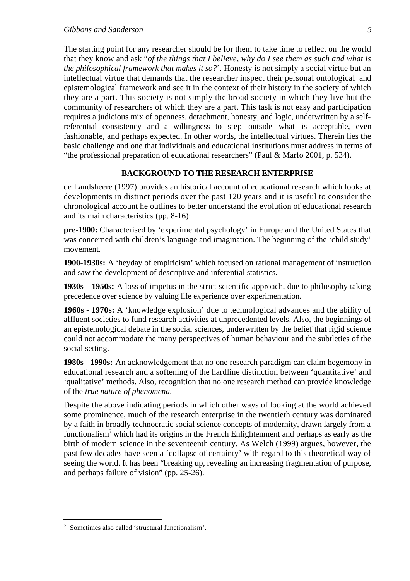The starting point for any researcher should be for them to take time to reflect on the world that they know and ask "*of the things that I believe, why do I see them as such and what is the philosophical framework that makes it so?*". Honesty is not simply a social virtue but an intellectual virtue that demands that the researcher inspect their personal ontological and epistemological framework and see it in the context of their history in the society of which they are a part. This society is not simply the broad society in which they live but the community of researchers of which they are a part. This task is not easy and participation requires a judicious mix of openness, detachment, honesty, and logic, underwritten by a selfreferential consistency and a willingness to step outside what is acceptable, even fashionable, and perhaps expected. In other words, the intellectual virtues. Therein lies the basic challenge and one that individuals and educational institutions must address in terms of "the professional preparation of educational researchers" (Paul & Marfo 2001, p. 534).

# **BACKGROUND TO THE RESEARCH ENTERPRISE**

de Landsheere (1997) provides an historical account of educational research which looks at developments in distinct periods over the past 120 years and it is useful to consider the chronological account he outlines to better understand the evolution of educational research and its main characteristics (pp. 8-16):

**pre-1900:** Characterised by 'experimental psychology' in Europe and the United States that was concerned with children's language and imagination. The beginning of the 'child study' movement.

**1900-1930s:** A 'heyday of empiricism' which focused on rational management of instruction and saw the development of descriptive and inferential statistics.

**1930s – 1950s:** A loss of impetus in the strict scientific approach, due to philosophy taking precedence over science by valuing life experience over experimentation.

**1960s - 1970s:** A 'knowledge explosion' due to technological advances and the ability of affluent societies to fund research activities at unprecedented levels. Also, the beginnings of an epistemological debate in the social sciences, underwritten by the belief that rigid science could not accommodate the many perspectives of human behaviour and the subtleties of the social setting.

**1980s - 1990s:** An acknowledgement that no one research paradigm can claim hegemony in educational research and a softening of the hardline distinction between 'quantitative' and 'qualitative' methods. Also, recognition that no one research method can provide knowledge of the *true nature of phenomena*.

Despite the above indicating periods in which other ways of looking at the world achieved some prominence, much of the research enterprise in the twentieth century was dominated by a faith in broadly technocratic social science concepts of modernity, drawn largely from a functionalism<sup>5</sup> which had its origins in the French Enlightenment and perhaps as early as the birth of modern science in the seventeenth century. As Welch (1999) argues, however, the past few decades have seen a 'collapse of certainty' with regard to this theoretical way of seeing the world. It has been "breaking up, revealing an increasing fragmentation of purpose, and perhaps failure of vision" (pp. 25-26).

<sup>5</sup> Sometimes also called 'structural functionalism'.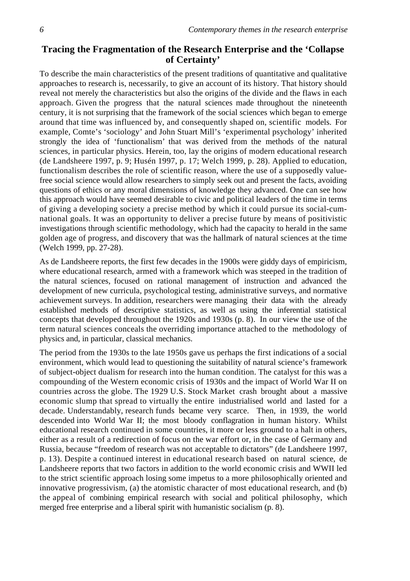# **Tracing the Fragmentation of the Research Enterprise and the 'Collapse of Certainty'**

To describe the main characteristics of the present traditions of quantitative and qualitative approaches to research is, necessarily, to give an account of its history. That history should reveal not merely the characteristics but also the origins of the divide and the flaws in each approach. Given the progress that the natural sciences made throughout the nineteenth century, it is not surprising that the framework of the social sciences which began to emerge around that time was influenced by, and consequently shaped on, scientific models. For example, Comte's 'sociology' and John Stuart Mill's 'experimental psychology' inherited strongly the idea of 'functionalism' that was derived from the methods of the natural sciences, in particular physics. Herein, too, lay the origins of modern educational research (de Landsheere 1997, p. 9; Husén 1997, p. 17; Welch 1999, p. 28). Applied to education, functionalism describes the role of scientific reason, where the use of a supposedly valuefree social science would allow researchers to simply seek out and present the facts, avoiding questions of ethics or any moral dimensions of knowledge they advanced. One can see how this approach would have seemed desirable to civic and political leaders of the time in terms of giving a developing society a precise method by which it could pursue its social-cumnational goals. It was an opportunity to deliver a precise future by means of positivistic investigations through scientific methodology, which had the capacity to herald in the same golden age of progress, and discovery that was the hallmark of natural sciences at the time (Welch 1999, pp. 27-28).

As de Landsheere reports, the first few decades in the 1900s were giddy days of empiricism, where educational research, armed with a framework which was steeped in the tradition of the natural sciences, focused on rational management of instruction and advanced the development of new curricula, psychological testing, administrative surveys, and normative achievement surveys. In addition, researchers were managing their data with the already established methods of descriptive statistics, as well as using the inferential statistical concepts that developed throughout the 1920s and 1930s (p. 8). In our view the use of the term natural sciences conceals the overriding importance attached to the methodology of physics and, in particular, classical mechanics.

The period from the 1930s to the late 1950s gave us perhaps the first indications of a social environment, which would lead to questioning the suitability of natural science's framework of subject-object dualism for research into the human condition. The catalyst for this was a compounding of the Western economic crisis of 1930s and the impact of World War II on countries across the globe. The 1929 U.S. Stock Market crash brought about a massive economic slump that spread to virtually the entire industrialised world and lasted for a decade. Understandably, research funds became very scarce. Then, in 1939, the world descended into World War II; the most bloody conflagration in human history. Whilst educational research continued in some countries, it more or less ground to a halt in others, either as a result of a redirection of focus on the war effort or, in the case of Germany and Russia, because "freedom of research was not acceptable to dictators" (de Landsheere 1997, p. 13). Despite a continued interest in educational research based on natural science, de Landsheere reports that two factors in addition to the world economic crisis and WWII led to the strict scientific approach losing some impetus to a more philosophically oriented and innovative progressivism, (a) the atomistic character of most educational research, and (b) the appeal of combining empirical research with social and political philosophy, which merged free enterprise and a liberal spirit with humanistic socialism (p. 8).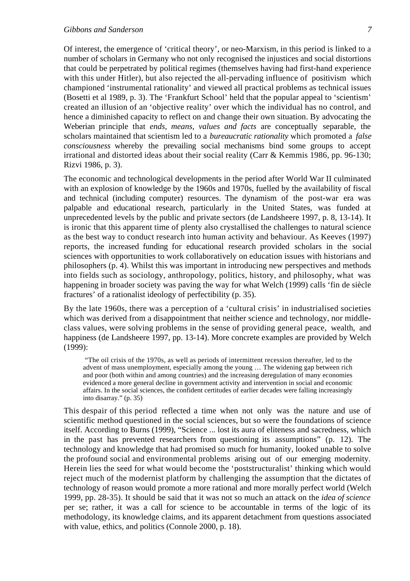Of interest, the emergence of 'critical theory', or neo-Marxism, in this period is linked to a number of scholars in Germany who not only recognised the injustices and social distortions that could be perpetrated by political regimes (themselves having had first-hand experience with this under Hitler), but also rejected the all-pervading influence of positivism which championed 'instrumental rationality' and viewed all practical problems as technical issues (Bosetti et al 1989, p. 3). The 'Frankfurt School' held that the popular appeal to 'scientism' created an illusion of an 'objective reality' over which the individual has no control, and hence a diminished capacity to reflect on and change their own situation. By advocating the Weberian principle that *ends, means, values and facts* are conceptually separable, the scholars maintained that scientism led to a *bureaucratic rationality* which promoted a *false consciousness* whereby the prevailing social mechanisms bind some groups to accept irrational and distorted ideas about their social reality (Carr & Kemmis 1986, pp. 96-130; Rizvi 1986, p. 3).

The economic and technological developments in the period after World War II culminated with an explosion of knowledge by the 1960s and 1970s, fuelled by the availability of fiscal and technical (including computer) resources. The dynamism of the post-war era was palpable and educational research, particularly in the United States, was funded at unprecedented levels by the public and private sectors (de Landsheere 1997, p. 8, 13-14). It is ironic that this apparent time of plenty also crystallised the challenges to natural science as the best way to conduct research into human activity and behaviour. As Keeves (1997) reports, the increased funding for educational research provided scholars in the social sciences with opportunities to work collaboratively on education issues with historians and philosophers (p. 4). Whilst this was important in introducing new perspectives and methods into fields such as sociology, anthropology, politics, history, and philosophy, what was happening in broader society was paving the way for what Welch (1999) calls 'fin de siècle fractures' of a rationalist ideology of perfectibility (p. 35).

By the late 1960s, there was a perception of a 'cultural crisis' in industrialised societies which was derived from a disappointment that neither science and technology, nor middleclass values, were solving problems in the sense of providing general peace, wealth, and happiness (de Landsheere 1997, pp. 13-14). More concrete examples are provided by Welch (1999):

 "The oil crisis of the 1970s, as well as periods of intermittent recession thereafter, led to the advent of mass unemployment, especially among the young … The widening gap between rich and poor (both within and among countries) and the increasing deregulation of many economies evidenced a more general decline in government activity and intervention in social and economic affairs. In the social sciences, the confident certitudes of earlier decades were falling increasingly into disarray." (p. 35)

This despair of this period reflected a time when not only was the nature and use of scientific method questioned in the social sciences, but so were the foundations of science itself. According to Burns (1999), "Science ... lost its aura of eliteness and sacredness, which in the past has prevented researchers from questioning its assumptions" (p. 12). The technology and knowledge that had promised so much for humanity, looked unable to solve the profound social and environmental problems arising out of our emerging modernity. Herein lies the seed for what would become the 'poststructuralist' thinking which would reject much of the modernist platform by challenging the assumption that the dictates of technology of reason would promote a more rational and more morally perfect world (Welch 1999, pp. 28-35). It should be said that it was not so much an attack on the *idea of science* per se; rather, it was a call for science to be accountable in terms of the logic of its methodology, its knowledge claims, and its apparent detachment from questions associated with value, ethics, and politics (Connole 2000, p. 18).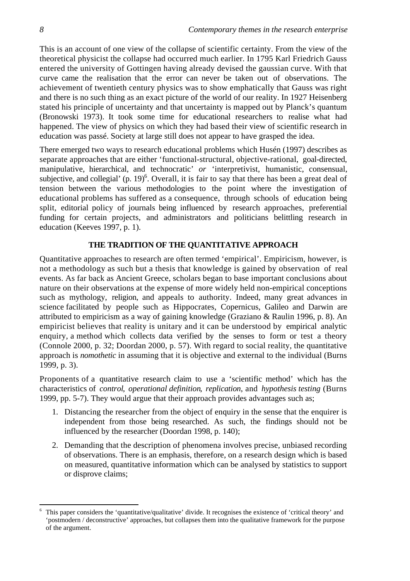This is an account of one view of the collapse of scientific certainty. From the view of the theoretical physicist the collapse had occurred much earlier. In 1795 Karl Friedrich Gauss entered the university of Gottingen having already devised the gaussian curve. With that curve came the realisation that the error can never be taken out of observations. The achievement of twentieth century physics was to show emphatically that Gauss was right and there is no such thing as an exact picture of the world of our reality. In 1927 Heisenberg stated his principle of uncertainty and that uncertainty is mapped out by Planck's quantum (Bronowski 1973). It took some time for educational researchers to realise what had happened. The view of physics on which they had based their view of scientific research in education was passé. Society at large still does not appear to have grasped the idea.

There emerged two ways to research educational problems which Husén (1997) describes as separate approaches that are either 'functional-structural, objective-rational, goal-directed, manipulative, hierarchical, and technocratic' *or* 'interpretivist, humanistic, consensual, subjective, and collegial' (p. 19)<sup>6</sup>. Overall, it is fair to say that there has been a great deal of tension between the various methodologies to the point where the investigation of educational problems has suffered as a consequence, through schools of education being split, editorial policy of journals being influenced by research approaches, preferential funding for certain projects, and administrators and politicians belittling research in education (Keeves 1997, p. 1).

# **THE TRADITION OF THE QUANTITATIVE APPROACH**

Quantitative approaches to research are often termed 'empirical'. Empiricism, however, is not a methodology as such but a thesis that knowledge is gained by observation of real events. As far back as Ancient Greece, scholars began to base important conclusions about nature on their observations at the expense of more widely held non-empirical conceptions such as mythology, religion, and appeals to authority. Indeed, many great advances in science facilitated by people such as Hippocrates, Copernicus, Galileo and Darwin are attributed to empiricism as a way of gaining knowledge (Graziano & Raulin 1996, p. 8). An empiricist believes that reality is unitary and it can be understood by empirical analytic enquiry, a method which collects data verified by the senses to form or test a theory (Connole 2000, p. 32; Doordan 2000, p. 57). With regard to social reality, the quantitative approach is *nomothetic* in assuming that it is objective and external to the individual (Burns 1999, p. 3).

Proponents of a quantitative research claim to use a 'scientific method' which has the characteristics of *control*, *operational definition*, *replication*, and *hypothesis testing* (Burns 1999, pp. 5-7). They would argue that their approach provides advantages such as;

- 1. Distancing the researcher from the object of enquiry in the sense that the enquirer is independent from those being researched. As such, the findings should not be influenced by the researcher (Doordan 1998, p. 140);
- 2. Demanding that the description of phenomena involves precise, unbiased recording of observations. There is an emphasis, therefore, on a research design which is based on measured, quantitative information which can be analysed by statistics to support or disprove claims;

<sup>6</sup> This paper considers the 'quantitative/qualitative' divide. It recognises the existence of 'critical theory' and 'postmodern / deconstructive' approaches, but collapses them into the qualitative framework for the purpose of the argument.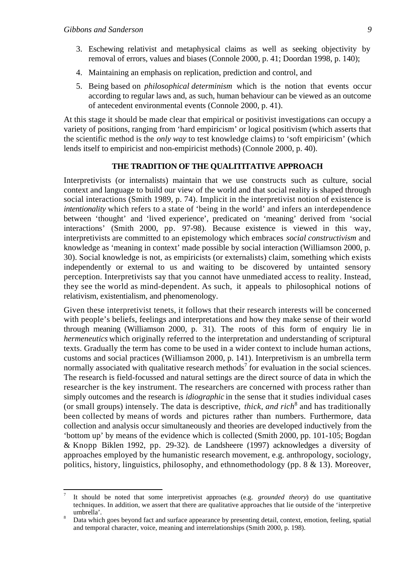j

- 3. Eschewing relativist and metaphysical claims as well as seeking objectivity by removal of errors, values and biases (Connole 2000, p. 41; Doordan 1998, p. 140);
- 4. Maintaining an emphasis on replication, prediction and control, and
- 5. Being based on *philosophical determinism* which is the notion that events occur according to regular laws and, as such, human behaviour can be viewed as an outcome of antecedent environmental events (Connole 2000, p. 41).

At this stage it should be made clear that empirical or positivist investigations can occupy a variety of positions, ranging from 'hard empiricism' or logical positivism (which asserts that the scientific method is the *only way* to test knowledge claims) to 'soft empiricism' (which lends itself to empiricist and non-empiricist methods) (Connole 2000, p. 40).

# **THE TRADITION OF THE QUALITITATIVE APPROACH**

Interpretivists (or internalists) maintain that we use constructs such as culture, social context and language to build our view of the world and that social reality is shaped through social interactions (Smith 1989, p. 74). Implicit in the interpretivist notion of existence is *intentionality* which refers to a state of 'being in the world' and infers an interdependence between 'thought' and 'lived experience', predicated on 'meaning' derived from 'social interactions' (Smith 2000, pp. 97-98). Because existence is viewed in this way, interpretivists are committed to an epistemology which embraces *social constructivism* and knowledge as 'meaning in context' made possible by social interaction (Williamson 2000, p. 30). Social knowledge is not, as empiricists (or externalists) claim, something which exists independently or external to us and waiting to be discovered by untainted sensory perception. Interpretivists say that you cannot have unmediated access to reality. Instead, they see the world as mind-dependent. As such, it appeals to philosophical notions of relativism, existentialism, and phenomenology.

Given these interpretivist tenets, it follows that their research interests will be concerned with people's beliefs, feelings and interpretations and how they make sense of their world through meaning (Williamson 2000, p. 31). The roots of this form of enquiry lie in *hermeneutics* which originally referred to the interpretation and understanding of scriptural texts. Gradually the term has come to be used in a wider context to include human actions, customs and social practices (Williamson 2000, p. 141). Interpretivism is an umbrella term normally associated with qualitative research methods<sup>7</sup> for evaluation in the social sciences. The research is field-focussed and natural settings are the direct source of data in which the researcher is the key instrument. The researchers are concerned with process rather than simply outcomes and the research is *idiographic* in the sense that it studies individual cases (or small groups) intensely. The data is descriptive, *thick, and rich*<sup>8</sup> and has traditionally been collected by means of words and pictures rather than numbers. Furthermore, data collection and analysis occur simultaneously and theories are developed inductively from the 'bottom up' by means of the evidence which is collected (Smith 2000, pp. 101-105; Bogdan & Knopp Biklen 1992, pp. 29-32). de Landsheere (1997) acknowledges a diversity of approaches employed by the humanistic research movement, e.g. anthropology, sociology, politics, history, linguistics, philosophy, and ethnomethodology (pp. 8 & 13). Moreover,

<sup>7</sup> It should be noted that some interpretivist approaches (e.g. *grounded theory*) do use quantitative techniques. In addition, we assert that there are qualitative approaches that lie outside of the 'interpretive umbrella'.

Data which goes beyond fact and surface appearance by presenting detail, context, emotion, feeling, spatial and temporal character, voice, meaning and interrelationships (Smith 2000, p. 198).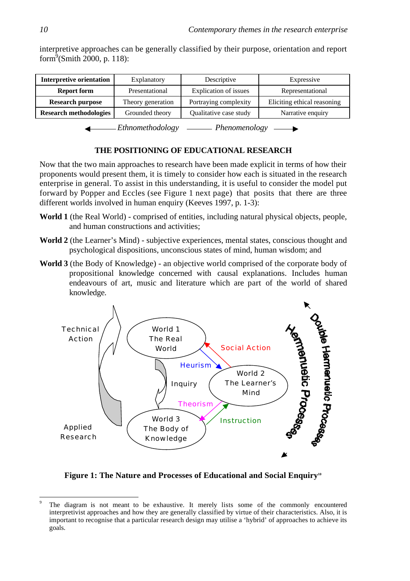| <b>Interpretive orientation</b> | Explanatory                             | Descriptive            | Expressive                  |  |
|---------------------------------|-----------------------------------------|------------------------|-----------------------------|--|
| <b>Report form</b>              | Explication of issues<br>Presentational |                        | Representational            |  |
| <b>Research purpose</b>         | Theory generation                       | Portraying complexity  | Eliciting ethical reasoning |  |
| <b>Research methodologies</b>   | Grounded theory                         | Qualitative case study | Narrative enquiry           |  |

interpretive approaches can be generally classified by their purpose, orientation and report form $\sqrt[9]{\text{Smith }2000, \text{p. 118}}$ :

*Ethnomethodology* — *Phenomenology* 

# **THE POSITIONING OF EDUCATIONAL RESEARCH**

Now that the two main approaches to research have been made explicit in terms of how their proponents would present them, it is timely to consider how each is situated in the research enterprise in general. To assist in this understanding, it is useful to consider the model put forward by Popper and Eccles (see Figure 1 next page) that posits that there are three different worlds involved in human enquiry (Keeves 1997, p. 1-3):

- **World 1** (the Real World) comprised of entities, including natural physical objects, people, and human constructions and activities;
- **World 2** (the Learner's Mind) subjective experiences, mental states, conscious thought and psychological dispositions, unconscious states of mind, human wisdom; and
- **World 3** (the Body of Knowledge) an objective world comprised of the corporate body of propositional knowledge concerned with causal explanations. Includes human endeavours of art, music and literature which are part of the world of shared knowledge.



**Figure 1: The Nature and Processes of Educational and Social Enquiry<sup>10</sup>**

<sup>9</sup> The diagram is not meant to be exhaustive. It merely lists some of the commonly encountered interpretivist approaches and how they are generally classified by virtue of their characteristics. Also, it is important to recognise that a particular research design may utilise a 'hybrid' of approaches to achieve its goals.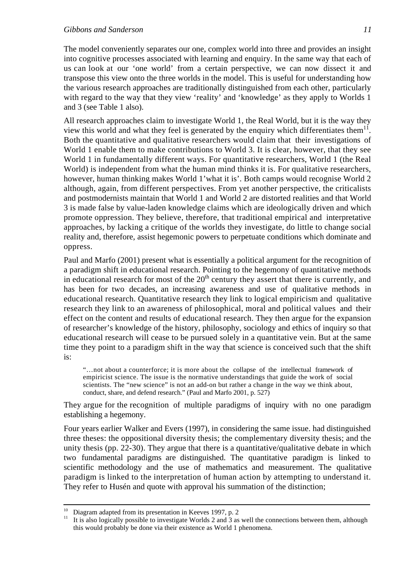The model conveniently separates our one, complex world into three and provides an insight into cognitive processes associated with learning and enquiry. In the same way that each of us can look at our 'one world' from a certain perspective, we can now dissect it and transpose this view onto the three worlds in the model. This is useful for understanding how the various research approaches are traditionally distinguished from each other, particularly with regard to the way that they view 'reality' and 'knowledge' as they apply to Worlds 1 and 3 (see Table 1 also).

All research approaches claim to investigate World 1, the Real World, but it is the way they view this world and what they feel is generated by the enquiry which differentiates them $^{11}$ . Both the quantitative and qualitative researchers would claim that their investigations of World 1 enable them to make contributions to World 3. It is clear, however, that they see World 1 in fundamentally different ways. For quantitative researchers, World 1 (the Real World) is independent from what the human mind thinks it is. For qualitative researchers, however, human thinking makes World 1'what it is'. Both camps would recognise World 2 although, again, from different perspectives. From yet another perspective, the criticalists and postmodernists maintain that World 1 and World 2 are distorted realities and that World 3 is made false by value-laden knowledge claims which are ideologically driven and which promote oppression. They believe, therefore, that traditional empirical and interpretative approaches, by lacking a critique of the worlds they investigate, do little to change social reality and, therefore, assist hegemonic powers to perpetuate conditions which dominate and oppress.

Paul and Marfo (2001) present what is essentially a political argument for the recognition of a paradigm shift in educational research. Pointing to the hegemony of quantitative methods in educational research for most of the  $20<sup>th</sup>$  century they assert that there is currently, and has been for two decades, an increasing awareness and use of qualitative methods in educational research. Quantitative research they link to logical empiricism and qualitative research they link to an awareness of philosophical, moral and political values and their effect on the content and results of educational research. They then argue for the expansion of researcher's knowledge of the history, philosophy, sociology and ethics of inquiry so that educational research will cease to be pursued solely in a quantitative vein. But at the same time they point to a paradigm shift in the way that science is conceived such that the shift is:

"…not about a counterforce; it is more about the collapse of the intellectual framework of empiricist science. The issue is the normative understandings that guide the work of social scientists. The "new science" is not an add-on but rather a change in the way we think about, conduct, share, and defend research." (Paul and Marfo 2001, p. 527)

They argue for the recognition of multiple paradigms of inquiry with no one paradigm establishing a hegemony.

Four years earlier Walker and Evers (1997), in considering the same issue. had distinguished three theses: the oppositional diversity thesis; the complementary diversity thesis; and the unity thesis (pp. 22-30). They argue that there is a quantitative/qualitative debate in which two fundamental paradigms are distinguished. The quantitative paradigm is linked to scientific methodology and the use of mathematics and measurement. The qualitative paradigm is linked to the interpretation of human action by attempting to understand it. They refer to Husén and quote with approval his summation of the distinction;

 $10$ <sup>10</sup> Diagram adapted from its presentation in Keeves 1997, p. 2<br><sup>11</sup> It is also logically possible to investigate Worlds 2 and 3 as

<sup>11</sup> It is also logically possible to investigate Worlds 2 and 3 as well the connections between them, although this would probably be done via their existence as World 1 phenomena.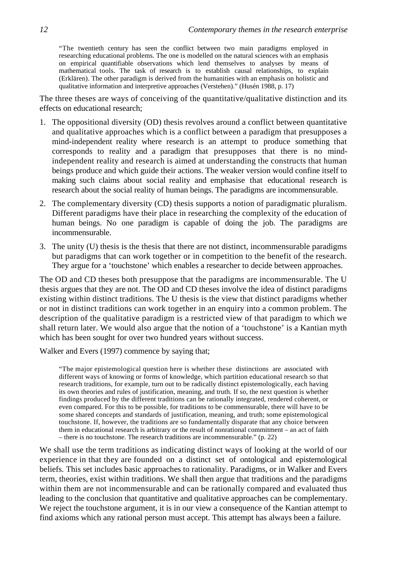"The twentieth century has seen the conflict between two main paradigms employed in researching educational problems. The one is modelled on the natural sciences with an emphasis on empirical quantifiable observations which lend themselves to analyses by means of mathematical tools. The task of research is to establish causal relationships, to explain (Erklären). The other paradigm is derived from the humanities with an emphasis on holistic and qualitative information and interpretive approaches (Verstehen)." (Husén 1988, p. 17)

The three theses are ways of conceiving of the quantitative/qualitative distinction and its effects on educational research;

- 1. The oppositional diversity (OD) thesis revolves around a conflict between quantitative and qualitative approaches which is a conflict between a paradigm that presupposes a mind-independent reality where research is an attempt to produce something that corresponds to reality and a paradigm that presupposes that there is no mindindependent reality and research is aimed at understanding the constructs that human beings produce and which guide their actions. The weaker version would confine itself to making such claims about social reality and emphasise that educational research is research about the social reality of human beings. The paradigms are incommensurable.
- 2. The complementary diversity (CD) thesis supports a notion of paradigmatic pluralism. Different paradigms have their place in researching the complexity of the education of human beings. No one paradigm is capable of doing the job. The paradigms are incommensurable.
- 3. The unity (U) thesis is the thesis that there are not distinct, incommensurable paradigms but paradigms that can work together or in competition to the benefit of the research. They argue for a 'touchstone' which enables a researcher to decide between approaches.

The OD and CD theses both presuppose that the paradigms are incommensurable. The U thesis argues that they are not. The OD and CD theses involve the idea of distinct paradigms existing within distinct traditions. The U thesis is the view that distinct paradigms whether or not in distinct traditions can work together in an enquiry into a common problem. The description of the qualitative paradigm is a restricted view of that paradigm to which we shall return later. We would also argue that the notion of a 'touchstone' is a Kantian myth which has been sought for over two hundred years without success.

Walker and Evers (1997) commence by saying that;

"The major epistemological question here is whether these distinctions are associated with different ways of knowing or forms of knowledge, which partition educational research so that research traditions, for example, turn out to be radically distinct epistemologically, each having its own theories and rules of justification, meaning, and truth. If so, the next question is whether findings produced by the different traditions can be rationally integrated, rendered coherent, or even compared. For this to be possible, for traditions to be commensurable, there will have to be some shared concepts and standards of justification, meaning, and truth; some epistemological touchstone. If, however, the traditions are so fundamentally disparate that any choice between them in educational research is arbitrary or the result of nonrational commitment – an act of faith – there is no touchstone. The research traditions are incommensurable." (p. 22)

We shall use the term traditions as indicating distinct ways of looking at the world of our experience in that they are founded on a distinct set of ontological and epistemological beliefs. This set includes basic approaches to rationality. Paradigms, or in Walker and Evers term, theories, exist within traditions. We shall then argue that traditions and the paradigms within them are not incommensurable and can be rationally compared and evaluated thus leading to the conclusion that quantitative and qualitative approaches can be complementary. We reject the touchstone argument, it is in our view a consequence of the Kantian attempt to find axioms which any rational person must accept. This attempt has always been a failure.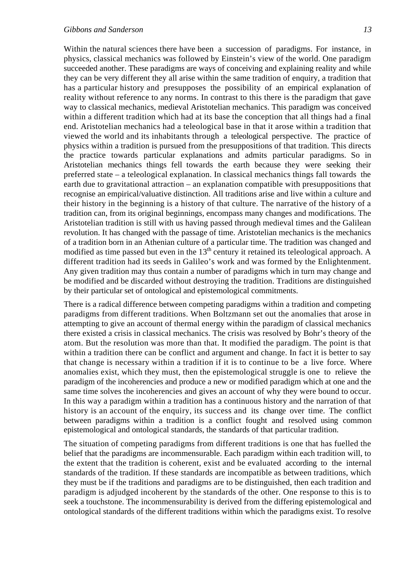#### *Gibbons and Sanderson 13*

Within the natural sciences there have been a succession of paradigms. For instance, in physics, classical mechanics was followed by Einstein's view of the world. One paradigm succeeded another. These paradigms are ways of conceiving and explaining reality and while they can be very different they all arise within the same tradition of enquiry, a tradition that has a particular history and presupposes the possibility of an empirical explanation of reality without reference to any norms. In contrast to this there is the paradigm that gave way to classical mechanics, medieval Aristotelian mechanics. This paradigm was conceived within a different tradition which had at its base the conception that all things had a final end. Aristotelian mechanics had a teleological base in that it arose within a tradition that viewed the world and its inhabitants through a teleological perspective. The practice of physics within a tradition is pursued from the presuppositions of that tradition. This directs the practice towards particular explanations and admits particular paradigms. So in Aristotelian mechanics things fell towards the earth because they were seeking their preferred state – a teleological explanation. In classical mechanics things fall towards the earth due to gravitational attraction – an explanation compatible with presuppositions that recognise an empirical/valuative distinction. All traditions arise and live within a culture and their history in the beginning is a history of that culture. The narrative of the history of a tradition can, from its original beginnings, encompass many changes and modifications. The Aristotelian tradition is still with us having passed through medieval times and the Galilean revolution. It has changed with the passage of time. Aristotelian mechanics is the mechanics of a tradition born in an Athenian culture of a particular time. The tradition was changed and modified as time passed but even in the 13<sup>th</sup> century it retained its teleological approach. A different tradition had its seeds in Galileo's work and was formed by the Enlightenment. Any given tradition may thus contain a number of paradigms which in turn may change and be modified and be discarded without destroying the tradition. Traditions are distinguished by their particular set of ontological and epistemological commitments.

There is a radical difference between competing paradigms within a tradition and competing paradigms from different traditions. When Boltzmann set out the anomalies that arose in attempting to give an account of thermal energy within the paradigm of classical mechanics there existed a crisis in classical mechanics. The crisis was resolved by Bohr's theory of the atom. But the resolution was more than that. It modified the paradigm. The point is that within a tradition there can be conflict and argument and change. In fact it is better to say that change is necessary within a tradition if it is to continue to be a live force. Where anomalies exist, which they must, then the epistemological struggle is one to relieve the paradigm of the incoherencies and produce a new or modified paradigm which at one and the same time solves the incoherencies and gives an account of why they were bound to occur. In this way a paradigm within a tradition has a continuous history and the narration of that history is an account of the enquiry, its success and its change over time. The conflict between paradigms within a tradition is a conflict fought and resolved using common epistemological and ontological standards, the standards of that particular tradition.

The situation of competing paradigms from different traditions is one that has fuelled the belief that the paradigms are incommensurable. Each paradigm within each tradition will, to the extent that the tradition is coherent, exist and be evaluated according to the internal standards of the tradition. If these standards are incompatible as between traditions, which they must be if the traditions and paradigms are to be distinguished, then each tradition and paradigm is adjudged incoherent by the standards of the other. One response to this is to seek a touchstone. The incommensurability is derived from the differing epistemological and ontological standards of the different traditions within which the paradigms exist. To resolve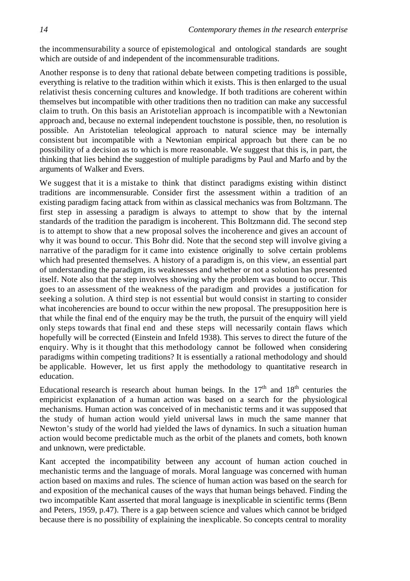the incommensurability a source of epistemological and ontological standards are sought which are outside of and independent of the incommensurable traditions.

Another response is to deny that rational debate between competing traditions is possible, everything is relative to the tradition within which it exists. This is then enlarged to the usual relativist thesis concerning cultures and knowledge. If both traditions are coherent within themselves but incompatible with other traditions then no tradition can make any successful claim to truth. On this basis an Aristotelian approach is incompatible with a Newtonian approach and, because no external independent touchstone is possible, then, no resolution is possible. An Aristotelian teleological approach to natural science may be internally consistent but incompatible with a Newtonian empirical approach but there can be no possibility of a decision as to which is more reasonable. We suggest that this is, in part, the thinking that lies behind the suggestion of multiple paradigms by Paul and Marfo and by the arguments of Walker and Evers.

We suggest that it is a mistake to think that distinct paradigms existing within distinct traditions are incommensurable. Consider first the assessment within a tradition of an existing paradigm facing attack from within as classical mechanics was from Boltzmann. The first step in assessing a paradigm is always to attempt to show that by the internal standards of the tradition the paradigm is incoherent. This Boltzmann did. The second step is to attempt to show that a new proposal solves the incoherence and gives an account of why it was bound to occur. This Bohr did. Note that the second step will involve giving a narrative of the paradigm for it came into existence originally to solve certain problems which had presented themselves. A history of a paradigm is, on this view, an essential part of understanding the paradigm, its weaknesses and whether or not a solution has presented itself. Note also that the step involves showing why the problem was bound to occur. This goes to an assessment of the weakness of the paradigm and provides a justification for seeking a solution. A third step is not essential but would consist in starting to consider what incoherencies are bound to occur within the new proposal. The presupposition here is that while the final end of the enquiry may be the truth, the pursuit of the enquiry will yield only steps towards that final end and these steps will necessarily contain flaws which hopefully will be corrected (Einstein and Infeld 1938). This serves to direct the future of the enquiry. Why is it thought that this methodology cannot be followed when considering paradigms within competing traditions? It is essentially a rational methodology and should be applicable. However, let us first apply the methodology to quantitative research in education.

Educational research is research about human beings. In the  $17<sup>th</sup>$  and  $18<sup>th</sup>$  centuries the empiricist explanation of a human action was based on a search for the physiological mechanisms. Human action was conceived of in mechanistic terms and it was supposed that the study of human action would yield universal laws in much the same manner that Newton's study of the world had yielded the laws of dynamics. In such a situation human action would become predictable much as the orbit of the planets and comets, both known and unknown, were predictable.

Kant accepted the incompatibility between any account of human action couched in mechanistic terms and the language of morals. Moral language was concerned with human action based on maxims and rules. The science of human action was based on the search for and exposition of the mechanical causes of the ways that human beings behaved. Finding the two incompatible Kant asserted that moral language is inexplicable in scientific terms (Benn and Peters, 1959, p.47). There is a gap between science and values which cannot be bridged because there is no possibility of explaining the inexplicable. So concepts central to morality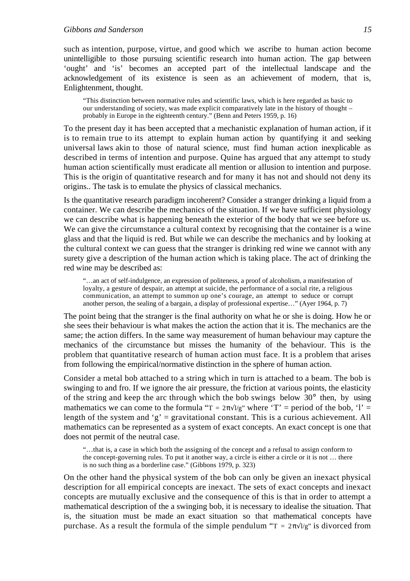such as intention, purpose, virtue, and good which we ascribe to human action become unintelligible to those pursuing scientific research into human action. The gap between 'ought' and 'is' becomes an accepted part of the intellectual landscape and the acknowledgement of its existence is seen as an achievement of modern, that is, Enlightenment, thought.

"This distinction between normative rules and scientific laws, which is here regarded as basic to our understanding of society, was made explicit comparatively late in the history of thought – probably in Europe in the eighteenth century." (Benn and Peters 1959, p. 16)

To the present day it has been accepted that a mechanistic explanation of human action, if it is to remain true to its attempt to explain human action by quantifying it and seeking universal laws akin to those of natural science, must find human action inexplicable as described in terms of intention and purpose. Quine has argued that any attempt to study human action scientifically must eradicate all mention or allusion to intention and purpose. This is the origin of quantitative research and for many it has not and should not deny its origins.. The task is to emulate the physics of classical mechanics.

Is the quantitative research paradigm incoherent? Consider a stranger drinking a liquid from a container. We can describe the mechanics of the situation. If we have sufficient physiology we can describe what is happening beneath the exterior of the body that we see before us. We can give the circumstance a cultural context by recognising that the container is a wine glass and that the liquid is red. But while we can describe the mechanics and by looking at the cultural context we can guess that the stranger is drinking red wine we cannot with any surety give a description of the human action which is taking place. The act of drinking the red wine may be described as:

"…an act of self-indulgence, an expression of politeness, a proof of alcoholism, a manifestation of loyalty, a gesture of despair, an attempt at suicide, the performance of a social rite, a religious communication, an attempt to summon up one's courage, an attempt to seduce or corrupt another person, the sealing of a bargain, a display of professional expertise…" (Ayer 1964, p. 7)

The point being that the stranger is the final authority on what he or she is doing. How he or she sees their behaviour is what makes the action the action that it is. The mechanics are the same; the action differs. In the same way measurement of human behaviour may capture the mechanics of the circumstance but misses the humanity of the behaviour. This is the problem that quantitative research of human action must face. It is a problem that arises from following the empirical/normative distinction in the sphere of human action.

Consider a metal bob attached to a string which in turn is attached to a beam. The bob is swinging to and fro. If we ignore the air pressure, the friction at various points, the elasticity of the string and keep the arc through which the bob swings below 30° then, by using mathematics we can come to the formula " $T = 2$   $\frac{1}{g}$ " where 'T' = period of the bob, 'l' = length of the system and 'g' = gravitational constant. This is a curious achievement. All mathematics can be represented as a system of exact concepts. An exact concept is one that does not permit of the neutral case.

"…that is, a case in which both the assigning of the concept and a refusal to assign conform to the concept-governing rules. To put it another way, a circle is either a circle or it is not … there is no such thing as a borderline case." (Gibbons 1979, p. 323)

On the other hand the physical system of the bob can only be given an inexact physical description for all empirical concepts are inexact. The sets of exact concepts and inexact concepts are mutually exclusive and the consequence of this is that in order to attempt a mathematical description of the a swinging bob, it is necessary to idealise the situation. That is, the situation must be made an exact situation so that mathematical concepts have purchase. As a result the formula of the simple pendulum " $T = 2$   $1/g$ " is divorced from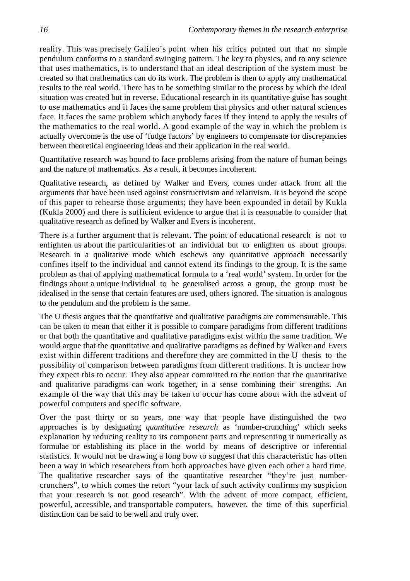reality. This was precisely Galileo's point when his critics pointed out that no simple pendulum conforms to a standard swinging pattern. The key to physics, and to any science that uses mathematics, is to understand that an ideal description of the system must be created so that mathematics can do its work. The problem is then to apply any mathematical results to the real world. There has to be something similar to the process by which the ideal situation was created but in reverse. Educational research in its quantitative guise has sought to use mathematics and it faces the same problem that physics and other natural sciences face. It faces the same problem which anybody faces if they intend to apply the results of the mathematics to the real world. A good example of the way in which the problem is actually overcome is the use of 'fudge factors' by engineers to compensate for discrepancies between theoretical engineering ideas and their application in the real world.

Quantitative research was bound to face problems arising from the nature of human beings and the nature of mathematics. As a result, it becomes incoherent.

Qualitative research, as defined by Walker and Evers, comes under attack from all the arguments that have been used against constructivism and relativism. It is beyond the scope of this paper to rehearse those arguments; they have been expounded in detail by Kukla (Kukla 2000) and there is sufficient evidence to argue that it is reasonable to consider that qualitative research as defined by Walker and Evers is incoherent.

There is a further argument that is relevant. The point of educational research is not to enlighten us about the particularities of an individual but to enlighten us about groups. Research in a qualitative mode which eschews any quantitative approach necessarily confines itself to the individual and cannot extend its findings to the group. It is the same problem as that of applying mathematical formula to a 'real world' system. In order for the findings about a unique individual to be generalised across a group, the group must be idealised in the sense that certain features are used, others ignored. The situation is analogous to the pendulum and the problem is the same.

The U thesis argues that the quantitative and qualitative paradigms are commensurable. This can be taken to mean that either it is possible to compare paradigms from different traditions or that both the quantitative and qualitative paradigms exist within the same tradition. We would argue that the quantitative and qualitative paradigms as defined by Walker and Evers exist within different traditions and therefore they are committed in the U thesis to the possibility of comparison between paradigms from different traditions. It is unclear how they expect this to occur. They also appear committed to the notion that the quantitative and qualitative paradigms can work together, in a sense combining their strengths. An example of the way that this may be taken to occur has come about with the advent of powerful computers and specific software.

Over the past thirty or so years, one way that people have distinguished the two approaches is by designating *quantitative research* as 'number-crunching' which seeks explanation by reducing reality to its component parts and representing it numerically as formulae or establishing its place in the world by means of descriptive or inferential statistics. It would not be drawing a long bow to suggest that this characteristic has often been a way in which researchers from both approaches have given each other a hard time. The qualitative researcher says of the quantitative researcher "they're just numbercrunchers", to which comes the retort "your lack of such activity confirms my suspicion that your research is not good research". With the advent of more compact, efficient, powerful, accessible, and transportable computers, however, the time of this superficial distinction can be said to be well and truly over.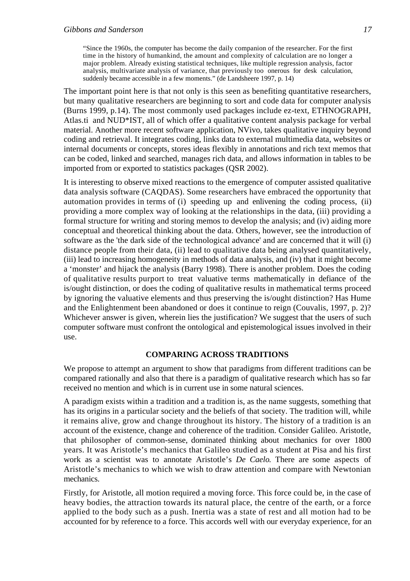"Since the 1960s, the computer has become the daily companion of the researcher. For the first time in the history of humankind, the amount and complexity of calculation are no longer a major problem. Already existing statistical techniques, like multiple regression analysis, factor analysis, multivariate analysis of variance, that previously too onerous for desk calculation, suddenly became accessible in a few moments." (de Landsheere 1997, p. 14)

The important point here is that not only is this seen as benefiting quantitative researchers, but many qualitative researchers are beginning to sort and code data for computer analysis (Burns 1999, p.14). The most commonly used packages include ez-text, ETHNOGRAPH, Atlas.ti and NUD\*IST, all of which offer a qualitative content analysis package for verbal material. Another more recent software application, NVivo, takes qualitative inquiry beyond coding and retrieval. It integrates coding, links data to external multimedia data, websites or internal documents or concepts, stores ideas flexibly in annotations and rich text memos that can be coded, linked and searched, manages rich data, and allows information in tables to be imported from or exported to statistics packages (QSR 2002).

It is interesting to observe mixed reactions to the emergence of computer assisted qualitative data analysis software (CAQDAS). Some researchers have embraced the opportunity that automation provides in terms of (i) speeding up and enlivening the coding process, (ii) providing a more complex way of looking at the relationships in the data, (iii) providing a formal structure for writing and storing memos to develop the analysis; and (iv) aiding more conceptual and theoretical thinking about the data. Others, however, see the introduction of software as the 'the dark side of the technological advance' and are concerned that it will (i) distance people from their data, (ii) lead to qualitative data being analysed quantitatively, (iii) lead to increasing homogeneity in methods of data analysis, and (iv) that it might become a 'monster' and hijack the analysis (Barry 1998). There is another problem. Does the coding of qualitative results purport to treat valuative terms mathematically in defiance of the is/ought distinction, or does the coding of qualitative results in mathematical terms proceed by ignoring the valuative elements and thus preserving the is/ought distinction? Has Hume and the Enlightenment been abandoned or does it continue to reign (Couvalis, 1997, p. 2)? Whichever answer is given, wherein lies the justification? We suggest that the users of such computer software must confront the ontological and epistemological issues involved in their use.

# **COMPARING ACROSS TRADITIONS**

We propose to attempt an argument to show that paradigms from different traditions can be compared rationally and also that there is a paradigm of qualitative research which has so far received no mention and which is in current use in some natural sciences.

A paradigm exists within a tradition and a tradition is, as the name suggests, something that has its origins in a particular society and the beliefs of that society. The tradition will, while it remains alive, grow and change throughout its history. The history of a tradition is an account of the existence, change and coherence of the tradition. Consider Galileo. Aristotle, that philosopher of common-sense, dominated thinking about mechanics for over 1800 years. It was Aristotle's mechanics that Galileo studied as a student at Pisa and his first work as a scientist was to annotate Aristotle's *De Caelo*. There are some aspects of Aristotle's mechanics to which we wish to draw attention and compare with Newtonian mechanics.

Firstly, for Aristotle, all motion required a moving force. This force could be, in the case of heavy bodies, the attraction towards its natural place, the centre of the earth, or a force applied to the body such as a push. Inertia was a state of rest and all motion had to be accounted for by reference to a force. This accords well with our everyday experience, for an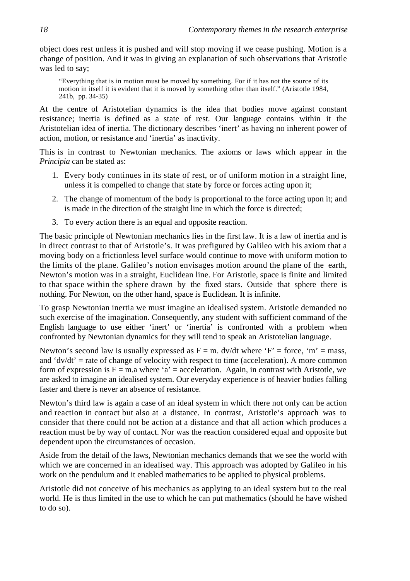object does rest unless it is pushed and will stop moving if we cease pushing. Motion is a change of position. And it was in giving an explanation of such observations that Aristotle was led to say;

"Everything that is in motion must be moved by something. For if it has not the source of its motion in itself it is evident that it is moved by something other than itself." (Aristotle 1984, 241b, pp. 34-35)

At the centre of Aristotelian dynamics is the idea that bodies move against constant resistance; inertia is defined as a state of rest. Our language contains within it the Aristotelian idea of inertia. The dictionary describes 'inert' as having no inherent power of action, motion, or resistance and 'inertia' as inactivity.

This is in contrast to Newtonian mechanics. The axioms or laws which appear in the *Principia* can be stated as:

- 1. Every body continues in its state of rest, or of uniform motion in a straight line, unless it is compelled to change that state by force or forces acting upon it;
- 2. The change of momentum of the body is proportional to the force acting upon it; and is made in the direction of the straight line in which the force is directed;
- 3. To every action there is an equal and opposite reaction.

The basic principle of Newtonian mechanics lies in the first law. It is a law of inertia and is in direct contrast to that of Aristotle's. It was prefigured by Galileo with his axiom that a moving body on a frictionless level surface would continue to move with uniform motion to the limits of the plane. Galileo's notion envisages motion around the plane of the earth, Newton's motion was in a straight, Euclidean line. For Aristotle, space is finite and limited to that space within the sphere drawn by the fixed stars. Outside that sphere there is nothing. For Newton, on the other hand, space is Euclidean. It is infinite.

To grasp Newtonian inertia we must imagine an idealised system. Aristotle demanded no such exercise of the imagination. Consequently, any student with sufficient command of the English language to use either 'inert' or 'inertia' is confronted with a problem when confronted by Newtonian dynamics for they will tend to speak an Aristotelian language.

Newton's second law is usually expressed as  $F = m$ . dv/dt where 'F' = force, 'm' = mass, and ' $dv/dt'$  = rate of change of velocity with respect to time (acceleration). A more common form of expression is  $F = m.a$  where 'a' = acceleration. Again, in contrast with Aristotle, we are asked to imagine an idealised system. Our everyday experience is of heavier bodies falling faster and there is never an absence of resistance.

Newton's third law is again a case of an ideal system in which there not only can be action and reaction in contact but also at a distance. In contrast, Aristotle's approach was to consider that there could not be action at a distance and that all action which produces a reaction must be by way of contact. Nor was the reaction considered equal and opposite but dependent upon the circumstances of occasion.

Aside from the detail of the laws, Newtonian mechanics demands that we see the world with which we are concerned in an idealised way. This approach was adopted by Galileo in his work on the pendulum and it enabled mathematics to be applied to physical problems.

Aristotle did not conceive of his mechanics as applying to an ideal system but to the real world. He is thus limited in the use to which he can put mathematics (should he have wished to do so).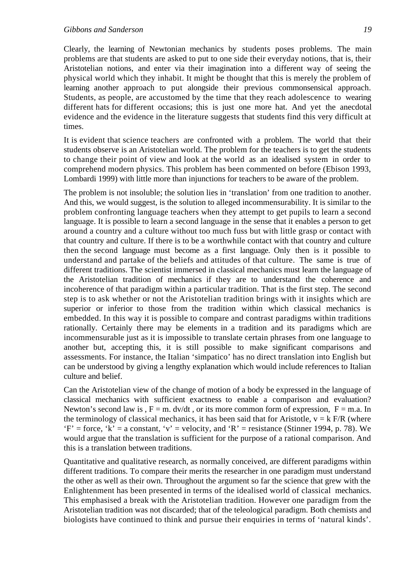Clearly, the learning of Newtonian mechanics by students poses problems. The main problems are that students are asked to put to one side their everyday notions, that is, their Aristotelian notions, and enter via their imagination into a different way of seeing the physical world which they inhabit. It might be thought that this is merely the problem of learning another approach to put alongside their previous commonsensical approach. Students, as people, are accustomed by the time that they reach adolescence to wearing different hats for different occasions; this is just one more hat. And yet the anecdotal evidence and the evidence in the literature suggests that students find this very difficult at times.

It is evident that science teachers are confronted with a problem. The world that their students observe is an Aristotelian world. The problem for the teachers is to get the students to change their point of view and look at the world as an idealised system in order to comprehend modern physics. This problem has been commented on before (Ebison 1993, Lombardi 1999) with little more than injunctions for teachers to be aware of the problem.

The problem is not insoluble; the solution lies in 'translation' from one tradition to another. And this, we would suggest, is the solution to alleged incommensurability. It is similar to the problem confronting language teachers when they attempt to get pupils to learn a second language. It is possible to learn a second language in the sense that it enables a person to get around a country and a culture without too much fuss but with little grasp or contact with that country and culture. If there is to be a worthwhile contact with that country and culture then the second language must become as a first language. Only then is it possible to understand and partake of the beliefs and attitudes of that culture. The same is true of different traditions. The scientist immersed in classical mechanics must learn the language of the Aristotelian tradition of mechanics if they are to understand the coherence and incoherence of that paradigm within a particular tradition. That is the first step. The second step is to ask whether or not the Aristotelian tradition brings with it insights which are superior or inferior to those from the tradition within which classical mechanics is embedded. In this way it is possible to compare and contrast paradigms within traditions rationally. Certainly there may be elements in a tradition and its paradigms which are incommensurable just as it is impossible to translate certain phrases from one language to another but, accepting this, it is still possible to make significant comparisons and assessments. For instance, the Italian 'simpatico' has no direct translation into English but can be understood by giving a lengthy explanation which would include references to Italian culture and belief.

Can the Aristotelian view of the change of motion of a body be expressed in the language of classical mechanics with sufficient exactness to enable a comparison and evaluation? Newton's second law is ,  $F = m$ . dv/dt, or its more common form of expression,  $F = m.a$ . In the terminology of classical mechanics, it has been said that for Aristotle,  $v = k$  F/R (where  $F'$  = force,  $k'$  = a constant,  $v'$  = velocity, and  $R'$  = resistance (Stinner 1994, p. 78). We would argue that the translation is sufficient for the purpose of a rational comparison. And this is a translation between traditions.

Quantitative and qualitative research, as normally conceived, are different paradigms within different traditions. To compare their merits the researcher in one paradigm must understand the other as well as their own. Throughout the argument so far the science that grew with the Enlightenment has been presented in terms of the idealised world of classical mechanics. This emphasised a break with the Aristotelian tradition. However one paradigm from the Aristotelian tradition was not discarded; that of the teleological paradigm. Both chemists and biologists have continued to think and pursue their enquiries in terms of 'natural kinds'.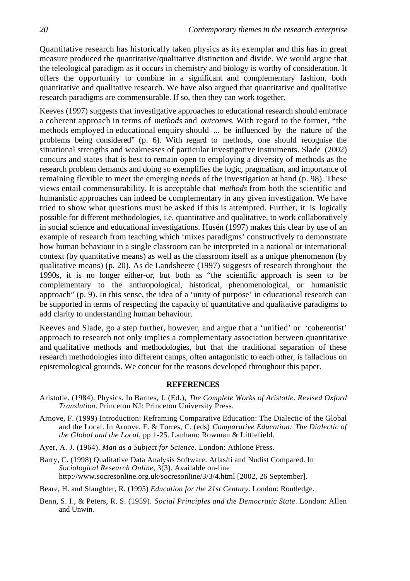Quantitative research has historically taken physics as its exemplar and this has in great measure produced the quantitative/qualitative distinction and divide. We would argue that the teleological paradigm as it occurs in chemistry and biology is worthy of consideration. It offers the opportunity to combine in a significant and complementary fashion, both quantitative and qualitative research. We have also argued that quantitative and qualitative research paradigms are commensurable. If so, then they can work together.

Keeves (1997) suggests that investigative approaches to educational research should embrace a coherent approach in terms of *methods* and *outcomes*. With regard to the former, "the methods employed in educational enquiry should ... be influenced by the nature of the problems being considered" (p. 6). With regard to methods, one should recognise the situational strengths and weaknesses of particular investigative instruments. Slade (2002) concurs and states that is best to remain open to employing a diversity of methods as the research problem demands and doing so exemplifies the logic, pragmatism, and importance of remaining flexible to meet the emerging needs of the investigation at hand (p. 98). These views entail commensurability. It is acceptable that *methods* from both the scientific and humanistic approaches can indeed be complementary in any given investigation. We have tried to show what questions must be asked if this is attempted. Further, it is logically possible for different methodologies, i.e. quantitative and qualitative, to work collaboratively in social science and educational investigations. Husén (1997) makes this clear by use of an example of research from teaching which 'mixes paradigms' constructively to demonstrate how human behaviour in a single classroom can be interpreted in a national or international context (by quantitative means) as well as the classroom itself as a unique phenomenon (by qualitative means) (p. 20). As de Landsheere (1997) suggests of research throughout the 1990s, it is no longer either-or, but both as "the scientific approach is seen to be complementary to the anthropological, historical, phenomenological, or humanistic approach" (p. 9). In this sense, the idea of a 'unity of purpose' in educational research can be supported in terms of respecting the capacity of quantitative and qualitative paradigms to add clarity to understanding human behaviour.

Keeves and Slade, go a step further, however, and argue that a 'unified' or 'coherentist' approach to research not only implies a complementary association between quantitative and qualitative methods and methodologies, but that the traditional separation of these research methodologies into different camps, often antagonistic to each other, is fallacious on epistemological grounds. We concur for the reasons developed throughout this paper.

# **REFERENCES**

- Aristotle. (1984). Physics. In Barnes, J. (Ed.), *The Complete Works of Aristotle. Revised Oxford Translation*. Princeton NJ: Princeton University Press.
- Arnove, F. (1999) Introduction: Reframing Comparative Education: The Dialectic of the Global and the Local. In Arnove, F. & Torres, C. (eds) *Comparative Education: The Dialectic of the Global and the Local*, pp 1-25. Lanham: Rowman & Littlefield.
- Ayer, A. J. (1964). *Man as a Subject for Science*. London: Athlone Press.
- Barry, C. (1998) Qualitative Data Analysis Software: Atlas/ti and Nudist Compared. In *Sociological Research Online,* 3(3). Available on-line http://www.socresonline.org.uk/socresonline/3/3/4.html [2002, 26 September].
- Beare, H. and Slaughter, R. (1995) *Education for the 21st Century*. London: Routledge.
- Benn, S. I., & Peters, R. S. (1959). *Social Principles and the Democratic State*. London: Allen and Unwin.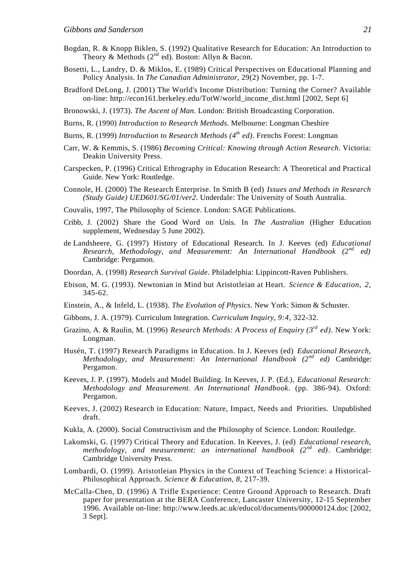- Bogdan, R. & Knopp Biklen, S. (1992) Qualitative Research for Education: An Introduction to Theory & Methods  $(2^{nd}$  ed). Boston: Allyn & Bacon.
- Bosetti, L., Landry, D. & Miklos, E. (1989) Critical Perspectives on Educational Planning and Policy Analysis. In *The Canadian Administrator*, 29(2) November, pp. 1-7.
- Bradford DeLong, J. (2001) The World's Income Distribution: Turning the Corner? Available on-line: http://econ161.berkeley.edu/TotW/world\_income\_dist.html [2002, Sept 6]
- Bronowski, J. (1973). *The Ascent of Man*. London: British Broadcasting Corporation.
- Burns, R. (1990) *Introduction to Research Methods*. Melbourne: Longman Cheshire
- Burns, R. (1999) *Introduction to Research Methods (4th ed)*. Frenchs Forest: Longman
- Carr, W. & Kemmis, S. (1986) *Becoming Critical: Knowing through Action Research*. Victoria: Deakin University Press.
- Carspecken, P. (1996) Critical Ethrography in Education Research: A Theoretical and Practical Guide. New York: Routledge.
- Connole, H. (2000) The Research Enterprise. In Smith B (ed) *Issues and Methods in Research (Study Guide) UED601/SG/01/ver2*. Underdale: The University of South Australia.
- Couvalis, 1997, The Philosophy of Science. London: SAGE Publications.
- Cribb, J. (2002) Share the Good Word on Unis. In *The Australian* (Higher Education supplement, Wednesday 5 June 2002).
- de Landsheere, G. (1997) History of Educational Research. In J. Keeves (ed) *Educational Research, Methodology, and Measurement: An International Handbook (2nd ed)* Cambridge: Pergamon.
- Doordan, A. (1998) *Research Survival Guide*. Philadelphia: Lippincott-Raven Publishers.
- Ebison, M. G. (1993). Newtonian in Mind but Aristotleian at Heart. *Science & Education*, *2*, 345-62.
- Einstein, A., & Infeld, L. (1938). *The Evolution of Physics*. New York: Simon & Schuster.
- Gibbons, J. A. (1979). Curriculum Integration. *Curriculum Inquiry*, *9:4*, 322-32.
- Grazino, A. & Raulin, M. (1996) *Research Methods: A Process of Enquiry (3rd ed)*. New York: Longman.
- Husén, T. (1997) Research Paradigms in Education. In J. Keeves (ed) *Educational Research, Methodology, and Measurement: An International Handbook (2nd ed)* Cambridge: Pergamon.
- Keeves, J. P. (1997). Models and Model Building. In Keeves, J. P. (Ed.), *Educational Research: Methodology and Measurement. An International Handbook*. (pp. 386-94). Oxford: Pergamon.
- Keeves, J. (2002) Research in Education: Nature, Impact, Needs and Priorities. Unpublished draft.
- Kukla, A. (2000). Social Constructivism and the Philosophy of Science. London: Routledge.
- Lakomski, G. (1997) Critical Theory and Education. In Keeves, J. (ed) *Educational research, methodology, and measurement: an international handbook (2nd ed)*. Cambridge: Cambridge University Press.
- Lombardi, O. (1999). Aristotleian Physics in the Context of Teaching Science: a Historical-Philosophical Approach. *Science & Education*, *8*, 217-39.
- McCalla-Chen, D. (1996) A Trifle Experience: Centre Ground Approach to Research. Draft paper for presentation at the BERA Conference, Lancaster University, 12-15 September 1996. Available on-line: http://www.leeds.ac.uk/educol/documents/000000124.doc [2002, 3 Sept].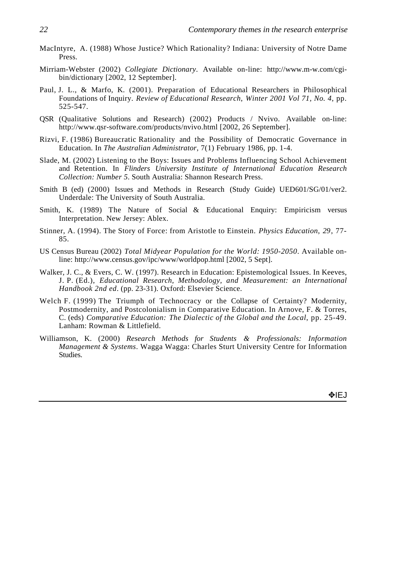- MacIntyre, A. (1988) Whose Justice? Which Rationality? Indiana: University of Notre Dame Press.
- Mirriam-Webster (2002) *Collegiate Dictionary*. Available on-line: http://www.m-w.com/cgibin/dictionary [2002, 12 September].
- Paul, J. L., & Marfo, K. (2001). Preparation of Educational Researchers in Philosophical Foundations of Inquiry. *Review of Educational Research*, *Winter 2001 Vol 71, No. 4*, pp. 525-547.
- QSR (Qualitative Solutions and Research) (2002) Products / Nvivo. Available on-line: http://www.qsr-software.com/products/nvivo.html [2002, 26 September].
- Rizvi, F. (1986) Bureaucratic Rationality and the Possibility of Democratic Governance in Education. In *The Australian Administrator*, 7(1) February 1986, pp. 1-4.
- Slade, M. (2002) Listening to the Boys: Issues and Problems Influencing School Achievement and Retention. In *Flinders University Institute of International Education Research Collection: Number 5*. South Australia: Shannon Research Press.
- Smith B (ed) (2000) Issues and Methods in Research (Study Guide) UED601/SG/01/ver2. Underdale: The University of South Australia.
- Smith, K. (1989) The Nature of Social & Educational Enquiry: Empiricism versus Interpretation. New Jersey: Ablex.
- Stinner, A. (1994). The Story of Force: from Aristotle to Einstein. *Physics Education*, *29*, 77- 85.
- US Census Bureau (2002) *Total Midyear Population for the World: 1950-2050*. Available online: http://www.census.gov/ipc/www/worldpop.html [2002, 5 Sept].
- Walker, J. C., & Evers, C. W. (1997). Research in Education: Epistemological Issues. In Keeves, J. P. (Ed.), *Educational Research, Methodology, and Measurement: an International Handbook 2nd ed*. (pp. 23-31). Oxford: Elsevier Science.
- Welch F. (1999) The Triumph of Technocracy or the Collapse of Certainty? Modernity, Postmodernity, and Postcolonialism in Comparative Education. In Arnove, F. & Torres, C. (eds) *Comparative Education: The Dialectic of the Global and the Local*, pp. 25-49. Lanham: Rowman & Littlefield.
- Williamson, K. (2000) *Research Methods for Students & Professionals: Information Management & Systems*. Wagga Wagga: Charles Sturt University Centre for Information Studies.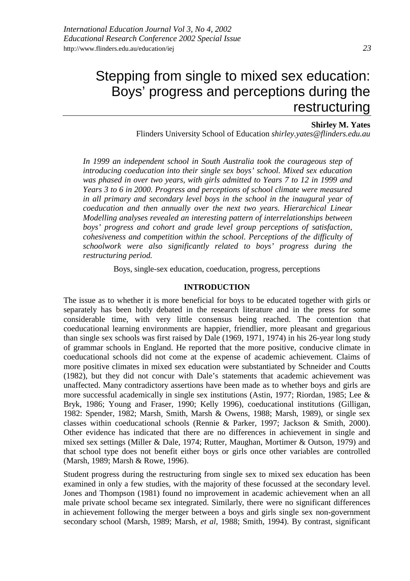## **Shirley M. Yates**

Flinders University School of Education *shirley.yates@flinders.edu.au*

*In 1999 an independent school in South Australia took the courageous step of introducing coeducation into their single sex boys' school. Mixed sex education was phased in over two years, with girls admitted to Years 7 to 12 in 1999 and Years 3 to 6 in 2000. Progress and perceptions of school climate were measured in all primary and secondary level boys in the school in the inaugural year of coeducation and then annually over the next two years. Hierarchical Linear Modelling analyses revealed an interesting pattern of interrelationships between boys' progress and cohort and grade level group perceptions of satisfaction, cohesiveness and competition within the school. Perceptions of the difficulty of schoolwork were also significantly related to boys' progress during the restructuring period.*

Boys, single-sex education, coeducation, progress, perceptions

## **INTRODUCTION**

The issue as to whether it is more beneficial for boys to be educated together with girls or separately has been hotly debated in the research literature and in the press for some considerable time, with very little consensus being reached. The contention that coeducational learning environments are happier, friendlier, more pleasant and gregarious than single sex schools was first raised by Dale (1969, 1971, 1974) in his 26-year long study of grammar schools in England. He reported that the more positive, conducive climate in coeducational schools did not come at the expense of academic achievement. Claims of more positive climates in mixed sex education were substantiated by Schneider and Coutts (1982), but they did not concur with Dale's statements that academic achievement was unaffected. Many contradictory assertions have been made as to whether boys and girls are more successful academically in single sex institutions (Astin, 1977; Riordan, 1985; Lee & Bryk, 1986; Young and Fraser, 1990; Kelly 1996), coeducational institutions (Gilligan, 1982: Spender, 1982; Marsh*,* Smith, Marsh & Owens, 1988; Marsh, 1989), or single sex classes within coeducational schools (Rennie & Parker, 1997; Jackson & Smith, 2000). Other evidence has indicated that there are no differences in achievement in single and mixed sex settings (Miller & Dale, 1974; Rutter, Maughan, Mortimer & Outson, 1979) and that school type does not benefit either boys or girls once other variables are controlled (Marsh, 1989; Marsh & Rowe, 1996).

Student progress during the restructuring from single sex to mixed sex education has been examined in only a few studies, with the majority of these focussed at the secondary level. Jones and Thompson (1981) found no improvement in academic achievement when an all male private school became sex integrated. Similarly, there were no significant differences in achievement following the merger between a boys and girls single sex non-government secondary school (Marsh, 1989; Marsh*, et al,* 1988; Smith, 1994). By contrast, significant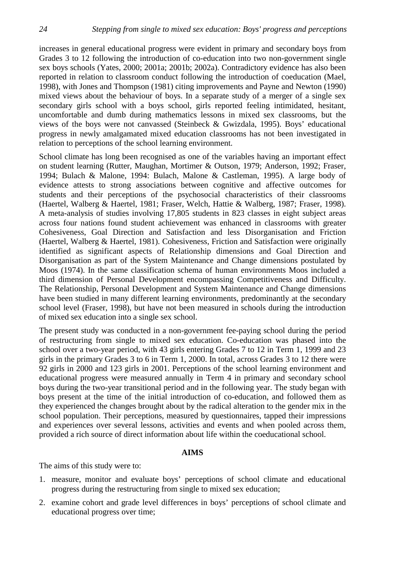increases in general educational progress were evident in primary and secondary boys from Grades 3 to 12 following the introduction of co-education into two non-government single sex boys schools (Yates, 2000; 2001a; 2001b; 2002a). Contradictory evidence has also been reported in relation to classroom conduct following the introduction of coeducation (Mael, 1998), with Jones and Thompson (1981) citing improvements and Payne and Newton (1990) mixed views about the behaviour of boys. In a separate study of a merger of a single sex secondary girls school with a boys school, girls reported feeling intimidated, hesitant, uncomfortable and dumb during mathematics lessons in mixed sex classrooms, but the views of the boys were not canvassed (Steinbeck & Gwizdala, 1995). Boys' educational progress in newly amalgamated mixed education classrooms has not been investigated in relation to perceptions of the school learning environment.

School climate has long been recognised as one of the variables having an important effect on student learning (Rutter, Maughan, Mortimer & Outson, 1979; Anderson, 1992; Fraser, 1994; Bulach & Malone, 1994: Bulach, Malone & Castleman, 1995). A large body of evidence attests to strong associations between cognitive and affective outcomes for students and their perceptions of the psychosocial characteristics of their classrooms (Haertel, Walberg & Haertel, 1981; Fraser, Welch, Hattie & Walberg, 1987; Fraser, 1998). A meta-analysis of studies involving 17,805 students in 823 classes in eight subject areas across four nations found student achievement was enhanced in classrooms with greater Cohesiveness, Goal Direction and Satisfaction and less Disorganisation and Friction (Haertel, Walberg & Haertel, 1981). Cohesiveness, Friction and Satisfaction were originally identified as significant aspects of Relationship dimensions and Goal Direction and Disorganisation as part of the System Maintenance and Change dimensions postulated by Moos (1974). In the same classification schema of human environments Moos included a third dimension of Personal Development encompassing Competitiveness and Difficulty. The Relationship, Personal Development and System Maintenance and Change dimensions have been studied in many different learning environments, predominantly at the secondary school level (Fraser, 1998), but have not been measured in schools during the introduction of mixed sex education into a single sex school.

The present study was conducted in a non-government fee-paying school during the period of restructuring from single to mixed sex education. Co-education was phased into the school over a two-year period, with 43 girls entering Grades 7 to 12 in Term 1, 1999 and 23 girls in the primary Grades 3 to 6 in Term 1, 2000. In total, across Grades 3 to 12 there were 92 girls in 2000 and 123 girls in 2001. Perceptions of the school learning environment and educational progress were measured annually in Term 4 in primary and secondary school boys during the two-year transitional period and in the following year. The study began with boys present at the time of the initial introduction of co-education, and followed them as they experienced the changes brought about by the radical alteration to the gender mix in the school population. Their perceptions, measured by questionnaires, tapped their impressions and experiences over several lessons, activities and events and when pooled across them, provided a rich source of direct information about life within the coeducational school.

# **AIMS**

The aims of this study were to:

- 1. measure, monitor and evaluate boys' perceptions of school climate and educational progress during the restructuring from single to mixed sex education;
- 2. examine cohort and grade level differences in boys' perceptions of school climate and educational progress over time;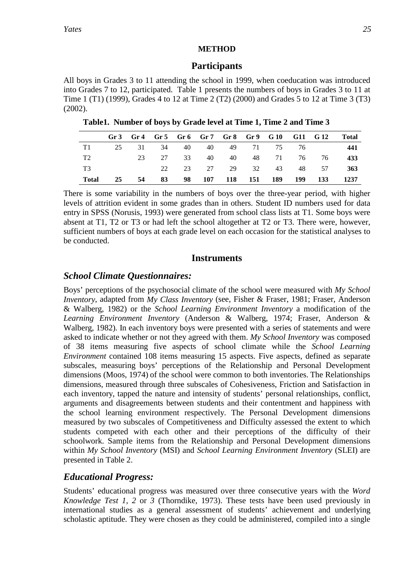# **METHOD**

# **Participants**

All boys in Grades 3 to 11 attending the school in 1999, when coeducation was introduced into Grades 7 to 12, participated. Table 1 presents the numbers of boys in Grades 3 to 11 at Time 1 (T1) (1999), Grades 4 to 12 at Time 2 (T2) (2000) and Grades 5 to 12 at Time 3 (T3) (2002).

**Table1. Number of boys by Grade level at Time 1, Time 2 and Time 3**

|                |    |    |  |  | Gr 3 Gr 4 Gr 5 Gr 6 Gr 7 Gr 8 Gr 9 G 10 G 11 G 12 |                            | <b>Total</b> |
|----------------|----|----|--|--|---------------------------------------------------|----------------------------|--------------|
| T1             |    |    |  |  | 25 31 34 40 40 49 71 75 76                        |                            | 441          |
| T <sub>2</sub> |    |    |  |  |                                                   | 23 27 33 40 40 48 71 76 76 | 433          |
| T3             |    |    |  |  |                                                   | 22 23 27 29 32 43 48 57    | 363          |
| Total          | 25 | 54 |  |  | 83 98 107 118 151 189 199 133                     |                            | 1237         |

There is some variability in the numbers of boys over the three-year period, with higher levels of attrition evident in some grades than in others. Student ID numbers used for data entry in SPSS (Norusis, 1993) were generated from school class lists at T1. Some boys were absent at T1, T2 or T3 or had left the school altogether at T2 or T3. There were, however, sufficient numbers of boys at each grade level on each occasion for the statistical analyses to be conducted.

# **Instruments**

# *School Climate Questionnaires:*

Boys' perceptions of the psychosocial climate of the school were measured with *My School Inventory*, adapted from *My Class Inventory* (see, Fisher & Fraser, 1981; Fraser, Anderson & Walberg, 1982) or the *School Learning Environment Inventory* a modification of the *Learning Environment Inventory* (Anderson & Walberg, 1974; Fraser, Anderson & Walberg, 1982)*.* In each inventory boys were presented with a series of statements and were asked to indicate whether or not they agreed with them. *My School Inventory* was composed of 38 items measuring five aspects of school climate while the *School Learning Environment* contained 108 items measuring 15 aspects. Five aspects, defined as separate subscales, measuring boys' perceptions of the Relationship and Personal Development dimensions (Moos, 1974) of the school were common to both inventories. The Relationships dimensions, measured through three subscales of Cohesiveness, Friction and Satisfaction in each inventory, tapped the nature and intensity of students' personal relationships, conflict, arguments and disagreements between students and their contentment and happiness with the school learning environment respectively. The Personal Development dimensions measured by two subscales of Competitiveness and Difficulty assessed the extent to which students competed with each other and their perceptions of the difficulty of their schoolwork. Sample items from the Relationship and Personal Development dimensions within *My School Inventory* (MSI) and *School Learning Environment Inventory* (SLEI) are presented in Table 2.

# *Educational Progress:*

Students' educational progress was measured over three consecutive years with the *Word Knowledge Test 1, 2* or *3* (Thorndike, 1973). These tests have been used previously in international studies as a general assessment of students' achievement and underlying scholastic aptitude. They were chosen as they could be administered, compiled into a single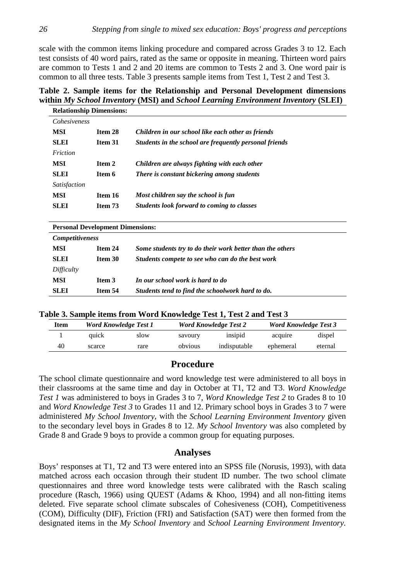scale with the common items linking procedure and compared across Grades 3 to 12. Each test consists of 40 word pairs, rated as the same or opposite in meaning. Thirteen word pairs are common to Tests 1 and 2 and 20 items are common to Tests 2 and 3. One word pair is common to all three tests. Table 3 presents sample items from Test 1, Test 2 and Test 3.

# **Table 2. Sample items for the Relationship and Personal Development dimensions within** *My School Inventory* **(MSI) and** *School Learning Environment Inventory* **(SLEI)**

|                     | <b>Relationship Dimensions:</b> |                                                        |  |
|---------------------|---------------------------------|--------------------------------------------------------|--|
| <i>Cohesiveness</i> |                                 |                                                        |  |
| <b>MSI</b>          | Item 28                         | Children in our school like each other as friends      |  |
| <b>SLEI</b>         | Item 31                         | Students in the school are frequently personal friends |  |
| Friction            |                                 |                                                        |  |
| <b>MSI</b>          | Item 2                          | Children are always fighting with each other           |  |
| <b>SLEI</b>         | Item 6                          | There is constant bickering among students             |  |
| Satisfaction        |                                 |                                                        |  |
| <b>MSI</b>          | Item 16                         | Most children say the school is fun                    |  |
| <b>SLEI</b>         | Item 73                         | Students look forward to coming to classes             |  |
|                     |                                 |                                                        |  |

| <b>Personal Development Dimensions:</b> |         |                                                           |  |  |  |  |  |  |
|-----------------------------------------|---------|-----------------------------------------------------------|--|--|--|--|--|--|
| <b>Competitiveness</b>                  |         |                                                           |  |  |  |  |  |  |
| MSI                                     | Item 24 | Some students try to do their work better than the others |  |  |  |  |  |  |
| <b>SLEI</b>                             | Item 30 | Students compete to see who can do the best work          |  |  |  |  |  |  |
| Difficulty                              |         |                                                           |  |  |  |  |  |  |
| MSI                                     | Item 3  | In our school work is hard to do                          |  |  |  |  |  |  |
| <b>SLEI</b>                             | Item 54 | Students tend to find the schoolwork hard to do.          |  |  |  |  |  |  |

|  |  |  | Table 3. Sample items from Word Knowledge Test 1, Test 2 and Test 3 |  |
|--|--|--|---------------------------------------------------------------------|--|
|  |  |  |                                                                     |  |

| Item | <b>Word Knowledge Test 1</b> |      |         | <b>Word Knowledge Test 2</b> | <b>Word Knowledge Test 3</b> |         |  |
|------|------------------------------|------|---------|------------------------------|------------------------------|---------|--|
|      | auick                        | slow | savoury | insipid                      | acquire                      | dispel  |  |
| 40   | scarce                       | rare | obvious | indisputable                 | ephemeral                    | eternal |  |

# **Procedure**

The school climate questionnaire and word knowledge test were administered to all boys in their classrooms at the same time and day in October at T1, T2 and T3. *Word Knowledge Test 1* was administered to boys in Grades 3 to 7, *Word Knowledge Test 2* to Grades 8 to 10 and *Word Knowledge Test 3* to Grades 11 and 12. Primary school boys in Grades 3 to 7 were administered *My School Inventory*, with the *School Learning Environment Inventory* given to the secondary level boys in Grades 8 to 12. *My School Inventory* was also completed by Grade 8 and Grade 9 boys to provide a common group for equating purposes.

# **Analyses**

Boys' responses at T1, T2 and T3 were entered into an SPSS file (Norusis, 1993), with data matched across each occasion through their student ID number. The two school climate questionnaires and three word knowledge tests were calibrated with the Rasch scaling procedure (Rasch, 1966) using QUEST (Adams & Khoo, 1994) and all non-fitting items deleted. Five separate school climate subscales of Cohesiveness (COH), Competitiveness (COM), Difficulty (DIF), Friction (FRI) and Satisfaction (SAT) were then formed from the designated items in the *My School Inventory* and *School Learning Environment Inventory.*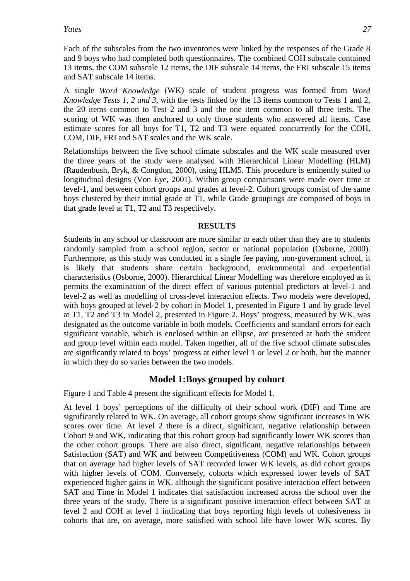Each of the subscales from the two inventories were linked by the responses of the Grade 8 and 9 boys who had completed both questionnaires*.* The combined COH subscale contained 13 items, the COM subscale 12 items, the DIF subscale 14 items, the FRI subscale 15 items and SAT subscale 14 items.

A single *Word Knowledge* (WK) scale of student progress was formed from *Word Knowledge Tests 1, 2 and 3,* with the tests linked by the 13 items common to Tests 1 and 2, the 20 items common to Test 2 and 3 and the one item common to all three tests. The scoring of WK was then anchored to only those students who answered all items. Case estimate scores for all boys for T1, T2 and T3 were equated concurrently for the COH, COM, DIF, FRI and SAT scales and the WK scale.

Relationships between the five school climate subscales and the WK scale measured over the three years of the study were analysed with Hierarchical Linear Modelling (HLM) (Raudenbush, Bryk, & Congdon, 2000), using HLM5. This procedure is eminently suited to longitudinal designs (Von Eye, 2001). Within group comparisons were made over time at level-1, and between cohort groups and grades at level-2. Cohort groups consist of the same boys clustered by their initial grade at T1, while Grade groupings are composed of boys in that grade level at T1, T2 and T3 respectively.

# **RESULTS**

Students in any school or classroom are more similar to each other than they are to students randomly sampled from a school region, sector or national population (Osborne, 2000). Furthermore, as this study was conducted in a single fee paying, non-government school, it is likely that students share certain background, environmental and experiential characteristics (Osborne, 2000). Hierarchical Linear Modelling was therefore employed as it permits the examination of the direct effect of various potential predictors at level-1 and level-2 as well as modelling of cross-level interaction effects. Two models were developed, with boys grouped at level-2 by cohort in Model 1, presented in Figure 1 and by grade level at T1, T2 and T3 in Model 2, presented in Figure 2. Boys' progress, measured by WK, was designated as the outcome variable in both models. Coefficients and standard errors for each significant variable, which is enclosed within an ellipse, are presented at both the student and group level within each model. Taken together, all of the five school climate subscales are significantly related to boys' progress at either level 1 or level 2 or both, but the manner in which they do so varies between the two models.

# **Model 1:Boys grouped by cohort**

Figure 1 and Table 4 present the significant effects for Model 1.

At level 1 boys' perceptions of the difficulty of their school work (DIF) and Time are significantly related to WK. On average, all cohort groups show significant increases in WK scores over time. At level 2 there is a direct, significant, negative relationship between Cohort 9 and WK, indicating that this cohort group had significantly lower WK scores than the other cohort groups. There are also direct, significant, negative relationships between Satisfaction (SAT) and WK and between Competitiveness (COM) and WK. Cohort groups that on average had higher levels of SAT recorded lower WK levels, as did cohort groups with higher levels of COM. Conversely, cohorts which expressed lower levels of SAT experienced higher gains in WK. although the significant positive interaction effect between SAT and Time in Model 1 indicates that satisfaction increased across the school over the three years of the study. There is a significant positive interaction effect between SAT at level 2 and COH at level 1 indicating that boys reporting high levels of cohesiveness in cohorts that are, on average, more satisfied with school life have lower WK scores. By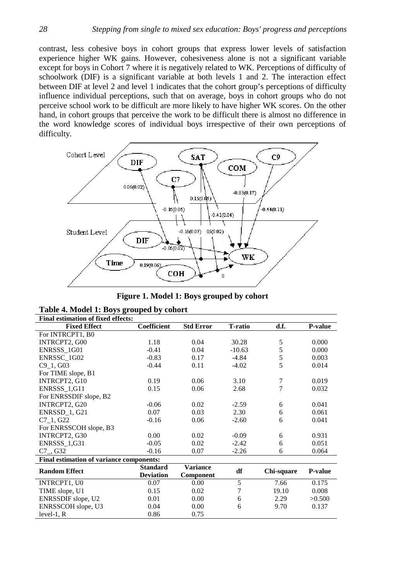contrast, less cohesive boys in cohort groups that express lower levels of satisfaction experience higher WK gains. However, cohesiveness alone is not a significant variable except for boys in Cohort 7 where it is negatively related to WK. Perceptions of difficulty of schoolwork (DIF) is a significant variable at both levels 1 and 2. The interaction effect between DIF at level 2 and level 1 indicates that the cohort group's perceptions of difficulty influence individual perceptions, such that on average, boys in cohort groups who do not perceive school work to be difficult are more likely to have higher WK scores. On the other hand, in cohort groups that perceive the work to be difficult there is almost no difference in the word knowledge scores of individual boys irrespective of their own perceptions of difficulty.



|  |  | Figure 1. Model 1: Boys grouped by cohort |  |
|--|--|-------------------------------------------|--|
|  |  |                                           |  |

| <b>Final estimation of fixed effects:</b> |                    |                  |                 |            |                |
|-------------------------------------------|--------------------|------------------|-----------------|------------|----------------|
| <b>Fixed Effect</b>                       | <b>Coefficient</b> | <b>Std Error</b> | <b>T</b> -ratio | d.f.       | <b>P-value</b> |
| For INTRCPT1, B0                          |                    |                  |                 |            |                |
| INTRCPT2, G00                             | 1.18               | 0.04             | 30.28           | 5          | 0.000          |
| ENRSSS 1G01                               | $-0.41$            | 0.04             | $-10.63$        | 5          | 0.000          |
| ENRSSC 1G02                               | $-0.83$            | 0.17             | $-4.84$         | 5          | 0.003          |
| C <sub>9</sub> 1, G <sub>0</sub> 3        | $-0.44$            | 0.11             | $-4.02$         | 5          | 0.014          |
| For TIME slope, B1                        |                    |                  |                 |            |                |
| INTRCPT2, G10                             | 0.19               | 0.06             | 3.10            | 7          | 0.019          |
| ENRSSS_1,G11                              | 0.15               | 0.06             | 2.68            | 7          | 0.032          |
| For ENRSSDIF slope, B2                    |                    |                  |                 |            |                |
| INTRCPT2, G20                             | $-0.06$            | 0.02             | $-2.59$         | 6          | 0.041          |
| ENRSSD 1, G21                             | 0.07               | 0.03             | 2.30            | 6          | 0.061          |
| C7 1, G22                                 | $-0.16$            | 0.06             | $-2.60$         | 6          | 0.041          |
| For ENRSSCOH slope, B3                    |                    |                  |                 |            |                |
| INTRCPT2, G30                             | 0.00               | 0.02             | $-0.09$         | 6          | 0.931          |
| ENRSSS_1,G31                              | $-0.05$            | 0.02             | $-2.42$         | 6          | 0.051          |
| $C7_{,}$ , G32                            | $-0.16$            | 0.07             | $-2.26$         | 6          | 0.064          |
| Final estimation of variance components:  |                    |                  |                 |            |                |
| <b>Random Effect</b>                      | <b>Standard</b>    | <b>Variance</b>  | df              | Chi-square | <b>P-value</b> |
|                                           | <b>Deviation</b>   | Component        |                 |            |                |
| INTRCPT1, U0                              | 0.07               | 0.00             | 5               | 7.66       | 0.175          |
| TIME slope, U1                            | 0.15               | 0.02             | 7               | 19.10      | 0.008          |
| ENRSSDIF slope, U2                        | 0.01               | 0.00             | 6               | 2.29       | >0.500         |
| ENRSSCOH slope, U3                        | 0.04               | 0.00             | 6               | 9.70       | 0.137          |
| $level-1, R$                              | 0.86               | 0.75             |                 |            |                |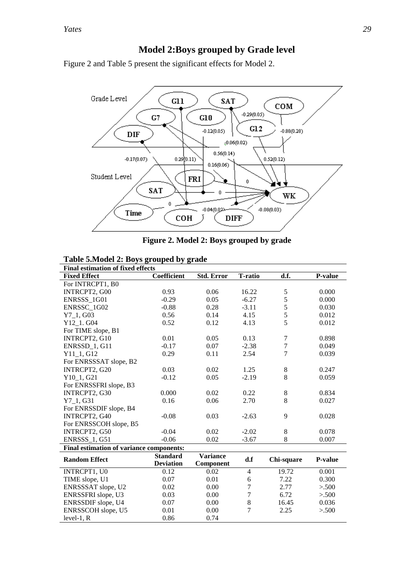level-1,  $R$ 

l.

# **Model 2:Boys grouped by Grade level**

Figure 2 and Table 5 present the significant effects for Model 2.



|  |  | Figure 2. Model 2: Boys grouped by grade |  |
|--|--|------------------------------------------|--|
|  |  |                                          |  |

| Table 5. Model 2: Boys grouped by grade |  |  |  |  |  |  |  |  |  |  |
|-----------------------------------------|--|--|--|--|--|--|--|--|--|--|
|-----------------------------------------|--|--|--|--|--|--|--|--|--|--|

| <b>Final estimation of fixed effects</b> |                                     |                              |                |            |                |  |  |  |  |  |  |
|------------------------------------------|-------------------------------------|------------------------------|----------------|------------|----------------|--|--|--|--|--|--|
| <b>Fixed Effect</b>                      | Coefficient                         | <b>Std. Error</b>            | <b>T-ratio</b> | d.f.       | P-value        |  |  |  |  |  |  |
| For INTRCPT1, B0                         |                                     |                              |                |            |                |  |  |  |  |  |  |
| INTRCPT2, G00                            | 0.93                                | 0.06                         | 16.22          | 5          | 0.000          |  |  |  |  |  |  |
| ENRSSS 1G01                              | $-0.29$                             | 0.05                         | $-6.27$        | 5          | 0.000          |  |  |  |  |  |  |
| ENRSSC 1G02                              | $-0.88$                             | 0.28                         | $-3.11$        | 5          | 0.030          |  |  |  |  |  |  |
| $Y7_1, G03$                              | 0.56                                | 0.14                         | 4.15           | 5          | 0.012          |  |  |  |  |  |  |
| Y12_1. G04                               | 0.52                                | 0.12                         | 4.13           | 5          | 0.012          |  |  |  |  |  |  |
| For TIME slope, B1                       |                                     |                              |                |            |                |  |  |  |  |  |  |
| INTRCPT2, G10                            | 0.01                                | 0.05                         | 0.13           | 7          | 0.898          |  |  |  |  |  |  |
| ENRSSD_1, G11                            | $-0.17$                             | 0.07                         | $-2.38$        | $\tau$     | 0.049          |  |  |  |  |  |  |
| $Y11_1, G12$                             | 0.29                                | 0.11                         | 2.54           | 7          | 0.039          |  |  |  |  |  |  |
| For ENRSSSAT slope, B2                   |                                     |                              |                |            |                |  |  |  |  |  |  |
| INTRCPT2, G20                            | 0.03                                | 0.02                         | 1.25           | 8          | 0.247          |  |  |  |  |  |  |
| Y10 1, G21                               | $-0.12$                             | 0.05                         | $-2.19$        | 8          | 0.059          |  |  |  |  |  |  |
| For ENRSSFRI slope, B3                   |                                     |                              |                |            |                |  |  |  |  |  |  |
| INTRCPT2, G30                            | 0.000                               | 0.02                         | 0.22           | 8          | 0.834          |  |  |  |  |  |  |
| $Y7_1, G31$                              | 0.16                                | 0.06                         | 2.70           | 8          | 0.027          |  |  |  |  |  |  |
| For ENRSSDIF slope, B4                   |                                     |                              |                |            |                |  |  |  |  |  |  |
| INTRCPT2, G40                            | $-0.08$                             | 0.03                         | $-2.63$        | 9          | 0.028          |  |  |  |  |  |  |
| For ENRSSCOH slope, B5                   |                                     |                              |                |            |                |  |  |  |  |  |  |
| INTRCPT2, G50                            | $-0.04$                             | 0.02                         | $-2.02$        | 8          | 0.078          |  |  |  |  |  |  |
| <b>ENRSSS_1, G51</b>                     | $-0.06$                             | 0.02                         | $-3.67$        | 8          | 0.007          |  |  |  |  |  |  |
| Final estimation of variance components: |                                     |                              |                |            |                |  |  |  |  |  |  |
| <b>Random Effect</b>                     | <b>Standard</b><br><b>Deviation</b> | <b>Variance</b><br>Component | d.f            | Chi-square | <b>P-value</b> |  |  |  |  |  |  |
| INTRCPT1, U0                             | 0.12                                | 0.02                         | $\overline{4}$ | 19.72      | 0.001          |  |  |  |  |  |  |
| TIME slope, U1                           | 0.07                                | 0.01                         | 6              | 7.22       | 0.300          |  |  |  |  |  |  |
| ENRSSSAT slope, U2                       | 0.02                                | 0.00                         | $\overline{7}$ | 2.77       | > 500          |  |  |  |  |  |  |
| ENRSSFRI slope, U3                       | 0.03                                | 0.00                         | $\overline{7}$ | 6.72       | > 500          |  |  |  |  |  |  |
| ENRSSDIF slope, U4                       | 0.07                                | 0.00                         | 8              | 16.45      | 0.036          |  |  |  |  |  |  |
| ENRSSCOH slope, U5                       | 0.01                                | 0.00                         | $\overline{7}$ | 2.25       | > 500          |  |  |  |  |  |  |

ENRSSCOH slope, U5 0.01 0.00 7 2.25 > .500<br>
level-1, R 0.86 0.74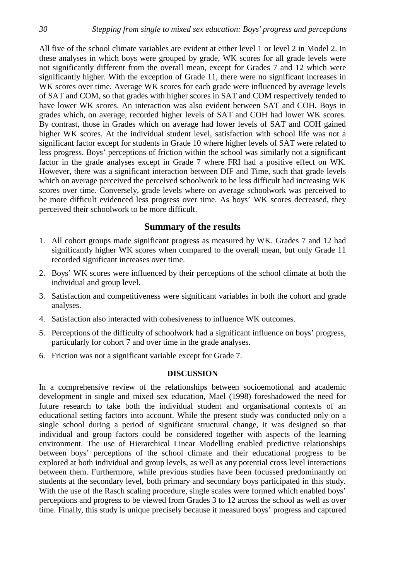All five of the school climate variables are evident at either level 1 or level 2 in Model 2. In these analyses in which boys were grouped by grade, WK scores for all grade levels were not significantly different from the overall mean, except for Grades 7 and 12 which were significantly higher. With the exception of Grade 11, there were no significant increases in WK scores over time. Average WK scores for each grade were influenced by average levels of SAT and COM, so that grades with higher scores in SAT and COM respectively tended to have lower WK scores. An interaction was also evident between SAT and COH. Boys in grades which, on average, recorded higher levels of SAT and COH had lower WK scores. By contrast, those in Grades which on average had lower levels of SAT and COH gained higher WK scores. At the individual student level, satisfaction with school life was not a significant factor except for students in Grade 10 where higher levels of SAT were related to less progress. Boys' perceptions of friction within the school was similarly not a significant factor in the grade analyses except in Grade 7 where FRI had a positive effect on WK. However, there was a significant interaction between DIF and Time, such that grade levels which on average perceived the perceived schoolwork to be less difficult had increasing WK scores over time. Conversely, grade levels where on average schoolwork was perceived to be more difficult evidenced less progress over time. As boys' WK scores decreased, they perceived their schoolwork to be more difficult.

# **Summary of the results**

- 1. All cohort groups made significant progress as measured by WK. Grades 7 and 12 had significantly higher WK scores when compared to the overall mean, but only Grade 11 recorded significant increases over time.
- 2. Boys' WK scores were influenced by their perceptions of the school climate at both the individual and group level.
- 3. Satisfaction and competitiveness were significant variables in both the cohort and grade analyses.
- 4. Satisfaction also interacted with cohesiveness to influence WK outcomes.
- 5. Perceptions of the difficulty of schoolwork had a significant influence on boys' progress, particularly for cohort 7 and over time in the grade analyses.
- 6. Friction was not a significant variable except for Grade 7.

# **DISCUSSION**

In a comprehensive review of the relationships between socioemotional and academic development in single and mixed sex education, Mael (1998) foreshadowed the need for future research to take both the individual student and organisational contexts of an educational setting factors into account. While the present study was conducted only on a single school during a period of significant structural change, it was designed so that individual and group factors could be considered together with aspects of the learning environment. The use of Hierarchical Linear Modelling enabled predictive relationships between boys' perceptions of the school climate and their educational progress to be explored at both individual and group levels, as well as any potential cross level interactions between them. Furthermore, while previous studies have been focussed predominantly on students at the secondary level, both primary and secondary boys participated in this study. With the use of the Rasch scaling procedure, single scales were formed which enabled boys' perceptions and progress to be viewed from Grades 3 to 12 across the school as well as over time. Finally, this study is unique precisely because it measured boys' progress and captured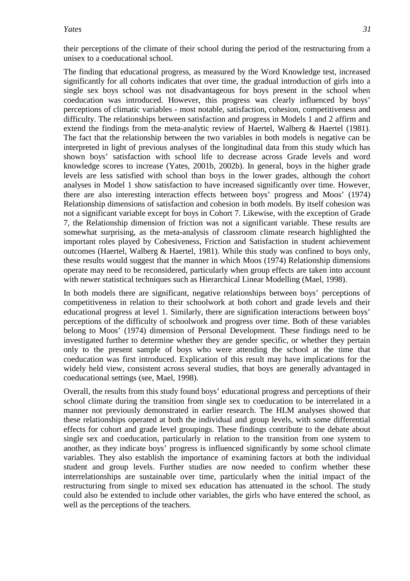their perceptions of the climate of their school during the period of the restructuring from a unisex to a coeducational school.

The finding that educational progress, as measured by the Word Knowledge test, increased significantly for all cohorts indicates that over time, the gradual introduction of girls into a single sex boys school was not disadvantageous for boys present in the school when coeducation was introduced. However, this progress was clearly influenced by boys' perceptions of climatic variables - most notable, satisfaction, cohesion, competitiveness and difficulty. The relationships between satisfaction and progress in Models 1 and 2 affirm and extend the findings from the meta-analytic review of Haertel, Walberg & Haertel (1981). The fact that the relationship between the two variables in both models is negative can be interpreted in light of previous analyses of the longitudinal data from this study which has shown boys' satisfaction with school life to decrease across Grade levels and word knowledge scores to increase (Yates, 2001b, 2002b). In general, boys in the higher grade levels are less satisfied with school than boys in the lower grades, although the cohort analyses in Model 1 show satisfaction to have increased significantly over time. However, there are also interesting interaction effects between boys' progress and Moos' (1974) Relationship dimensions of satisfaction and cohesion in both models. By itself cohesion was not a significant variable except for boys in Cohort 7. Likewise, with the exception of Grade 7, the Relationship dimension of friction was not a significant variable. These results are somewhat surprising, as the meta-analysis of classroom climate research highlighted the important roles played by Cohesiveness, Friction and Satisfaction in student achievement outcomes (Haertel, Walberg & Haertel, 1981). While this study was confined to boys only, these results would suggest that the manner in which Moos (1974) Relationship dimensions operate may need to be reconsidered, particularly when group effects are taken into account with newer statistical techniques such as Hierarchical Linear Modelling (Mael, 1998).

In both models there are significant, negative relationships between boys' perceptions of competitiveness in relation to their schoolwork at both cohort and grade levels and their educational progress at level 1. Similarly, there are signification interactions between boys' perceptions of the difficulty of schoolwork and progress over time. Both of these variables belong to Moos' (1974) dimension of Personal Development. These findings need to be investigated further to determine whether they are gender specific, or whether they pertain only to the present sample of boys who were attending the school at the time that coeducation was first introduced. Explication of this result may have implications for the widely held view, consistent across several studies, that boys are generally advantaged in coeducational settings (see, Mael, 1998).

Overall, the results from this study found boys' educational progress and perceptions of their school climate during the transition from single sex to coeducation to be interrelated in a manner not previously demonstrated in earlier research. The HLM analyses showed that these relationships operated at both the individual and group levels, with some differential effects for cohort and grade level groupings. These findings contribute to the debate about single sex and coeducation, particularly in relation to the transition from one system to another, as they indicate boys' progress is influenced significantly by some school climate variables. They also establish the importance of examining factors at both the individual student and group levels. Further studies are now needed to confirm whether these interrelationships are sustainable over time, particularly when the initial impact of the restructuring from single to mixed sex education has attenuated in the school. The study could also be extended to include other variables, the girls who have entered the school, as well as the perceptions of the teachers.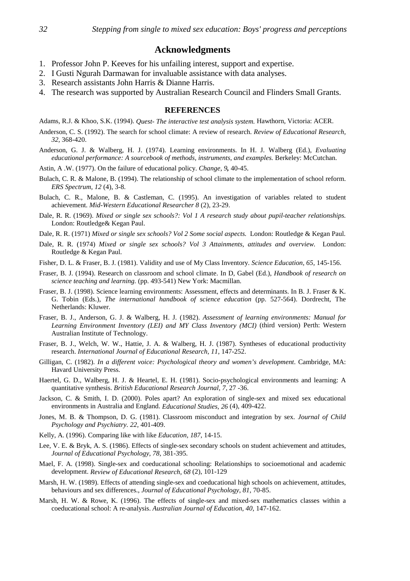# **Acknowledgments**

- 1. Professor John P. Keeves for his unfailing interest, support and expertise.
- 2. I Gusti Ngurah Darmawan for invaluable assistance with data analyses.
- 3. Research assistants John Harris & Dianne Harris.
- 4. The research was supported by Australian Research Council and Flinders Small Grants.

## **REFERENCES**

Adams, R.J. & Khoo, S.K. (1994). *Quest- The interactive test analysis system.* Hawthorn, Victoria: ACER.

- Anderson, C. S. (1992). The search for school climate: A review of research. *Review of Educational Research, 32,* 368-420.
- Anderson, G. J. & Walberg, H. J. (1974). Learning environments. In H. J. Walberg (Ed.), *Evaluating educational performance: A sourcebook of methods, instruments, and examples.* Berkeley: McCutchan.

Astin, A .W. (1977). On the failure of educational policy. *Change*, *9,* 40-45.

- Bulach, C. R. & Malone, B. (1994). The relationship of school climate to the implementation of school reform. *ERS Spectrum, 12* (4), 3-8.
- Bulach, C. R., Malone, B. & Castleman, C. (1995). An investigation of variables related to student achievement. *Mid-Western Educational Researcher 8* (2), 23-29.
- Dale, R. R. (1969). *Mixed or single sex schools?: Vol 1 A research study about pupil-teacher relationships.* London: Routledge& Kegan Paul.
- Dale, R. R. (1971) *Mixed or single sex schools? Vol 2 Some social aspects.* London: Routledge & Kegan Paul.
- Dale, R. R. (1974) *Mixed or single sex schools? Vol 3 Attainments, attitudes and overview.* London: Routledge & Kegan Paul.
- Fisher, D. L. & Fraser, B. J. (1981). Validity and use of My Class Inventory. *Science Education, 65,* 145-156.
- Fraser, B. J. (1994). Research on classroom and school climate. In D, Gabel (Ed.), *Handbook of research on science teaching and learning.* (pp. 493-541) New York: Macmillan.
- Fraser, B. J. (1998). Science learning environments: Assessment, effects and determinants. In B. J. Fraser & K. G. Tobin (Eds.), *The international handbook of science education* (pp. 527-564). Dordrecht, The Netherlands: Kluwer.
- Fraser, B. J., Anderson, G. J. & Walberg, H. J. (1982). *Assessment of learning environments: Manual for Learning Environment Inventory (LEI) and MY Class Inventory (MCI)* (third version) Perth: Western Australian Institute of Technology.
- Fraser, B. J., Welch, W. W., Hattie, J. A. & Walberg, H. J. (1987). Syntheses of educational productivity research. *International Journal of Educational Research, 11*, 147-252.
- Gilligan, C. (1982). *In a different voice: Psychological theory and women's development*. Cambridge, MA: Havard University Press.
- Haertel, G. D., Walberg, H. J. & Heartel, E. H. (1981). Socio-psychological environments and learning: A quantitative synthesis. *British Educational Research Journal, 7,* 27 -36.
- Jackson, C. & Smith, I. D. (2000). Poles apart? An exploration of single-sex and mixed sex educational environments in Australia and England. *Educational Studies, 26* (4), 409-422.
- Jones, M. B. & Thompson, D. G. (1981). Classroom misconduct and integration by sex. *Journal of Child Psychology and Psychiatry. 22,* 401-409.
- Kelly, A. (1996). Comparing like with like *Education, 187*, 14-15.
- Lee, V. E. & Bryk, A. S. (1986). Effects of single-sex secondary schools on student achievement and attitudes, *Journal of Educational Psychology*, *78,* 381-395.
- Mael, F. A. (1998). Single-sex and coeducational schooling: Relationships to socioemotional and academic development. *Review of Educational Research, 68* (2), 101-129
- Marsh, H. W. (1989). Effects of attending single-sex and coeducational high schools on achievement, attitudes, behaviours and sex differences., *Journal of Educational Psychology*, *81*, 70-85.
- Marsh, H. W. & Rowe, K. (1996). The effects of single-sex and mixed-sex mathematics classes within a coeducational school: A re-analysis. *Australian Journal of Education*, *40,* 147-162.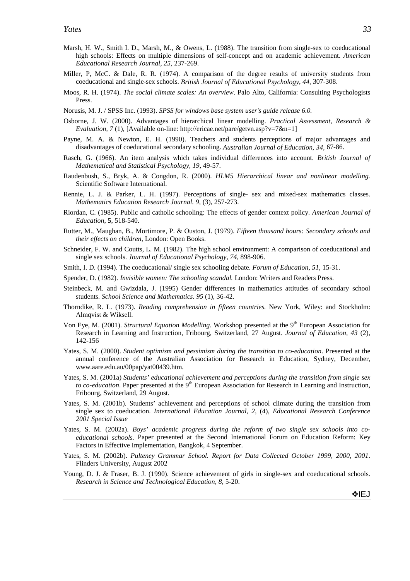- Marsh, H. W., Smith I. D., Marsh, M., & Owens, L. (1988). The transition from single-sex to coeducational high schools: Effects on multiple dimensions of self-concept and on academic achievement. *American Educational Research Journal, 25,* 237-269.
- Miller, P, McC. & Dale, R. R. (1974). A comparison of the degree results of university students from coeducational and single-sex schools. *British Journal of Educational Psychology*, *44,* 307-308.
- Moos, R. H. (1974). *The social climate scales: An overview*. Palo Alto, California: Consulting Psychologists Press.
- Norusis, M. J. / SPSS Inc. (1993). *SPSS for windows base system user's guide release 6.0.*
- Osborne, J. W. (2000). Advantages of hierarchical linear modelling. *Practical Assessment, Research & Evaluation, 7* (1), [Available on-line: http://ericae.net/pare/getvn.asp?v=7&n=1]
- Payne, M. A. & Newton, E. H. (1990). Teachers and students perceptions of major advantages and disadvantages of coeducational secondary schooling. *Australian Journal of Education, 34,* 67-86.
- Rasch, G. (1966). An item analysis which takes individual differences into account. *British Journal of Mathematical and Statistical Psychology, 19,* 49-57.
- Raudenbush, S., Bryk, A. & Congdon, R. (2000). *HLM5 Hierarchical linear and nonlinear modelling.* Scientific Software International.
- Rennie, L. J. & Parker, L. H. (1997). Perceptions of single- sex and mixed-sex mathematics classes. *Mathematics Education Research Journal. 9,* (3), 257-273.
- Riordan, C. (1985). Public and catholic schooling: The effects of gender context policy. *American Journal of Education*, **5**, 518-540.
- Rutter, M., Maughan, B., Mortimore, P. & Ouston, J. (1979). *Fifteen thousand hours: Secondary schools and their effects on children*, London: Open Books.
- Schneider, F. W. and Coutts, L. M. (1982). The high school environment: A comparison of coeducational and single sex schools. *Journal of Educational Psychology, 74*, 898-906.
- Smith, I. D. (1994). The coeducational/ single sex schooling debate. *Forum of Education, 51*, 15-31.
- Spender, D. (1982). *Invisible women: The schooling scandal.* London: Writers and Readers Press.
- Steinbeck, M. and Gwizdala, J. (1995) Gender differences in mathematics attitudes of secondary school students. *School Science and Mathematics. 95* (1), 36-42.
- Thorndike, R. L. (1973). *Reading comprehension in fifteen countries.* New York, Wiley: and Stockholm: Almqvist & Wiksell.
- Von Eye, M. (2001). *Structural Equation Modelling*. Workshop presented at the 9<sup>th</sup> European Association for Research in Learning and Instruction, Fribourg, Switzerland, 27 August. *Journal of Education, 43* (2), 142-156
- Yates, S. M. (2000). *Student optimism and pessimism during the transition to co-education*. Presented at the annual conference of the Australian Association for Research in Education, Sydney, December, www.aare.edu.au/00pap/yat00439.htm.
- Yates, S. M. (2001a) *Students' educational achievement and perceptions during the transition from single sex to co-education*. Paper presented at the 9<sup>th</sup> European Association for Research in Learning and Instruction, Fribourg, Switzerland, 29 August.
- Yates, S. M. (2001b). Students' achievement and perceptions of school climate during the transition from single sex to coeducation. *International Education Journal, 2,* (4), *Educational Research Conference 2001 Special Issue*
- Yates, S. M. (2002a). *Boys' academic progress during the reform of two single sex schools into coeducational schools.* Paper presented at the Second International Forum on Education Reform: Key Factors in Effective Implementation, Bangkok, 4 September.
- Yates, S. M. (2002b). *Pulteney Grammar School. Report for Data Collected October 1999, 2000, 2001*. Flinders University, August 2002
- Young, D. J. & Fraser, B. J. (1990). Science achievement of girls in single-sex and coeducational schools. *Research in Science and Technological Education, 8*, 5-20.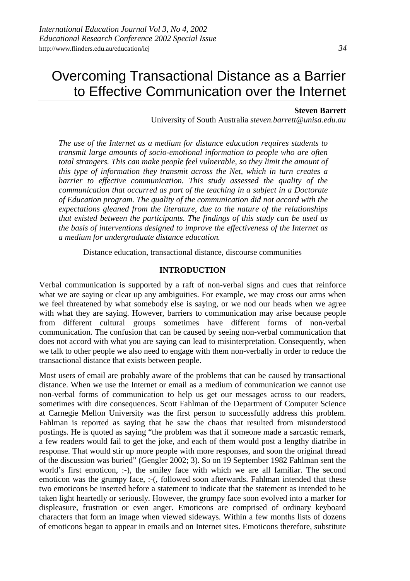# Overcoming Transactional Distance as a Barrier to Effective Communication over the Internet

### **Steven Barrett**

University of South Australia *steven.barrett@unisa.edu.au*

*The use of the Internet as a medium for distance education requires students to transmit large amounts of socio-emotional information to people who are often total strangers. This can make people feel vulnerable, so they limit the amount of this type of information they transmit across the Net, which in turn creates a barrier to effective communication. This study assessed the quality of the communication that occurred as part of the teaching in a subject in a Doctorate of Education program. The quality of the communication did not accord with the expectations gleaned from the literature, due to the nature of the relationships that existed between the participants. The findings of this study can be used as the basis of interventions designed to improve the effectiveness of the Internet as a medium for undergraduate distance education.*

Distance education, transactional distance, discourse communities

### **INTRODUCTION**

Verbal communication is supported by a raft of non-verbal signs and cues that reinforce what we are saying or clear up any ambiguities. For example, we may cross our arms when we feel threatened by what somebody else is saying, or we nod our heads when we agree with what they are saying. However, barriers to communication may arise because people from different cultural groups sometimes have different forms of non-verbal communication. The confusion that can be caused by seeing non-verbal communication that does not accord with what you are saying can lead to misinterpretation. Consequently, when we talk to other people we also need to engage with them non-verbally in order to reduce the transactional distance that exists between people.

Most users of email are probably aware of the problems that can be caused by transactional distance. When we use the Internet or email as a medium of communication we cannot use non-verbal forms of communication to help us get our messages across to our readers, sometimes with dire consequences. Scott Fahlman of the Department of Computer Science at Carnegie Mellon University was the first person to successfully address this problem. Fahlman is reported as saying that he saw the chaos that resulted from misunderstood postings. He is quoted as saying "the problem was that if someone made a sarcastic remark, a few readers would fail to get the joke, and each of them would post a lengthy diatribe in response. That would stir up more people with more responses, and soon the original thread of the discussion was buried" (Gengler 2002; 3). So on 19 September 1982 Fahlman sent the world's first emoticon, :-), the smiley face with which we are all familiar. The second emoticon was the grumpy face, :-(, followed soon afterwards. Fahlman intended that these two emoticons be inserted before a statement to indicate that the statement as intended to be taken light heartedly or seriously. However, the grumpy face soon evolved into a marker for displeasure, frustration or even anger. Emoticons are comprised of ordinary keyboard characters that form an image when viewed sideways. Within a few months lists of dozens of emoticons began to appear in emails and on Internet sites. Emoticons therefore, substitute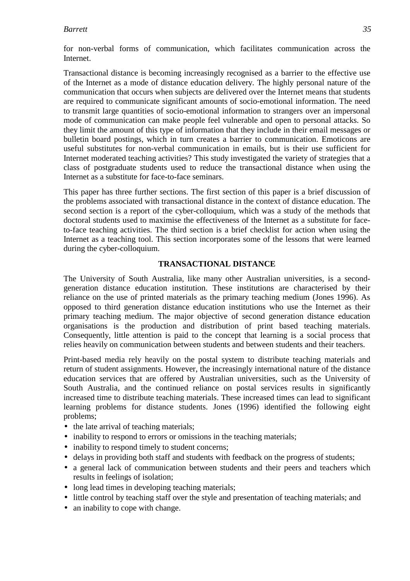for non-verbal forms of communication, which facilitates communication across the Internet.

Transactional distance is becoming increasingly recognised as a barrier to the effective use of the Internet as a mode of distance education delivery. The highly personal nature of the communication that occurs when subjects are delivered over the Internet means that students are required to communicate significant amounts of socio-emotional information. The need to transmit large quantities of socio-emotional information to strangers over an impersonal mode of communication can make people feel vulnerable and open to personal attacks. So they limit the amount of this type of information that they include in their email messages or bulletin board postings, which in turn creates a barrier to communication. Emoticons are useful substitutes for non-verbal communication in emails, but is their use sufficient for Internet moderated teaching activities? This study investigated the variety of strategies that a class of postgraduate students used to reduce the transactional distance when using the Internet as a substitute for face-to-face seminars.

This paper has three further sections. The first section of this paper is a brief discussion of the problems associated with transactional distance in the context of distance education. The second section is a report of the cyber-colloquium, which was a study of the methods that doctoral students used to maximise the effectiveness of the Internet as a substitute for faceto-face teaching activities. The third section is a brief checklist for action when using the Internet as a teaching tool. This section incorporates some of the lessons that were learned during the cyber-colloquium.

# **TRANSACTIONAL DISTANCE**

The University of South Australia, like many other Australian universities, is a secondgeneration distance education institution. These institutions are characterised by their reliance on the use of printed materials as the primary teaching medium (Jones 1996). As opposed to third generation distance education institutions who use the Internet as their primary teaching medium. The major objective of second generation distance education organisations is the production and distribution of print based teaching materials. Consequently, little attention is paid to the concept that learning is a social process that relies heavily on communication between students and between students and their teachers.

Print-based media rely heavily on the postal system to distribute teaching materials and return of student assignments. However, the increasingly international nature of the distance education services that are offered by Australian universities, such as the University of South Australia, and the continued reliance on postal services results in significantly increased time to distribute teaching materials. These increased times can lead to significant learning problems for distance students. Jones (1996) identified the following eight problems;

- the late arrival of teaching materials;
- inability to respond to errors or omissions in the teaching materials;
- inability to respond timely to student concerns;
- delays in providing both staff and students with feedback on the progress of students;
- a general lack of communication between students and their peers and teachers which results in feelings of isolation;
- long lead times in developing teaching materials;
- little control by teaching staff over the style and presentation of teaching materials; and
- an inability to cope with change.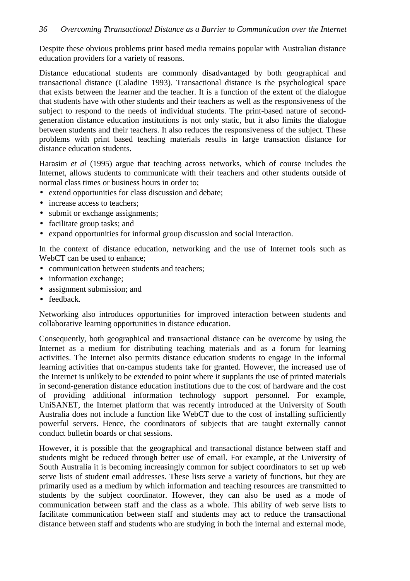Despite these obvious problems print based media remains popular with Australian distance education providers for a variety of reasons.

Distance educational students are commonly disadvantaged by both geographical and transactional distance (Caladine 1993). Transactional distance is the psychological space that exists between the learner and the teacher. It is a function of the extent of the dialogue that students have with other students and their teachers as well as the responsiveness of the subject to respond to the needs of individual students. The print-based nature of secondgeneration distance education institutions is not only static, but it also limits the dialogue between students and their teachers. It also reduces the responsiveness of the subject. These problems with print based teaching materials results in large transaction distance for distance education students.

Harasim *et al* (1995) argue that teaching across networks, which of course includes the Internet, allows students to communicate with their teachers and other students outside of normal class times or business hours in order to;

- extend opportunities for class discussion and debate;
- increase access to teachers:
- submit or exchange assignments;
- facilitate group tasks; and
- expand opportunities for informal group discussion and social interaction.

In the context of distance education, networking and the use of Internet tools such as WebCT can be used to enhance:

- communication between students and teachers:
- information exchange;
- assignment submission; and
- feedback.

Networking also introduces opportunities for improved interaction between students and collaborative learning opportunities in distance education.

Consequently, both geographical and transactional distance can be overcome by using the Internet as a medium for distributing teaching materials and as a forum for learning activities. The Internet also permits distance education students to engage in the informal learning activities that on-campus students take for granted. However, the increased use of the Internet is unlikely to be extended to point where it supplants the use of printed materials in second-generation distance education institutions due to the cost of hardware and the cost of providing additional information technology support personnel. For example, UniSANET, the Internet platform that was recently introduced at the University of South Australia does not include a function like WebCT due to the cost of installing sufficiently powerful servers. Hence, the coordinators of subjects that are taught externally cannot conduct bulletin boards or chat sessions.

However, it is possible that the geographical and transactional distance between staff and students might be reduced through better use of email. For example, at the University of South Australia it is becoming increasingly common for subject coordinators to set up web serve lists of student email addresses. These lists serve a variety of functions, but they are primarily used as a medium by which information and teaching resources are transmitted to students by the subject coordinator. However, they can also be used as a mode of communication between staff and the class as a whole. This ability of web serve lists to facilitate communication between staff and students may act to reduce the transactional distance between staff and students who are studying in both the internal and external mode,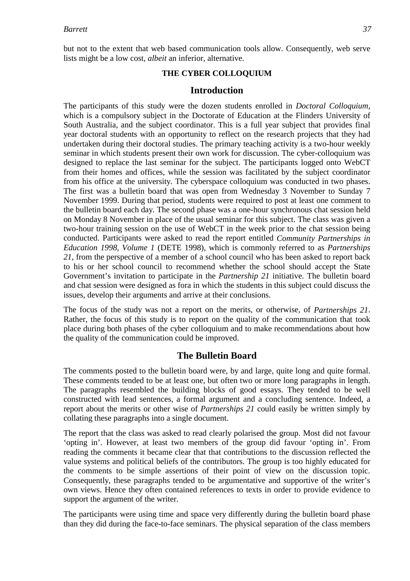but not to the extent that web based communication tools allow. Consequently, web serve lists might be a low cost, *albeit* an inferior, alternative.

# **THE CYBER COLLOQUIUM**

## **Introduction**

The participants of this study were the dozen students enrolled in *Doctoral Colloquium*, which is a compulsory subject in the Doctorate of Education at the Flinders University of South Australia, and the subject coordinator. This is a full year subject that provides final year doctoral students with an opportunity to reflect on the research projects that they had undertaken during their doctoral studies. The primary teaching activity is a two-hour weekly seminar in which students present their own work for discussion. The cyber-colloquium was designed to replace the last seminar for the subject. The participants logged onto WebCT from their homes and offices, while the session was facilitated by the subject coordinator from his office at the university. The cyberspace colloquium was conducted in two phases. The first was a bulletin board that was open from Wednesday 3 November to Sunday 7 November 1999. During that period, students were required to post at least one comment to the bulletin board each day. The second phase was a one-hour synchronous chat session held on Monday 8 November in place of the usual seminar for this subject. The class was given a two-hour training session on the use of WebCT in the week prior to the chat session being conducted. Participants were asked to read the report entitled *Community Partnerships in Education 1998, Volume 1* (DETE 1998), which is commonly referred to as *Partnerships 21*, from the perspective of a member of a school council who has been asked to report back to his or her school council to recommend whether the school should accept the State Government's invitation to participate in the *Partnership 21* initiative. The bulletin board and chat session were designed as fora in which the students in this subject could discuss the issues, develop their arguments and arrive at their conclusions.

The focus of the study was not a report on the merits, or otherwise, of *Partnerships 21*. Rather, the focus of this study is to report on the quality of the communication that took place during both phases of the cyber colloquium and to make recommendations about how the quality of the communication could be improved.

# **The Bulletin Board**

The comments posted to the bulletin board were, by and large, quite long and quite formal. These comments tended to be at least one, but often two or more long paragraphs in length. The paragraphs resembled the building blocks of good essays. They tended to be well constructed with lead sentences, a formal argument and a concluding sentence. Indeed, a report about the merits or other wise of *Partnerships 21* could easily be written simply by collating these paragraphs into a single document.

The report that the class was asked to read clearly polarised the group. Most did not favour 'opting in'. However, at least two members of the group did favour 'opting in'. From reading the comments it became clear that that contributions to the discussion reflected the value systems and political beliefs of the contributors. The group is too highly educated for the comments to be simple assertions of their point of view on the discussion topic. Consequently, these paragraphs tended to be argumentative and supportive of the writer's own views. Hence they often contained references to texts in order to provide evidence to support the argument of the writer.

The participants were using time and space very differently during the bulletin board phase than they did during the face-to-face seminars. The physical separation of the class members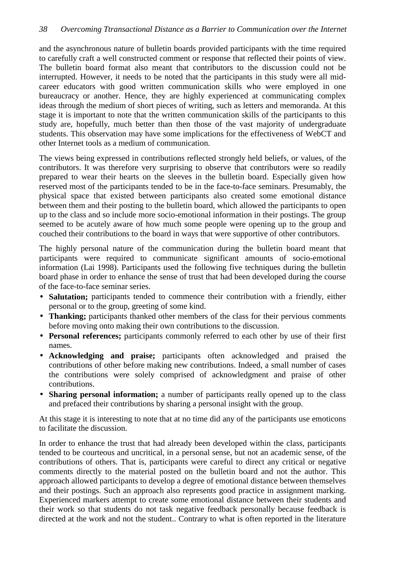and the asynchronous nature of bulletin boards provided participants with the time required to carefully craft a well constructed comment or response that reflected their points of view. The bulletin board format also meant that contributors to the discussion could not be interrupted. However, it needs to be noted that the participants in this study were all midcareer educators with good written communication skills who were employed in one bureaucracy or another. Hence, they are highly experienced at communicating complex ideas through the medium of short pieces of writing, such as letters and memoranda. At this stage it is important to note that the written communication skills of the participants to this study are, hopefully, much better than then those of the vast majority of undergraduate students. This observation may have some implications for the effectiveness of WebCT and other Internet tools as a medium of communication.

The views being expressed in contributions reflected strongly held beliefs, or values, of the contributors. It was therefore very surprising to observe that contributors were so readily prepared to wear their hearts on the sleeves in the bulletin board. Especially given how reserved most of the participants tended to be in the face-to-face seminars. Presumably, the physical space that existed between participants also created some emotional distance between them and their posting to the bulletin board, which allowed the participants to open up to the class and so include more socio-emotional information in their postings. The group seemed to be acutely aware of how much some people were opening up to the group and couched their contributions to the board in ways that were supportive of other contributors.

The highly personal nature of the communication during the bulletin board meant that participants were required to communicate significant amounts of socio-emotional information (Lai 1998). Participants used the following five techniques during the bulletin board phase in order to enhance the sense of trust that had been developed during the course of the face-to-face seminar series.

- **Salutation;** participants tended to commence their contribution with a friendly, either personal or to the group, greeting of some kind.
- **Thanking;** participants thanked other members of the class for their pervious comments before moving onto making their own contributions to the discussion.
- **Personal references;** participants commonly referred to each other by use of their first names.
- **Acknowledging and praise;** participants often acknowledged and praised the contributions of other before making new contributions. Indeed, a small number of cases the contributions were solely comprised of acknowledgment and praise of other contributions.
- **Sharing personal information;** a number of participants really opened up to the class and prefaced their contributions by sharing a personal insight with the group.

At this stage it is interesting to note that at no time did any of the participants use emoticons to facilitate the discussion.

In order to enhance the trust that had already been developed within the class, participants tended to be courteous and uncritical, in a personal sense, but not an academic sense, of the contributions of others. That is, participants were careful to direct any critical or negative comments directly to the material posted on the bulletin board and not the author. This approach allowed participants to develop a degree of emotional distance between themselves and their postings. Such an approach also represents good practice in assignment marking. Experienced markers attempt to create some emotional distance between their students and their work so that students do not task negative feedback personally because feedback is directed at the work and not the student.. Contrary to what is often reported in the literature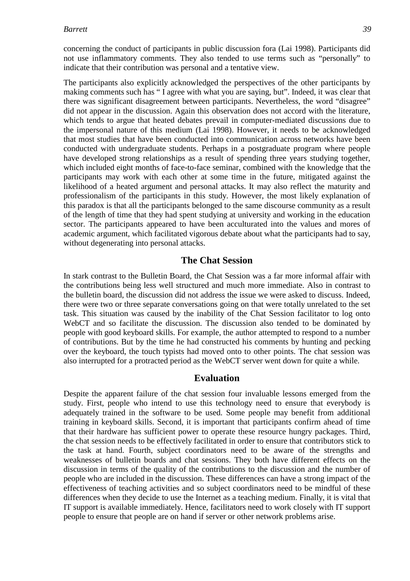concerning the conduct of participants in public discussion fora (Lai 1998). Participants did not use inflammatory comments. They also tended to use terms such as "personally" to indicate that their contribution was personal and a tentative view.

The participants also explicitly acknowledged the perspectives of the other participants by making comments such has " I agree with what you are saying, but". Indeed, it was clear that there was significant disagreement between participants. Nevertheless, the word "disagree" did not appear in the discussion. Again this observation does not accord with the literature, which tends to argue that heated debates prevail in computer-mediated discussions due to the impersonal nature of this medium (Lai 1998). However, it needs to be acknowledged that most studies that have been conducted into communication across networks have been conducted with undergraduate students. Perhaps in a postgraduate program where people have developed strong relationships as a result of spending three years studying together, which included eight months of face-to-face seminar, combined with the knowledge that the participants may work with each other at some time in the future, mitigated against the likelihood of a heated argument and personal attacks. It may also reflect the maturity and professionalism of the participants in this study. However, the most likely explanation of this paradox is that all the participants belonged to the same discourse community as a result of the length of time that they had spent studying at university and working in the education sector. The participants appeared to have been acculturated into the values and mores of academic argument, which facilitated vigorous debate about what the participants had to say, without degenerating into personal attacks.

### **The Chat Session**

In stark contrast to the Bulletin Board, the Chat Session was a far more informal affair with the contributions being less well structured and much more immediate. Also in contrast to the bulletin board, the discussion did not address the issue we were asked to discuss. Indeed, there were two or three separate conversations going on that were totally unrelated to the set task. This situation was caused by the inability of the Chat Session facilitator to log onto WebCT and so facilitate the discussion. The discussion also tended to be dominated by people with good keyboard skills. For example, the author attempted to respond to a number of contributions. But by the time he had constructed his comments by hunting and pecking over the keyboard, the touch typists had moved onto to other points. The chat session was also interrupted for a protracted period as the WebCT server went down for quite a while.

### **Evaluation**

Despite the apparent failure of the chat session four invaluable lessons emerged from the study. First, people who intend to use this technology need to ensure that everybody is adequately trained in the software to be used. Some people may benefit from additional training in keyboard skills. Second, it is important that participants confirm ahead of time that their hardware has sufficient power to operate these resource hungry packages. Third, the chat session needs to be effectively facilitated in order to ensure that contributors stick to the task at hand. Fourth, subject coordinators need to be aware of the strengths and weaknesses of bulletin boards and chat sessions. They both have different effects on the discussion in terms of the quality of the contributions to the discussion and the number of people who are included in the discussion. These differences can have a strong impact of the effectiveness of teaching activities and so subject coordinators need to be mindful of these differences when they decide to use the Internet as a teaching medium. Finally, it is vital that IT support is available immediately. Hence, facilitators need to work closely with IT support people to ensure that people are on hand if server or other network problems arise.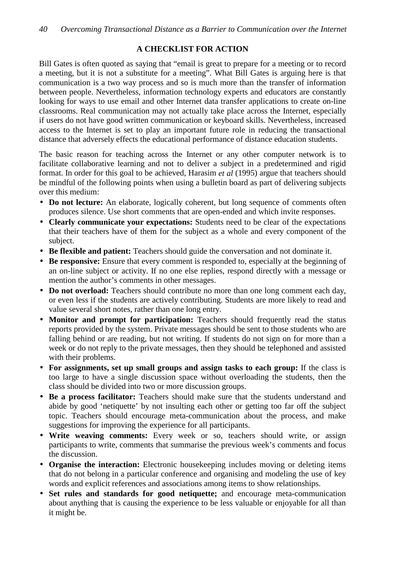# **A CHECKLIST FOR ACTION**

Bill Gates is often quoted as saying that "email is great to prepare for a meeting or to record a meeting, but it is not a substitute for a meeting". What Bill Gates is arguing here is that communication is a two way process and so is much more than the transfer of information between people. Nevertheless, information technology experts and educators are constantly looking for ways to use email and other Internet data transfer applications to create on-line classrooms. Real communication may not actually take place across the Internet, especially if users do not have good written communication or keyboard skills. Nevertheless, increased access to the Internet is set to play an important future role in reducing the transactional distance that adversely effects the educational performance of distance education students.

The basic reason for teaching across the Internet or any other computer network is to facilitate collaborative learning and not to deliver a subject in a predetermined and rigid format. In order for this goal to be achieved, Harasim *et al* (1995) argue that teachers should be mindful of the following points when using a bulletin board as part of delivering subjects over this medium:

- **Do not lecture:** An elaborate, logically coherent, but long sequence of comments often produces silence. Use short comments that are open-ended and which invite responses.
- **Clearly communicate your expectations:** Students need to be clear of the expectations that their teachers have of them for the subject as a whole and every component of the subject.
- **Be flexible and patient:** Teachers should guide the conversation and not dominate it.
- **Be responsive:** Ensure that every comment is responded to, especially at the beginning of an on-line subject or activity. If no one else replies, respond directly with a message or mention the author's comments in other messages.
- **Do not overload:** Teachers should contribute no more than one long comment each day, or even less if the students are actively contributing. Students are more likely to read and value several short notes, rather than one long entry.
- **Monitor and prompt for participation:** Teachers should frequently read the status reports provided by the system. Private messages should be sent to those students who are falling behind or are reading, but not writing. If students do not sign on for more than a week or do not reply to the private messages, then they should be telephoned and assisted with their problems.
- **For assignments, set up small groups and assign tasks to each group:** If the class is too large to have a single discussion space without overloading the students, then the class should be divided into two or more discussion groups.
- **Be a process facilitator:** Teachers should make sure that the students understand and abide by good 'netiquette' by not insulting each other or getting too far off the subject topic. Teachers should encourage meta-communication about the process, and make suggestions for improving the experience for all participants.
- **Write weaving comments:** Every week or so, teachers should write, or assign participants to write, comments that summarise the previous week's comments and focus the discussion.
- **Organise the interaction:** Electronic housekeeping includes moving or deleting items that do not belong in a particular conference and organising and modeling the use of key words and explicit references and associations among items to show relationships.
- **Set rules and standards for good netiquette;** and encourage meta-communication about anything that is causing the experience to be less valuable or enjoyable for all than it might be.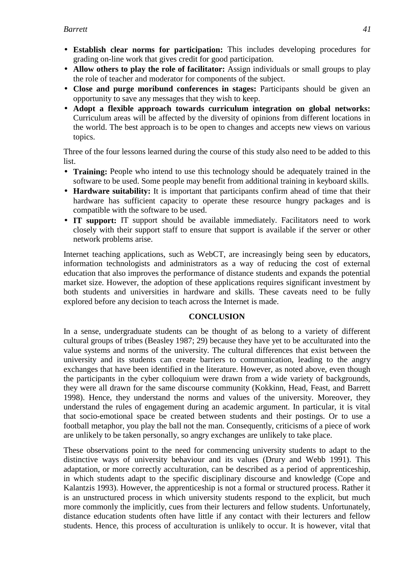- **Establish clear norms for participation:** This includes developing procedures for grading on-line work that gives credit for good participation.
- **Allow others to play the role of facilitator:** Assign individuals or small groups to play the role of teacher and moderator for components of the subject.
- **Close and purge moribund conferences in stages:** Participants should be given an opportunity to save any messages that they wish to keep.
- **Adopt a flexible approach towards curriculum integration on global networks:** Curriculum areas will be affected by the diversity of opinions from different locations in the world. The best approach is to be open to changes and accepts new views on various topics.

Three of the four lessons learned during the course of this study also need to be added to this list.

- **Training:** People who intend to use this technology should be adequately trained in the software to be used. Some people may benefit from additional training in keyboard skills.
- **Hardware suitability:** It is important that participants confirm ahead of time that their hardware has sufficient capacity to operate these resource hungry packages and is compatible with the software to be used.
- IT support: IT support should be available immediately. Facilitators need to work closely with their support staff to ensure that support is available if the server or other network problems arise.

Internet teaching applications, such as WebCT, are increasingly being seen by educators, information technologists and administrators as a way of reducing the cost of external education that also improves the performance of distance students and expands the potential market size. However, the adoption of these applications requires significant investment by both students and universities in hardware and skills. These caveats need to be fully explored before any decision to teach across the Internet is made.

# **CONCLUSION**

In a sense, undergraduate students can be thought of as belong to a variety of different cultural groups of tribes (Beasley 1987; 29) because they have yet to be acculturated into the value systems and norms of the university. The cultural differences that exist between the university and its students can create barriers to communication, leading to the angry exchanges that have been identified in the literature. However, as noted above, even though the participants in the cyber colloquium were drawn from a wide variety of backgrounds, they were all drawn for the same discourse community (Kokkinn, Head, Feast, and Barrett 1998). Hence, they understand the norms and values of the university. Moreover, they understand the rules of engagement during an academic argument. In particular, it is vital that socio-emotional space be created between students and their postings. Or to use a football metaphor, you play the ball not the man. Consequently, criticisms of a piece of work are unlikely to be taken personally, so angry exchanges are unlikely to take place.

These observations point to the need for commencing university students to adapt to the distinctive ways of university behaviour and its values (Drury and Webb 1991). This adaptation, or more correctly acculturation, can be described as a period of apprenticeship, in which students adapt to the specific disciplinary discourse and knowledge (Cope and Kalantzis 1993). However, the apprenticeship is not a formal or structured process. Rather it is an unstructured process in which university students respond to the explicit, but much more commonly the implicitly, cues from their lecturers and fellow students. Unfortunately, distance education students often have little if any contact with their lecturers and fellow students. Hence, this process of acculturation is unlikely to occur. It is however, vital that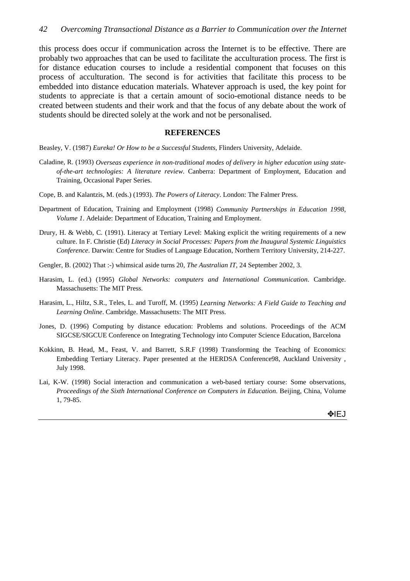this process does occur if communication across the Internet is to be effective. There are probably two approaches that can be used to facilitate the acculturation process. The first is for distance education courses to include a residential component that focuses on this process of acculturation. The second is for activities that facilitate this process to be embedded into distance education materials. Whatever approach is used, the key point for students to appreciate is that a certain amount of socio-emotional distance needs to be created between students and their work and that the focus of any debate about the work of students should be directed solely at the work and not be personalised.

#### **REFERENCES**

Beasley, V. (1987) *Eureka! Or How to be a Successful Students*, Flinders University, Adelaide.

- Caladine, R. (1993) *Overseas experience in non-traditional modes of delivery in higher education using stateof-the-art technologies: A literature review*. Canberra: Department of Employment, Education and Training, Occasional Paper Series.
- Cope, B. and Kalantzis, M. (eds.) (1993). *The Powers of Literacy*. London: The Falmer Press.
- Department of Education, Training and Employment (1998) *Community Partnerships in Education 1998, Volume 1*. Adelaide: Department of Education, Training and Employment.
- Drury, H. & Webb, C. (1991). Literacy at Tertiary Level: Making explicit the writing requirements of a new culture. In F. Christie (Ed) *Literacy in Social Processes: Papers from the Inaugural Systemic Linguistics Conference*. Darwin: Centre for Studies of Language Education, Northern Territory University, 214-227.
- Gengler, B. (2002) That :-) whimsical aside turns 20, *The Australian IT*, 24 September 2002, 3.
- Harasim, L. (ed.) (1995) *Global Networks: computers and International Communication*. Cambridge. Massachusetts: The MIT Press.
- Harasim, L., Hiltz, S.R., Teles, L. and Turoff, M. (1995) *Learning Networks: A Field Guide to Teaching and Learning Online*. Cambridge. Massachusetts: The MIT Press.
- Jones, D. (1996) Computing by distance education: Problems and solutions. Proceedings of the ACM SIGCSE/SIGCUE Conference on Integrating Technology into Computer Science Education, Barcelona
- Kokkinn, B. Head, M., Feast, V. and Barrett, S.R.F (1998) Transforming the Teaching of Economics: Embedding Tertiary Literacy. Paper presented at the HERDSA Conference98, Auckland University , July 1998.
- Lai, K-W. (1998) Social interaction and communication a web-based tertiary course: Some observations, *Proceedings of the Sixth International Conference on Computers in Education*. Beijing, China, Volume 1, 79-85.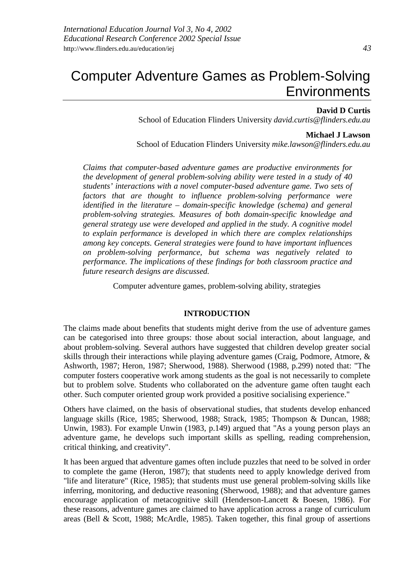# Computer Adventure Games as Problem-Solving **Environments**

### **David D Curtis**

School of Education Flinders University *david.curtis@flinders.edu.au*

#### **Michael J Lawson**

School of Education Flinders University *mike.lawson@flinders.edu.au*

*Claims that computer-based adventure games are productive environments for the development of general problem-solving ability were tested in a study of 40 students' interactions with a novel computer-based adventure game. Two sets of factors that are thought to influence problem-solving performance were identified in the literature – domain-specific knowledge (schema) and general problem-solving strategies. Measures of both domain-specific knowledge and general strategy use were developed and applied in the study. A cognitive model to explain performance is developed in which there are complex relationships among key concepts. General strategies were found to have important influences on problem-solving performance, but schema was negatively related to performance. The implications of these findings for both classroom practice and future research designs are discussed.*

Computer adventure games, problem-solving ability, strategies

# **INTRODUCTION**

The claims made about benefits that students might derive from the use of adventure games can be categorised into three groups: those about social interaction, about language, and about problem-solving. Several authors have suggested that children develop greater social skills through their interactions while playing adventure games (Craig, Podmore, Atmore, & Ashworth, 1987; Heron, 1987; Sherwood, 1988). Sherwood (1988, p.299) noted that: "The computer fosters cooperative work among students as the goal is not necessarily to complete but to problem solve. Students who collaborated on the adventure game often taught each other. Such computer oriented group work provided a positive socialising experience."

Others have claimed, on the basis of observational studies, that students develop enhanced language skills (Rice, 1985; Sherwood, 1988; Strack, 1985; Thompson & Duncan, 1988; Unwin, 1983). For example Unwin (1983, p.149) argued that "As a young person plays an adventure game, he develops such important skills as spelling, reading comprehension, critical thinking, and creativity".

It has been argued that adventure games often include puzzles that need to be solved in order to complete the game (Heron, 1987); that students need to apply knowledge derived from "life and literature" (Rice, 1985); that students must use general problem-solving skills like inferring, monitoring, and deductive reasoning (Sherwood, 1988); and that adventure games encourage application of metacognitive skill (Henderson-Lancett & Boesen, 1986). For these reasons, adventure games are claimed to have application across a range of curriculum areas (Bell & Scott, 1988; McArdle, 1985). Taken together, this final group of assertions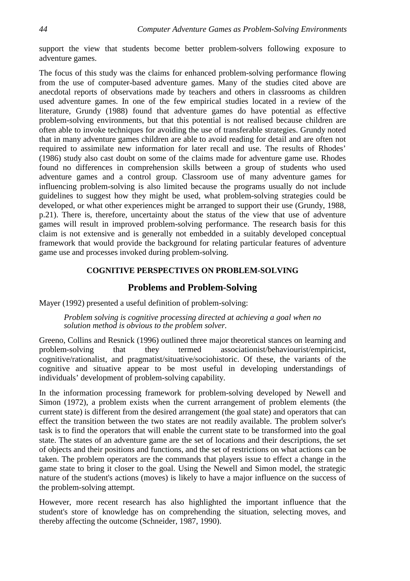support the view that students become better problem-solvers following exposure to adventure games.

The focus of this study was the claims for enhanced problem-solving performance flowing from the use of computer-based adventure games. Many of the studies cited above are anecdotal reports of observations made by teachers and others in classrooms as children used adventure games. In one of the few empirical studies located in a review of the literature, Grundy (1988) found that adventure games do have potential as effective problem-solving environments, but that this potential is not realised because children are often able to invoke techniques for avoiding the use of transferable strategies. Grundy noted that in many adventure games children are able to avoid reading for detail and are often not required to assimilate new information for later recall and use. The results of Rhodes' (1986) study also cast doubt on some of the claims made for adventure game use. Rhodes found no differences in comprehension skills between a group of students who used adventure games and a control group. Classroom use of many adventure games for influencing problem-solving is also limited because the programs usually do not include guidelines to suggest how they might be used, what problem-solving strategies could be developed, or what other experiences might be arranged to support their use (Grundy, 1988, p.21). There is, therefore, uncertainty about the status of the view that use of adventure games will result in improved problem-solving performance. The research basis for this claim is not extensive and is generally not embedded in a suitably developed conceptual framework that would provide the background for relating particular features of adventure game use and processes invoked during problem-solving.

## **COGNITIVE PERSPECTIVES ON PROBLEM-SOLVING**

# **Problems and Problem-Solving**

Mayer (1992) presented a useful definition of problem-solving:

*Problem solving is cognitive processing directed at achieving a goal when no solution method is obvious to the problem solver.*

Greeno, Collins and Resnick (1996) outlined three major theoretical stances on learning and problem-solving that they termed associationist/behaviourist/empiricist, cognitive/rationalist, and pragmatist/situative/sociohistoric. Of these, the variants of the cognitive and situative appear to be most useful in developing understandings of individuals' development of problem-solving capability.

In the information processing framework for problem-solving developed by Newell and Simon (1972), a problem exists when the current arrangement of problem elements (the current state) is different from the desired arrangement (the goal state) and operators that can effect the transition between the two states are not readily available. The problem solver's task is to find the operators that will enable the current state to be transformed into the goal state. The states of an adventure game are the set of locations and their descriptions, the set of objects and their positions and functions, and the set of restrictions on what actions can be taken. The problem operators are the commands that players issue to effect a change in the game state to bring it closer to the goal. Using the Newell and Simon model, the strategic nature of the student's actions (moves) is likely to have a major influence on the success of the problem-solving attempt.

However, more recent research has also highlighted the important influence that the student's store of knowledge has on comprehending the situation, selecting moves, and thereby affecting the outcome (Schneider, 1987, 1990).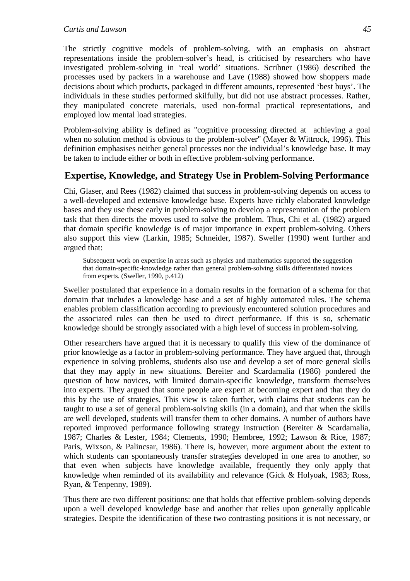#### *Curtis and Lawson 45*

The strictly cognitive models of problem-solving, with an emphasis on abstract representations inside the problem-solver's head, is criticised by researchers who have investigated problem-solving in 'real world' situations. Scribner (1986) described the processes used by packers in a warehouse and Lave (1988) showed how shoppers made decisions about which products, packaged in different amounts, represented 'best buys'. The individuals in these studies performed skilfully, but did not use abstract processes. Rather, they manipulated concrete materials, used non-formal practical representations, and employed low mental load strategies.

Problem-solving ability is defined as "cognitive processing directed at achieving a goal when no solution method is obvious to the problem-solver" (Mayer & Wittrock, 1996). This definition emphasises neither general processes nor the individual's knowledge base. It may be taken to include either or both in effective problem-solving performance.

# **Expertise, Knowledge, and Strategy Use in Problem-Solving Performance**

Chi, Glaser, and Rees (1982) claimed that success in problem-solving depends on access to a well-developed and extensive knowledge base. Experts have richly elaborated knowledge bases and they use these early in problem-solving to develop a representation of the problem task that then directs the moves used to solve the problem. Thus, Chi et al. (1982) argued that domain specific knowledge is of major importance in expert problem-solving. Others also support this view (Larkin, 1985; Schneider, 1987). Sweller (1990) went further and argued that:

Subsequent work on expertise in areas such as physics and mathematics supported the suggestion that domain-specific-knowledge rather than general problem-solving skills differentiated novices from experts. (Sweller, 1990, p.412)

Sweller postulated that experience in a domain results in the formation of a schema for that domain that includes a knowledge base and a set of highly automated rules. The schema enables problem classification according to previously encountered solution procedures and the associated rules can then be used to direct performance. If this is so, schematic knowledge should be strongly associated with a high level of success in problem-solving.

Other researchers have argued that it is necessary to qualify this view of the dominance of prior knowledge as a factor in problem-solving performance. They have argued that, through experience in solving problems, students also use and develop a set of more general skills that they may apply in new situations. Bereiter and Scardamalia (1986) pondered the question of how novices, with limited domain-specific knowledge, transform themselves into experts. They argued that some people are expert at becoming expert and that they do this by the use of strategies. This view is taken further, with claims that students can be taught to use a set of general problem-solving skills (in a domain), and that when the skills are well developed, students will transfer them to other domains. A number of authors have reported improved performance following strategy instruction (Bereiter & Scardamalia, 1987; Charles & Lester, 1984; Clements, 1990; Hembree, 1992; Lawson & Rice, 1987; Paris, Wixson, & Palincsar, 1986). There is, however, more argument about the extent to which students can spontaneously transfer strategies developed in one area to another, so that even when subjects have knowledge available, frequently they only apply that knowledge when reminded of its availability and relevance (Gick & Holyoak, 1983; Ross, Ryan, & Tenpenny, 1989).

Thus there are two different positions: one that holds that effective problem-solving depends upon a well developed knowledge base and another that relies upon generally applicable strategies. Despite the identification of these two contrasting positions it is not necessary, or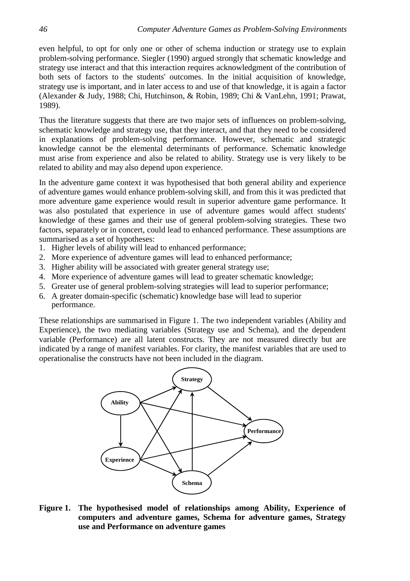even helpful, to opt for only one or other of schema induction or strategy use to explain problem-solving performance. Siegler (1990) argued strongly that schematic knowledge and strategy use interact and that this interaction requires acknowledgment of the contribution of both sets of factors to the students' outcomes. In the initial acquisition of knowledge, strategy use is important, and in later access to and use of that knowledge, it is again a factor (Alexander & Judy, 1988; Chi, Hutchinson, & Robin, 1989; Chi & VanLehn, 1991; Prawat, 1989).

Thus the literature suggests that there are two major sets of influences on problem-solving, schematic knowledge and strategy use, that they interact, and that they need to be considered in explanations of problem-solving performance. However, schematic and strategic knowledge cannot be the elemental determinants of performance. Schematic knowledge must arise from experience and also be related to ability. Strategy use is very likely to be related to ability and may also depend upon experience.

In the adventure game context it was hypothesised that both general ability and experience of adventure games would enhance problem-solving skill, and from this it was predicted that more adventure game experience would result in superior adventure game performance. It was also postulated that experience in use of adventure games would affect students' knowledge of these games and their use of general problem-solving strategies. These two factors, separately or in concert, could lead to enhanced performance. These assumptions are summarised as a set of hypotheses:

- 1. Higher levels of ability will lead to enhanced performance;
- 2. More experience of adventure games will lead to enhanced performance;
- 3. Higher ability will be associated with greater general strategy use;
- 4. More experience of adventure games will lead to greater schematic knowledge;
- 5. Greater use of general problem-solving strategies will lead to superior performance;
- 6. A greater domain-specific (schematic) knowledge base will lead to superior performance.

These relationships are summarised in Figure 1. The two independent variables (Ability and Experience), the two mediating variables (Strategy use and Schema), and the dependent variable (Performance) are all latent constructs. They are not measured directly but are indicated by a range of manifest variables. For clarity, the manifest variables that are used to operationalise the constructs have not been included in the diagram.



**Figure 1. The hypothesised model of relationships among Ability, Experience of computers and adventure games, Schema for adventure games, Strategy use and Performance on adventure games**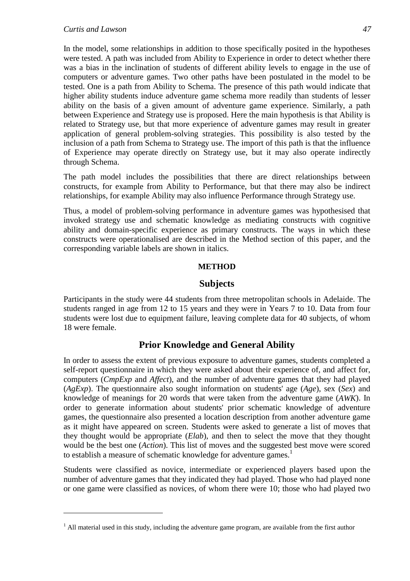#### *Curtis and Lawson 47*

 $\overline{a}$ 

In the model, some relationships in addition to those specifically posited in the hypotheses were tested. A path was included from Ability to Experience in order to detect whether there was a bias in the inclination of students of different ability levels to engage in the use of computers or adventure games. Two other paths have been postulated in the model to be tested. One is a path from Ability to Schema. The presence of this path would indicate that higher ability students induce adventure game schema more readily than students of lesser ability on the basis of a given amount of adventure game experience. Similarly, a path between Experience and Strategy use is proposed. Here the main hypothesis is that Ability is related to Strategy use, but that more experience of adventure games may result in greater application of general problem-solving strategies. This possibility is also tested by the inclusion of a path from Schema to Strategy use. The import of this path is that the influence of Experience may operate directly on Strategy use, but it may also operate indirectly through Schema.

The path model includes the possibilities that there are direct relationships between constructs, for example from Ability to Performance, but that there may also be indirect relationships, for example Ability may also influence Performance through Strategy use.

Thus, a model of problem-solving performance in adventure games was hypothesised that invoked strategy use and schematic knowledge as mediating constructs with cognitive ability and domain-specific experience as primary constructs. The ways in which these constructs were operationalised are described in the Method section of this paper, and the corresponding variable labels are shown in italics.

### **METHOD**

# **Subjects**

Participants in the study were 44 students from three metropolitan schools in Adelaide. The students ranged in age from 12 to 15 years and they were in Years 7 to 10. Data from four students were lost due to equipment failure, leaving complete data for 40 subjects, of whom 18 were female.

# **Prior Knowledge and General Ability**

In order to assess the extent of previous exposure to adventure games, students completed a self-report questionnaire in which they were asked about their experience of, and affect for, computers (*CmpExp* and *Affect*), and the number of adventure games that they had played (*AgExp*). The questionnaire also sought information on students' age (*Age*), sex (*Sex*) and knowledge of meanings for 20 words that were taken from the adventure game (*AWK*). In order to generate information about students' prior schematic knowledge of adventure games, the questionnaire also presented a location description from another adventure game as it might have appeared on screen. Students were asked to generate a list of moves that they thought would be appropriate (*Elab*), and then to select the move that they thought would be the best one (*Action*). This list of moves and the suggested best move were scored to establish a measure of schematic knowledge for adventure games.<sup>1</sup>

Students were classified as novice, intermediate or experienced players based upon the number of adventure games that they indicated they had played. Those who had played none or one game were classified as novices, of whom there were 10; those who had played two

<sup>&</sup>lt;sup>1</sup> All material used in this study, including the adventure game program, are available from the first author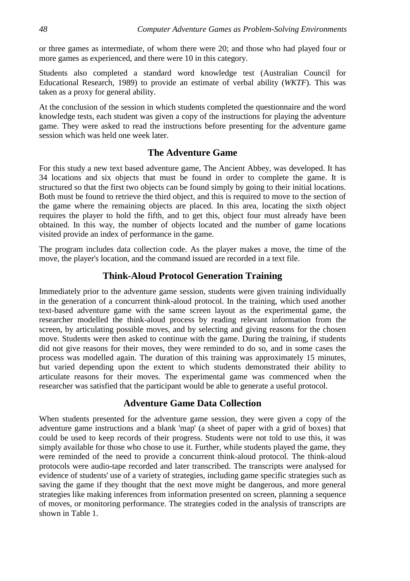or three games as intermediate, of whom there were 20; and those who had played four or more games as experienced, and there were 10 in this category.

Students also completed a standard word knowledge test (Australian Council for Educational Research, 1989) to provide an estimate of verbal ability (*WKTF*). This was taken as a proxy for general ability.

At the conclusion of the session in which students completed the questionnaire and the word knowledge tests, each student was given a copy of the instructions for playing the adventure game. They were asked to read the instructions before presenting for the adventure game session which was held one week later.

# **The Adventure Game**

For this study a new text based adventure game, The Ancient Abbey, was developed. It has 34 locations and six objects that must be found in order to complete the game. It is structured so that the first two objects can be found simply by going to their initial locations. Both must be found to retrieve the third object, and this is required to move to the section of the game where the remaining objects are placed. In this area, locating the sixth object requires the player to hold the fifth, and to get this, object four must already have been obtained. In this way, the number of objects located and the number of game locations visited provide an index of performance in the game.

The program includes data collection code. As the player makes a move, the time of the move, the player's location, and the command issued are recorded in a text file.

# **Think-Aloud Protocol Generation Training**

Immediately prior to the adventure game session, students were given training individually in the generation of a concurrent think-aloud protocol. In the training, which used another text-based adventure game with the same screen layout as the experimental game, the researcher modelled the think-aloud process by reading relevant information from the screen, by articulating possible moves, and by selecting and giving reasons for the chosen move. Students were then asked to continue with the game. During the training, if students did not give reasons for their moves, they were reminded to do so, and in some cases the process was modelled again. The duration of this training was approximately 15 minutes, but varied depending upon the extent to which students demonstrated their ability to articulate reasons for their moves. The experimental game was commenced when the researcher was satisfied that the participant would be able to generate a useful protocol.

# **Adventure Game Data Collection**

When students presented for the adventure game session, they were given a copy of the adventure game instructions and a blank 'map' (a sheet of paper with a grid of boxes) that could be used to keep records of their progress. Students were not told to use this, it was simply available for those who chose to use it. Further, while students played the game, they were reminded of the need to provide a concurrent think-aloud protocol. The think-aloud protocols were audio-tape recorded and later transcribed. The transcripts were analysed for evidence of students' use of a variety of strategies, including game specific strategies such as saving the game if they thought that the next move might be dangerous, and more general strategies like making inferences from information presented on screen, planning a sequence of moves, or monitoring performance. The strategies coded in the analysis of transcripts are shown in Table 1.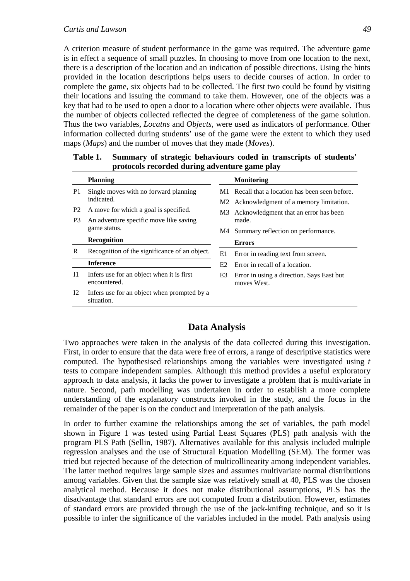A criterion measure of student performance in the game was required. The adventure game is in effect a sequence of small puzzles. In choosing to move from one location to the next, there is a description of the location and an indication of possible directions. Using the hints provided in the location descriptions helps users to decide courses of action. In order to complete the game, six objects had to be collected. The first two could be found by visiting their locations and issuing the command to take them. However, one of the objects was a key that had to be used to open a door to a location where other objects were available. Thus the number of objects collected reflected the degree of completeness of the game solution. Thus the two variables, *Locatns* and *Objects*, were used as indicators of performance. Other information collected during students' use of the game were the extent to which they used maps (*Maps*) and the number of moves that they made (*Moves*).

|                | <b>Planning</b>                                           |                | <b>Monitoring</b>                                        |
|----------------|-----------------------------------------------------------|----------------|----------------------------------------------------------|
| P <sub>1</sub> | Single moves with no forward planning                     | M1.            | Recall that a location has been seen before.             |
|                | indicated.                                                |                | M2 Acknowledgment of a memory limitation.                |
| P <sub>2</sub> | A move for which a goal is specified.                     | M3             | Acknowledgment that an error has been                    |
| P <sub>3</sub> | An adventure specific move like saving                    |                | made.                                                    |
|                | game status.                                              |                | M4 Summary reflection on performance.                    |
|                | Recognition                                               |                | <b>Errors</b>                                            |
| R              | Recognition of the significance of an object.             | E1             | Error in reading text from screen.                       |
|                | <b>Inference</b>                                          | E <sub>2</sub> | Error in recall of a location.                           |
| 11             | Infers use for an object when it is first<br>encountered. | E3             | Error in using a direction. Says East but<br>moves West. |
| 12             | Infers use for an object when prompted by a<br>situation. |                |                                                          |
|                |                                                           |                |                                                          |

| Table 1. Summary of strategic behaviours coded in transcripts of students' |
|----------------------------------------------------------------------------|
| protocols recorded during adventure game play                              |

# **Data Analysis**

Two approaches were taken in the analysis of the data collected during this investigation. First, in order to ensure that the data were free of errors, a range of descriptive statistics were computed. The hypothesised relationships among the variables were investigated using *t* tests to compare independent samples. Although this method provides a useful exploratory approach to data analysis, it lacks the power to investigate a problem that is multivariate in nature. Second, path modelling was undertaken in order to establish a more complete understanding of the explanatory constructs invoked in the study, and the focus in the remainder of the paper is on the conduct and interpretation of the path analysis.

In order to further examine the relationships among the set of variables, the path model shown in Figure 1 was tested using Partial Least Squares (PLS) path analysis with the program PLS Path (Sellin, 1987). Alternatives available for this analysis included multiple regression analyses and the use of Structural Equation Modelling (SEM). The former was tried but rejected because of the detection of multicollinearity among independent variables. The latter method requires large sample sizes and assumes multivariate normal distributions among variables. Given that the sample size was relatively small at 40, PLS was the chosen analytical method. Because it does not make distributional assumptions, PLS has the disadvantage that standard errors are not computed from a distribution. However, estimates of standard errors are provided through the use of the jack-knifing technique, and so it is possible to infer the significance of the variables included in the model. Path analysis using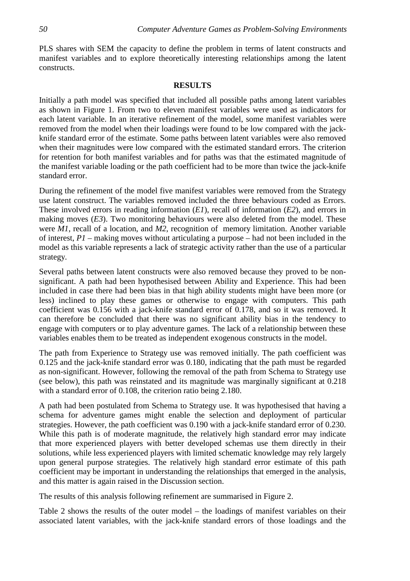PLS shares with SEM the capacity to define the problem in terms of latent constructs and manifest variables and to explore theoretically interesting relationships among the latent constructs.

#### **RESULTS**

Initially a path model was specified that included all possible paths among latent variables as shown in Figure 1. From two to eleven manifest variables were used as indicators for each latent variable. In an iterative refinement of the model, some manifest variables were removed from the model when their loadings were found to be low compared with the jackknife standard error of the estimate. Some paths between latent variables were also removed when their magnitudes were low compared with the estimated standard errors. The criterion for retention for both manifest variables and for paths was that the estimated magnitude of the manifest variable loading or the path coefficient had to be more than twice the jack-knife standard error.

During the refinement of the model five manifest variables were removed from the Strategy use latent construct. The variables removed included the three behaviours coded as Errors. These involved errors in reading information (*E1*), recall of information (*E2*), and errors in making moves (*E3*). Two monitoring behaviours were also deleted from the model. These were *M1*, recall of a location, and *M2*, recognition of memory limitation. Another variable of interest, *P1* – making moves without articulating a purpose – had not been included in the model as this variable represents a lack of strategic activity rather than the use of a particular strategy.

Several paths between latent constructs were also removed because they proved to be nonsignificant. A path had been hypothesised between Ability and Experience. This had been included in case there had been bias in that high ability students might have been more (or less) inclined to play these games or otherwise to engage with computers. This path coefficient was 0.156 with a jack-knife standard error of 0.178, and so it was removed. It can therefore be concluded that there was no significant ability bias in the tendency to engage with computers or to play adventure games. The lack of a relationship between these variables enables them to be treated as independent exogenous constructs in the model.

The path from Experience to Strategy use was removed initially. The path coefficient was 0.125 and the jack-knife standard error was 0.180, indicating that the path must be regarded as non-significant. However, following the removal of the path from Schema to Strategy use (see below), this path was reinstated and its magnitude was marginally significant at 0.218 with a standard error of 0.108, the criterion ratio being 2.180.

A path had been postulated from Schema to Strategy use. It was hypothesised that having a schema for adventure games might enable the selection and deployment of particular strategies. However, the path coefficient was 0.190 with a jack-knife standard error of 0.230. While this path is of moderate magnitude, the relatively high standard error may indicate that more experienced players with better developed schemas use them directly in their solutions, while less experienced players with limited schematic knowledge may rely largely upon general purpose strategies. The relatively high standard error estimate of this path coefficient may be important in understanding the relationships that emerged in the analysis, and this matter is again raised in the Discussion section.

The results of this analysis following refinement are summarised in Figure 2.

Table 2 shows the results of the outer model – the loadings of manifest variables on their associated latent variables, with the jack-knife standard errors of those loadings and the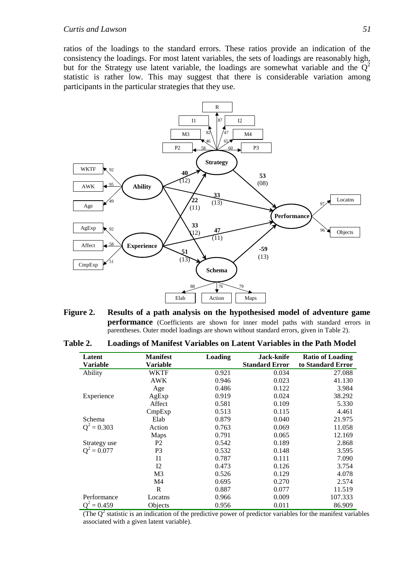ratios of the loadings to the standard errors. These ratios provide an indication of the consistency the loadings. For most latent variables, the sets of loadings are reasonably high, but for the Strategy use latent variable, the loadings are somewhat variable and the  $Q^2$ statistic is rather low. This may suggest that there is considerable variation among participants in the particular strategies that they use.



**Figure 2. Results of a path analysis on the hypothesised model of adventure game performance** (Coefficients are shown for inner model paths with standard errors in parentheses. Outer model loadings are shown without standard errors, given in Table 2).

| Table 2. | Loadings of Manifest Variables on Latent Variables in the Path Model |  |  |
|----------|----------------------------------------------------------------------|--|--|
|          |                                                                      |  |  |

| Latent        | <b>Manifest</b> | Loading | Jack-knife            | <b>Ratio of Loading</b> |
|---------------|-----------------|---------|-----------------------|-------------------------|
| Variable      | Variable        |         | <b>Standard Error</b> | to Standard Error       |
| Ability       | <b>WKTF</b>     | 0.921   | 0.034                 | 27.088                  |
|               | <b>AWK</b>      | 0.946   | 0.023                 | 41.130                  |
|               | Age             | 0.486   | 0.122                 | 3.984                   |
| Experience    | AgExp           | 0.919   | 0.024                 | 38.292                  |
|               | Affect          | 0.581   | 0.109                 | 5.330                   |
|               | CmpExp          | 0.513   | 0.115                 | 4.461                   |
| Schema        | Elab            | 0.879   | 0.040                 | 21.975                  |
| $Q^2 = 0.303$ | Action          | 0.763   | 0.069                 | 11.058                  |
|               | Maps            | 0.791   | 0.065                 | 12.169                  |
| Strategy use  | P <sub>2</sub>  | 0.542   | 0.189                 | 2.868                   |
| $Q^2 = 0.077$ | P <sub>3</sub>  | 0.532   | 0.148                 | 3.595                   |
|               | $_{11}$         | 0.787   | 0.111                 | 7.090                   |
|               | 12              | 0.473   | 0.126                 | 3.754                   |
|               | M <sub>3</sub>  | 0.526   | 0.129                 | 4.078                   |
|               | M4              | 0.695   | 0.270                 | 2.574                   |
|               | R               | 0.887   | 0.077                 | 11.519                  |
| Performance   | Locatns         | 0.966   | 0.009                 | 107.333                 |
| $= 0.459$     | Objects         | 0.956   | 0.011                 | 86.909                  |

(The  $Q<sup>2</sup>$  statistic is an indication of the predictive power of predictor variables for the manifest variables associated with a given latent variable).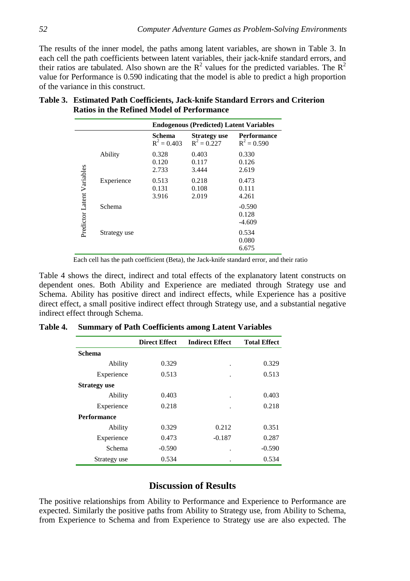The results of the inner model, the paths among latent variables, are shown in Table 3. In each cell the path coefficients between latent variables, their jack-knife standard errors, and their ratios are tabulated. Also shown are the  $R^2$  values for the predicted variables. The  $R^2$ value for Performance is 0.590 indicating that the model is able to predict a high proportion of the variance in this construct.

|              |               | <b>Endogenous (Predicted) Latent Variables</b> |                               |
|--------------|---------------|------------------------------------------------|-------------------------------|
|              | Schema        | <b>Strategy use</b>                            | <b>Performance</b>            |
|              | $R^2 = 0.403$ | $R^2 = 0.227$                                  | $R^2 = 0.590$                 |
| Ability      | 0.328         | 0.403                                          | 0.330                         |
|              | 0.120         | 0.117                                          | 0.126                         |
|              | 2.733         | 3.444                                          | 2.619                         |
| Experience   | 0.513         | 0.218                                          | 0.473                         |
|              | 0.131         | 0.108                                          | 0.111                         |
|              | 3.916         | 2.019                                          | 4.261                         |
| Schema       |               |                                                | $-0.590$<br>0.128<br>$-4.609$ |
| Strategy use |               |                                                | 0.534<br>0.080<br>6.675       |

# **Table 3. Estimated Path Coefficients, Jack-knife Standard Errors and Criterion Ratios in the Refined Model of Performance**

Each cell has the path coefficient (Beta), the Jack-knife standard error, and their ratio

Table 4 shows the direct, indirect and total effects of the explanatory latent constructs on dependent ones. Both Ability and Experience are mediated through Strategy use and Schema. Ability has positive direct and indirect effects, while Experience has a positive direct effect, a small positive indirect effect through Strategy use, and a substantial negative indirect effect through Schema.

|                     | <b>Direct Effect</b> | <b>Indirect Effect</b> | <b>Total Effect</b> |
|---------------------|----------------------|------------------------|---------------------|
| <b>Schema</b>       |                      |                        |                     |
| Ability             | 0.329                | ٠                      | 0.329               |
| Experience          | 0.513                | $\ddot{\phantom{0}}$   | 0.513               |
| <b>Strategy use</b> |                      |                        |                     |
| Ability             | 0.403                | $\ddot{\phantom{0}}$   | 0.403               |
| Experience          | 0.218                | $\ddot{\phantom{0}}$   | 0.218               |
| <b>Performance</b>  |                      |                        |                     |
| Ability             | 0.329                | 0.212                  | 0.351               |
| Experience          | 0.473                | $-0.187$               | 0.287               |
| Schema              | $-0.590$             | $\ddot{\phantom{0}}$   | $-0.590$            |
| Strategy use        | 0.534                | ٠                      | 0.534               |

|  | Table 4. Summary of Path Coefficients among Latent Variables |  |  |
|--|--------------------------------------------------------------|--|--|
|  |                                                              |  |  |

# **Discussion of Results**

The positive relationships from Ability to Performance and Experience to Performance are expected. Similarly the positive paths from Ability to Strategy use, from Ability to Schema, from Experience to Schema and from Experience to Strategy use are also expected. The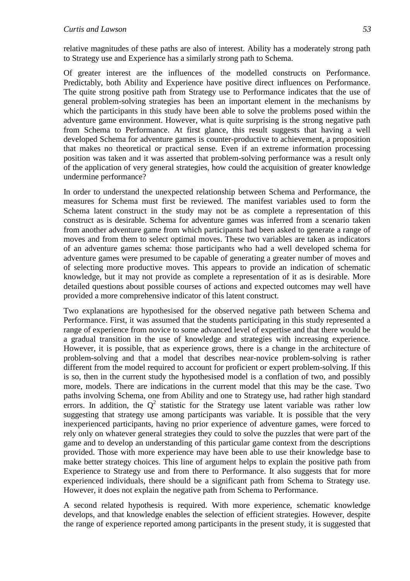relative magnitudes of these paths are also of interest. Ability has a moderately strong path to Strategy use and Experience has a similarly strong path to Schema.

Of greater interest are the influences of the modelled constructs on Performance. Predictably, both Ability and Experience have positive direct influences on Performance. The quite strong positive path from Strategy use to Performance indicates that the use of general problem-solving strategies has been an important element in the mechanisms by which the participants in this study have been able to solve the problems posed within the adventure game environment. However, what is quite surprising is the strong negative path from Schema to Performance. At first glance, this result suggests that having a well developed Schema for adventure games is counter-productive to achievement, a proposition that makes no theoretical or practical sense. Even if an extreme information processing position was taken and it was asserted that problem-solving performance was a result only of the application of very general strategies, how could the acquisition of greater knowledge undermine performance?

In order to understand the unexpected relationship between Schema and Performance, the measures for Schema must first be reviewed. The manifest variables used to form the Schema latent construct in the study may not be as complete a representation of this construct as is desirable. Schema for adventure games was inferred from a scenario taken from another adventure game from which participants had been asked to generate a range of moves and from them to select optimal moves. These two variables are taken as indicators of an adventure games schema: those participants who had a well developed schema for adventure games were presumed to be capable of generating a greater number of moves and of selecting more productive moves. This appears to provide an indication of schematic knowledge, but it may not provide as complete a representation of it as is desirable. More detailed questions about possible courses of actions and expected outcomes may well have provided a more comprehensive indicator of this latent construct.

Two explanations are hypothesised for the observed negative path between Schema and Performance. First, it was assumed that the students participating in this study represented a range of experience from novice to some advanced level of expertise and that there would be a gradual transition in the use of knowledge and strategies with increasing experience. However, it is possible, that as experience grows, there is a change in the architecture of problem-solving and that a model that describes near-novice problem-solving is rather different from the model required to account for proficient or expert problem-solving. If this is so, then in the current study the hypothesised model is a conflation of two, and possibly more, models. There are indications in the current model that this may be the case. Two paths involving Schema, one from Ability and one to Strategy use, had rather high standard errors. In addition, the  $Q^2$  statistic for the Strategy use latent variable was rather low suggesting that strategy use among participants was variable. It is possible that the very inexperienced participants, having no prior experience of adventure games, were forced to rely only on whatever general strategies they could to solve the puzzles that were part of the game and to develop an understanding of this particular game context from the descriptions provided. Those with more experience may have been able to use their knowledge base to make better strategy choices. This line of argument helps to explain the positive path from Experience to Strategy use and from there to Performance. It also suggests that for more experienced individuals, there should be a significant path from Schema to Strategy use. However, it does not explain the negative path from Schema to Performance.

A second related hypothesis is required. With more experience, schematic knowledge develops, and that knowledge enables the selection of efficient strategies. However, despite the range of experience reported among participants in the present study, it is suggested that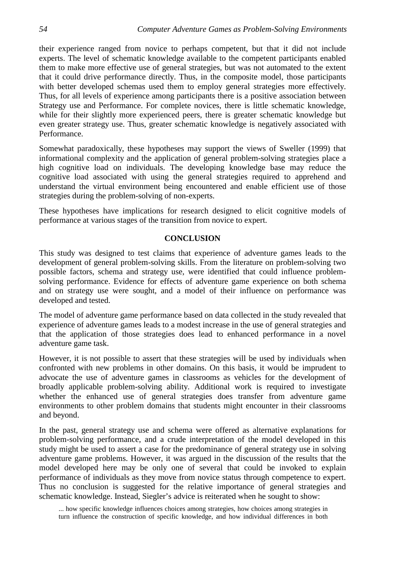their experience ranged from novice to perhaps competent, but that it did not include experts. The level of schematic knowledge available to the competent participants enabled them to make more effective use of general strategies, but was not automated to the extent that it could drive performance directly. Thus, in the composite model, those participants with better developed schemas used them to employ general strategies more effectively. Thus, for all levels of experience among participants there is a positive association between Strategy use and Performance. For complete novices, there is little schematic knowledge, while for their slightly more experienced peers, there is greater schematic knowledge but even greater strategy use. Thus, greater schematic knowledge is negatively associated with Performance.

Somewhat paradoxically, these hypotheses may support the views of Sweller (1999) that informational complexity and the application of general problem-solving strategies place a high cognitive load on individuals. The developing knowledge base may reduce the cognitive load associated with using the general strategies required to apprehend and understand the virtual environment being encountered and enable efficient use of those strategies during the problem-solving of non-experts.

These hypotheses have implications for research designed to elicit cognitive models of performance at various stages of the transition from novice to expert.

### **CONCLUSION**

This study was designed to test claims that experience of adventure games leads to the development of general problem-solving skills. From the literature on problem-solving two possible factors, schema and strategy use, were identified that could influence problemsolving performance. Evidence for effects of adventure game experience on both schema and on strategy use were sought, and a model of their influence on performance was developed and tested.

The model of adventure game performance based on data collected in the study revealed that experience of adventure games leads to a modest increase in the use of general strategies and that the application of those strategies does lead to enhanced performance in a novel adventure game task.

However, it is not possible to assert that these strategies will be used by individuals when confronted with new problems in other domains. On this basis, it would be imprudent to advocate the use of adventure games in classrooms as vehicles for the development of broadly applicable problem-solving ability. Additional work is required to investigate whether the enhanced use of general strategies does transfer from adventure game environments to other problem domains that students might encounter in their classrooms and beyond.

In the past, general strategy use and schema were offered as alternative explanations for problem-solving performance, and a crude interpretation of the model developed in this study might be used to assert a case for the predominance of general strategy use in solving adventure game problems. However, it was argued in the discussion of the results that the model developed here may be only one of several that could be invoked to explain performance of individuals as they move from novice status through competence to expert. Thus no conclusion is suggested for the relative importance of general strategies and schematic knowledge. Instead, Siegler's advice is reiterated when he sought to show:

... how specific knowledge influences choices among strategies, how choices among strategies in turn influence the construction of specific knowledge, and how individual differences in both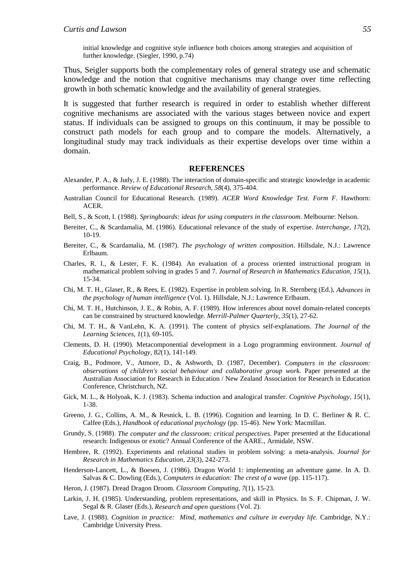initial knowledge and cognitive style influence both choices among strategies and acquisition of further knowledge. (Siegler, 1990, p.74)

Thus, Seigler supports both the complementary roles of general strategy use and schematic knowledge and the notion that cognitive mechanisms may change over time reflecting growth in both schematic knowledge and the availability of general strategies.

It is suggested that further research is required in order to establish whether different cognitive mechanisms are associated with the various stages between novice and expert status. If individuals can be assigned to groups on this continuum, it may be possible to construct path models for each group and to compare the models. Alternatively, a longitudinal study may track individuals as their expertise develops over time within a domain.

#### **REFERENCES**

- Alexander, P. A., & Judy, J. E. (1988). The interaction of domain-specific and strategic knowledge in academic performance. *Review of Educational Research, 58*(4), 375-404.
- Australian Council for Educational Research. (1989). *ACER Word Knowledge Test. Form F*. Hawthorn: ACER.
- Bell, S., & Scott, I. (1988). *Springboards: ideas for using computers in the classroom*. Melbourne: Nelson.
- Bereiter, C., & Scardamalia, M. (1986). Educational relevance of the study of expertise. *Interchange, 17*(2), 10-19.
- Bereiter, C., & Scardamalia, M. (1987). *The psychology of written composition*. Hillsdale, N.J.: Lawrence Erlbaum.
- Charles, R. I., & Lester, F. K. (1984). An evaluation of a process oriented instructional program in mathematical problem solving in grades 5 and 7. *Journal of Research in Mathematics Education, 15*(1), 15-34.
- Chi, M. T. H., Glaser, R., & Rees, E. (1982). Expertise in problem solving. In R. Sternberg (Ed.), *Advances in the psychology of human intelligence* (Vol. 1). Hillsdale, N.J.: Lawrence Erlbaum.
- Chi, M. T. H., Hutchinson, J. E., & Robin, A. F. (1989). How inferences about novel domain-related concepts can be constrained by structured knowledge. *Merrill-Palmer Quarterly, 35*(1), 27-62.
- Chi, M. T. H., & VanLehn, K. A. (1991). The content of physics self-explanations. *The Journal of the Learning Sciences, 1*(1), 69-105.
- Clements, D. H. (1990). Metacomponential development in a Logo programming environment. *Journal of Educational Psychology, 82*(1), 141-149.
- Craig, B., Podmore, V., Atmore, D., & Ashworth, D. (1987, December). *Computers in the classroom: observations of children's social behaviour and collaborative group work.* Paper presented at the Australian Association for Research in Education / New Zealand Association for Research in Education Conference, Christchurch, NZ.
- Gick, M. L., & Holyoak, K. J. (1983). Schema induction and analogical transfer. *Cognitive Psychology, 15*(1), 1-38.
- Greeno, J. G., Collins, A. M., & Resnick, L. B. (1996). Cognition and learning. In D. C. Berliner & R. C. Calfee (Eds.), *Handbook of educational psychology* (pp. 15-46). New York: Macmillan.
- Grundy, S. (1988). *The computer and the classroom: critical perspectives.* Paper presented at the Educational research: Indigenous or exotic? Annual Conference of the AARE., Armidale, NSW.
- Hembree, R. (1992). Experiments and relational studies in problem solving: a meta-analysis. *Journal for Research in Mathematics Education, 23*(3), 242-273.
- Henderson-Lancett, L., & Boesen, J. (1986). Dragon World 1: implementing an adventure game. In A. D. Salvas & C. Dowling (Eds.), *Computers in education: The crest of a wave* (pp. 115-117).
- Heron, J. (1987). Dread Dragon Droom. *Classroom Computing, 7*(1), 15-23.
- Larkin, J. H. (1985). Understanding, problem representations, and skill in Physics. In S. F. Chipman, J. W. Segal & R. Glaser (Eds.), *Research and open questions* (Vol. 2).
- Lave, J. (1988). *Cognition in practice: Mind, mathematics and culture in everyday life*. Cambridge, N.Y.: Cambridge University Press.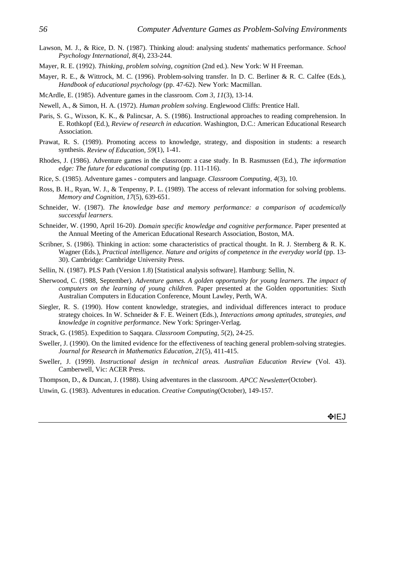- Lawson, M. J., & Rice, D. N. (1987). Thinking aloud: analysing students' mathematics performance. *School Psychology International, 8*(4), 233-244.
- Mayer, R. E. (1992). *Thinking, problem solving, cognition* (2nd ed.). New York: W H Freeman.
- Mayer, R. E., & Wittrock, M. C. (1996). Problem-solving transfer. In D. C. Berliner & R. C. Calfee (Eds.), *Handbook of educational psychology* (pp. 47-62). New York: Macmillan.
- McArdle, E. (1985). Adventure games in the classroom. *Com 3, 11*(3), 13-14.
- Newell, A., & Simon, H. A. (1972). *Human problem solving*. Englewood Cliffs: Prentice Hall.
- Paris, S. G., Wixson, K. K., & Palincsar, A. S. (1986). Instructional approaches to reading comprehension. In E. Rothkopf (Ed.), *Review of research in education*. Washington, D.C.: American Educational Research Association.
- Prawat, R. S. (1989). Promoting access to knowledge, strategy, and disposition in students: a research synthesis. *Review of Education, 59*(1), 1-41.
- Rhodes, J. (1986). Adventure games in the classroom: a case study. In B. Rasmussen (Ed.), *The information edge: The future for educational computing* (pp. 111-116).
- Rice, S. (1985). Adventure games computers and language. *Classroom Computing, 4*(3), 10.
- Ross, B. H., Ryan, W. J., & Tenpenny, P. L. (1989). The access of relevant information for solving problems. *Memory and Cognition, 17*(5), 639-651.
- Schneider, W. (1987). *The knowledge base and memory performance: a comparison of academically successful learners*.
- Schneider, W. (1990, April 16-20). *Domain specific knowledge and cognitive performance.* Paper presented at the Annual Meeting of the American Educational Research Association, Boston, MA.
- Scribner, S. (1986). Thinking in action: some characteristics of practical thought. In R. J. Sternberg & R. K. Wagner (Eds.), *Practical intelligence. Nature and origins of competence in the everyday world* (pp. 13-30). Cambridge: Cambridge University Press.
- Sellin, N. (1987). PLS Path (Version 1.8) [Statistical analysis software]. Hamburg: Sellin, N.
- Sherwood, C. (1988, September). *Adventure games. A golden opportunity for young learners. The impact of computers on the learning of young children.* Paper presented at the Golden opportunities: Sixth Australian Computers in Education Conference, Mount Lawley, Perth, WA.
- Siegler, R. S. (1990). How content knowledge, strategies, and individual differences interact to produce strategy choices. In W. Schneider & F. E. Weinert (Eds.), *Interactions among aptitudes, strategies, and knowledge in cognitive performance*. New York: Springer-Verlag.
- Strack, G. (1985). Expedition to Saqqara. *Classroom Computing, 5*(2), 24-25.
- Sweller, J. (1990). On the limited evidence for the effectiveness of teaching general problem-solving strategies. *Journal for Research in Mathematics Education, 21*(5), 411-415.
- Sweller, J. (1999). *Instructional design in technical areas. Australian Education Review* (Vol. 43). Camberwell, Vic: ACER Press.
- Thompson, D., & Duncan, J. (1988). Using adventures in the classroom. *APCC Newsletter*(October).
- Unwin, G. (1983). Adventures in education. *Creative Computing*(October), 149-157.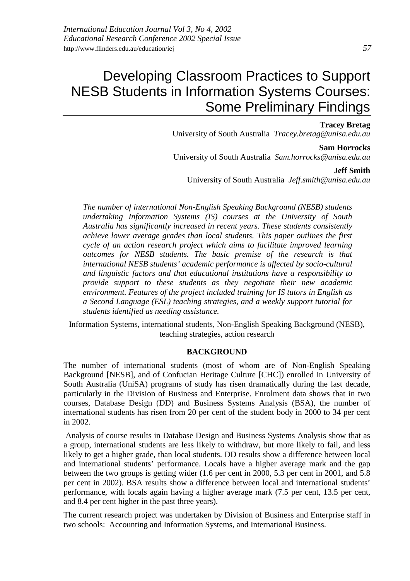# Developing Classroom Practices to Support NESB Students in Information Systems Courses: Some Preliminary Findings

#### **Tracey Bretag**

University of South Australia *Tracey.bretag@unisa.edu.au*

#### **Sam Horrocks**

University of South Australia *Sam.horrocks@unisa.edu.au*

#### **Jeff Smith**

University of South Australia *Jeff.smith@unisa.edu.au*

*The number of international Non-English Speaking Background (NESB) students undertaking Information Systems (IS) courses at the University of South Australia has significantly increased in recent years. These students consistently achieve lower average grades than local students. This paper outlines the first cycle of an action research project which aims to facilitate improved learning outcomes for NESB students. The basic premise of the research is that international NESB students' academic performance is affected by socio-cultural and linguistic factors and that educational institutions have a responsibility to provide support to these students as they negotiate their new academic environment. Features of the project included training for IS tutors in English as a Second Language (ESL) teaching strategies, and a weekly support tutorial for students identified as needing assistance.*

Information Systems, international students, Non-English Speaking Background (NESB), teaching strategies, action research

#### **BACKGROUND**

The number of international students (most of whom are of Non-English Speaking Background [NESB], and of Confucian Heritage Culture [CHC]) enrolled in University of South Australia (UniSA) programs of study has risen dramatically during the last decade, particularly in the Division of Business and Enterprise. Enrolment data shows that in two courses, Database Design (DD) and Business Systems Analysis (BSA), the number of international students has risen from 20 per cent of the student body in 2000 to 34 per cent in 2002.

 Analysis of course results in Database Design and Business Systems Analysis show that as a group, international students are less likely to withdraw, but more likely to fail, and less likely to get a higher grade, than local students. DD results show a difference between local and international students' performance. Locals have a higher average mark and the gap between the two groups is getting wider (1.6 per cent in 2000, 5.3 per cent in 2001, and 5.8 per cent in 2002). BSA results show a difference between local and international students' performance, with locals again having a higher average mark (7.5 per cent, 13.5 per cent, and 8.4 per cent higher in the past three years).

The current research project was undertaken by Division of Business and Enterprise staff in two schools: Accounting and Information Systems, and International Business.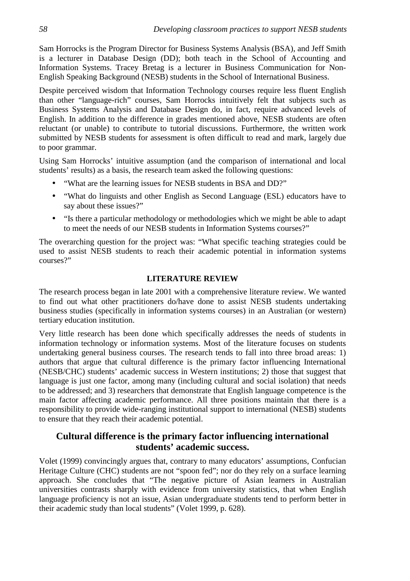Sam Horrocks is the Program Director for Business Systems Analysis (BSA), and Jeff Smith is a lecturer in Database Design (DD); both teach in the School of Accounting and Information Systems. Tracey Bretag is a lecturer in Business Communication for Non-English Speaking Background (NESB) students in the School of International Business.

Despite perceived wisdom that Information Technology courses require less fluent English than other "language-rich" courses, Sam Horrocks intuitively felt that subjects such as Business Systems Analysis and Database Design do, in fact, require advanced levels of English. In addition to the difference in grades mentioned above, NESB students are often reluctant (or unable) to contribute to tutorial discussions. Furthermore, the written work submitted by NESB students for assessment is often difficult to read and mark, largely due to poor grammar.

Using Sam Horrocks' intuitive assumption (and the comparison of international and local students' results) as a basis, the research team asked the following questions:

- "What are the learning issues for NESB students in BSA and DD?"
- "What do linguists and other English as Second Language (ESL) educators have to say about these issues?"
- "Is there a particular methodology or methodologies which we might be able to adapt to meet the needs of our NESB students in Information Systems courses?"

The overarching question for the project was: "What specific teaching strategies could be used to assist NESB students to reach their academic potential in information systems courses?"

### **LITERATURE REVIEW**

The research process began in late 2001 with a comprehensive literature review. We wanted to find out what other practitioners do/have done to assist NESB students undertaking business studies (specifically in information systems courses) in an Australian (or western) tertiary education institution.

Very little research has been done which specifically addresses the needs of students in information technology or information systems. Most of the literature focuses on students undertaking general business courses. The research tends to fall into three broad areas: 1) authors that argue that cultural difference is the primary factor influencing International (NESB/CHC) students' academic success in Western institutions; 2) those that suggest that language is just one factor, among many (including cultural and social isolation) that needs to be addressed; and 3) researchers that demonstrate that English language competence is the main factor affecting academic performance. All three positions maintain that there is a responsibility to provide wide-ranging institutional support to international (NESB) students to ensure that they reach their academic potential.

# **Cultural difference is the primary factor influencing international students' academic success.**

Volet (1999) convincingly argues that, contrary to many educators' assumptions, Confucian Heritage Culture (CHC) students are not "spoon fed"; nor do they rely on a surface learning approach. She concludes that "The negative picture of Asian learners in Australian universities contrasts sharply with evidence from university statistics, that when English language proficiency is not an issue, Asian undergraduate students tend to perform better in their academic study than local students" (Volet 1999, p. 628).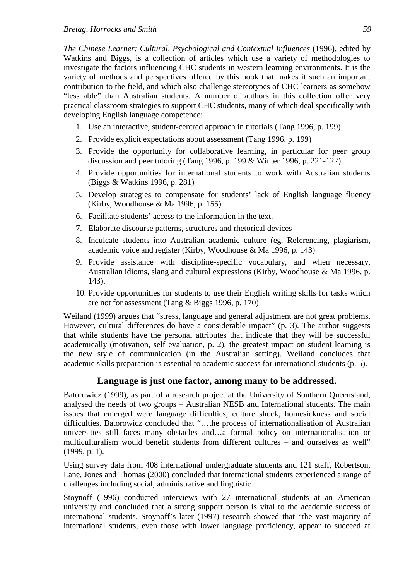*The Chinese Learner: Cultural, Psychological and Contextual Influences* (1996), edited by Watkins and Biggs, is a collection of articles which use a variety of methodologies to investigate the factors influencing CHC students in western learning environments. It is the variety of methods and perspectives offered by this book that makes it such an important contribution to the field, and which also challenge stereotypes of CHC learners as somehow "less able" than Australian students. A number of authors in this collection offer very practical classroom strategies to support CHC students, many of which deal specifically with developing English language competence:

- 1. Use an interactive, student-centred approach in tutorials (Tang 1996, p. 199)
- 2. Provide explicit expectations about assessment (Tang 1996, p. 199)
- 3. Provide the opportunity for collaborative learning, in particular for peer group discussion and peer tutoring (Tang 1996, p. 199 & Winter 1996, p. 221-122)
- 4. Provide opportunities for international students to work with Australian students (Biggs & Watkins 1996, p. 281)
- 5. Develop strategies to compensate for students' lack of English language fluency (Kirby, Woodhouse & Ma 1996, p. 155)
- 6. Facilitate students' access to the information in the text.
- 7. Elaborate discourse patterns, structures and rhetorical devices
- 8. Inculcate students into Australian academic culture (eg. Referencing, plagiarism, academic voice and register (Kirby, Woodhouse & Ma 1996, p. 143)
- 9. Provide assistance with discipline-specific vocabulary, and when necessary, Australian idioms, slang and cultural expressions (Kirby, Woodhouse & Ma 1996, p. 143).
- 10. Provide opportunities for students to use their English writing skills for tasks which are not for assessment (Tang & Biggs 1996, p. 170)

Weiland (1999) argues that "stress, language and general adjustment are not great problems. However, cultural differences do have a considerable impact" (p. 3). The author suggests that while students have the personal attributes that indicate that they will be successful academically (motivation, self evaluation, p. 2), the greatest impact on student learning is the new style of communication (in the Australian setting). Weiland concludes that academic skills preparation is essential to academic success for international students (p. 5).

# **Language is just one factor, among many to be addressed.**

Batorowicz (1999), as part of a research project at the University of Southern Queensland, analysed the needs of two groups – Australian NESB and International students. The main issues that emerged were language difficulties, culture shock, homesickness and social difficulties. Batorowicz concluded that "…the process of internationalisation of Australian universities still faces many obstacles and…a formal policy on internationalisation or multiculturalism would benefit students from different cultures – and ourselves as well" (1999, p. 1).

Using survey data from 408 international undergraduate students and 121 staff, Robertson, Lane, Jones and Thomas (2000) concluded that international students experienced a range of challenges including social, administrative and linguistic.

Stoynoff (1996) conducted interviews with 27 international students at an American university and concluded that a strong support person is vital to the academic success of international students. Stoynoff's later (1997) research showed that "the vast majority of international students, even those with lower language proficiency, appear to succeed at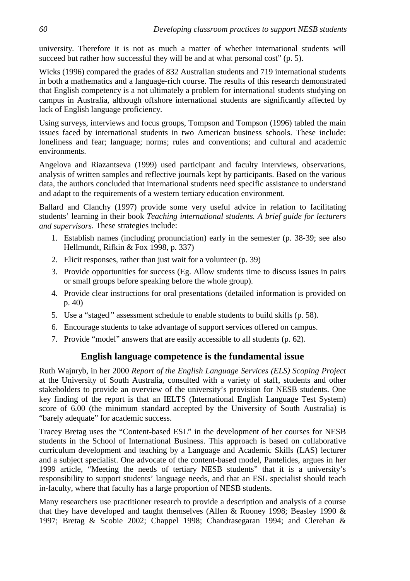university. Therefore it is not as much a matter of whether international students will succeed but rather how successful they will be and at what personal cost" (p. 5).

Wicks (1996) compared the grades of 832 Australian students and 719 international students in both a mathematics and a language-rich course. The results of this research demonstrated that English competency is a not ultimately a problem for international students studying on campus in Australia, although offshore international students are significantly affected by lack of English language proficiency.

Using surveys, interviews and focus groups, Tompson and Tompson (1996) tabled the main issues faced by international students in two American business schools. These include: loneliness and fear; language; norms; rules and conventions; and cultural and academic environments.

Angelova and Riazantseva (1999) used participant and faculty interviews, observations, analysis of written samples and reflective journals kept by participants. Based on the various data, the authors concluded that international students need specific assistance to understand and adapt to the requirements of a western tertiary education environment.

Ballard and Clanchy (1997) provide some very useful advice in relation to facilitating students' learning in their book *Teaching international students. A brief guide for lecturers and supervisors*. These strategies include:

- 1. Establish names (including pronunciation) early in the semester (p. 38-39; see also Hellmundt, Rifkin & Fox 1998, p. 337)
- 2. Elicit responses, rather than just wait for a volunteer (p. 39)
- 3. Provide opportunities for success (Eg. Allow students time to discuss issues in pairs or small groups before speaking before the whole group).
- 4. Provide clear instructions for oral presentations (detailed information is provided on p. 40)
- 5. Use a "staged|" assessment schedule to enable students to build skills (p. 58).
- 6. Encourage students to take advantage of support services offered on campus.
- 7. Provide "model" answers that are easily accessible to all students (p. 62).

# **English language competence is the fundamental issue**

Ruth Wajnryb, in her 2000 *Report of the English Language Services (ELS) Scoping Project* at the University of South Australia, consulted with a variety of staff, students and other stakeholders to provide an overview of the university's provision for NESB students. One key finding of the report is that an IELTS (International English Language Test System) score of 6.00 (the minimum standard accepted by the University of South Australia) is "barely adequate" for academic success.

Tracey Bretag uses the "Content-based ESL" in the development of her courses for NESB students in the School of International Business. This approach is based on collaborative curriculum development and teaching by a Language and Academic Skills (LAS) lecturer and a subject specialist. One advocate of the content-based model, Pantelides, argues in her 1999 article, "Meeting the needs of tertiary NESB students" that it is a university's responsibility to support students' language needs, and that an ESL specialist should teach in-faculty, where that faculty has a large proportion of NESB students.

Many researchers use practitioner research to provide a description and analysis of a course that they have developed and taught themselves (Allen & Rooney 1998; Beasley 1990 & 1997; Bretag & Scobie 2002; Chappel 1998; Chandrasegaran 1994; and Clerehan &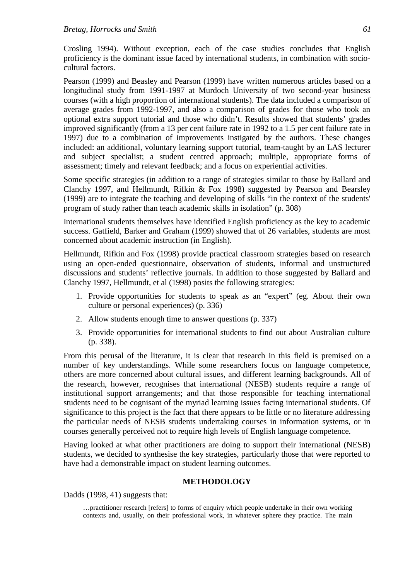Crosling 1994). Without exception, each of the case studies concludes that English proficiency is the dominant issue faced by international students, in combination with sociocultural factors.

Pearson (1999) and Beasley and Pearson (1999) have written numerous articles based on a longitudinal study from 1991-1997 at Murdoch University of two second-year business courses (with a high proportion of international students). The data included a comparison of average grades from 1992-1997, and also a comparison of grades for those who took an optional extra support tutorial and those who didn't. Results showed that students' grades improved significantly (from a 13 per cent failure rate in 1992 to a 1.5 per cent failure rate in 1997) due to a combination of improvements instigated by the authors. These changes included: an additional, voluntary learning support tutorial, team-taught by an LAS lecturer and subject specialist; a student centred approach; multiple, appropriate forms of assessment; timely and relevant feedback; and a focus on experiential activities.

Some specific strategies (in addition to a range of strategies similar to those by Ballard and Clanchy 1997, and Hellmundt, Rifkin & Fox 1998) suggested by Pearson and Bearsley (1999) are to integrate the teaching and developing of skills "in the context of the students' program of study rather than teach academic skills in isolation" (p. 308)

International students themselves have identified English proficiency as the key to academic success. Gatfield, Barker and Graham (1999) showed that of 26 variables, students are most concerned about academic instruction (in English).

Hellmundt, Rifkin and Fox (1998) provide practical classroom strategies based on research using an open-ended questionnaire, observation of students, informal and unstructured discussions and students' reflective journals. In addition to those suggested by Ballard and Clanchy 1997, Hellmundt, et al (1998) posits the following strategies:

- 1. Provide opportunities for students to speak as an "expert" (eg. About their own culture or personal experiences) (p. 336)
- 2. Allow students enough time to answer questions (p. 337)
- 3. Provide opportunities for international students to find out about Australian culture (p. 338).

From this perusal of the literature, it is clear that research in this field is premised on a number of key understandings. While some researchers focus on language competence, others are more concerned about cultural issues, and different learning backgrounds. All of the research, however, recognises that international (NESB) students require a range of institutional support arrangements; and that those responsible for teaching international students need to be cognisant of the myriad learning issues facing international students. Of significance to this project is the fact that there appears to be little or no literature addressing the particular needs of NESB students undertaking courses in information systems, or in courses generally perceived not to require high levels of English language competence.

Having looked at what other practitioners are doing to support their international (NESB) students, we decided to synthesise the key strategies, particularly those that were reported to have had a demonstrable impact on student learning outcomes.

#### **METHODOLOGY**

Dadds (1998, 41) suggests that:

…practitioner research [refers] to forms of enquiry which people undertake in their own working contexts and, usually, on their professional work, in whatever sphere they practice. The main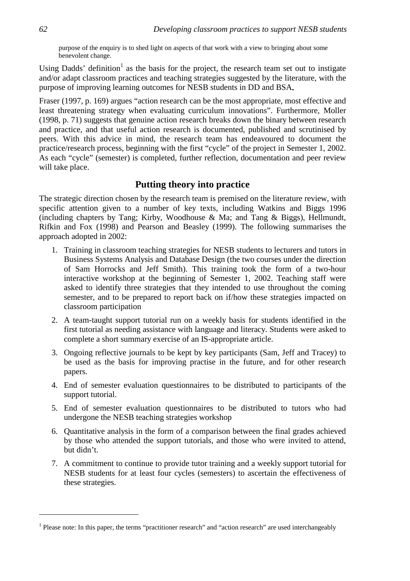purpose of the enquiry is to shed light on aspects of that work with a view to bringing about some benevolent change.

Using Dadds' definition<sup>1</sup> as the basis for the project, the research team set out to instigate and/or adapt classroom practices and teaching strategies suggested by the literature, with the purpose of improving learning outcomes for NESB students in DD and BSA**.**

Fraser (1997, p. 169) argues "action research can be the most appropriate, most effective and least threatening strategy when evaluating curriculum innovations". Furthermore, Moller (1998, p. 71) suggests that genuine action research breaks down the binary between research and practice, and that useful action research is documented, published and scrutinised by peers. With this advice in mind, the research team has endeavoured to document the practice/research process, beginning with the first "cycle" of the project in Semester 1, 2002. As each "cycle" (semester) is completed, further reflection, documentation and peer review will take place.

# **Putting theory into practice**

The strategic direction chosen by the research team is premised on the literature review, with specific attention given to a number of key texts, including Watkins and Biggs 1996 (including chapters by Tang; Kirby, Woodhouse & Ma; and Tang & Biggs), Hellmundt, Rifkin and Fox (1998) and Pearson and Beasley (1999). The following summarises the approach adopted in 2002:

- 1. Training in classroom teaching strategies for NESB students to lecturers and tutors in Business Systems Analysis and Database Design (the two courses under the direction of Sam Horrocks and Jeff Smith). This training took the form of a two-hour interactive workshop at the beginning of Semester 1, 2002. Teaching staff were asked to identify three strategies that they intended to use throughout the coming semester, and to be prepared to report back on if/how these strategies impacted on classroom participation
- 2. A team-taught support tutorial run on a weekly basis for students identified in the first tutorial as needing assistance with language and literacy. Students were asked to complete a short summary exercise of an IS-appropriate article.
- 3. Ongoing reflective journals to be kept by key participants (Sam, Jeff and Tracey) to be used as the basis for improving practise in the future, and for other research papers.
- 4. End of semester evaluation questionnaires to be distributed to participants of the support tutorial.
- 5. End of semester evaluation questionnaires to be distributed to tutors who had undergone the NESB teaching strategies workshop
- 6. Quantitative analysis in the form of a comparison between the final grades achieved by those who attended the support tutorials, and those who were invited to attend, but didn't.
- 7. A commitment to continue to provide tutor training and a weekly support tutorial for NESB students for at least four cycles (semesters) to ascertain the effectiveness of these strategies.

 $\overline{a}$ 

<sup>&</sup>lt;sup>1</sup> Please note: In this paper, the terms "practitioner research" and "action research" are used interchangeably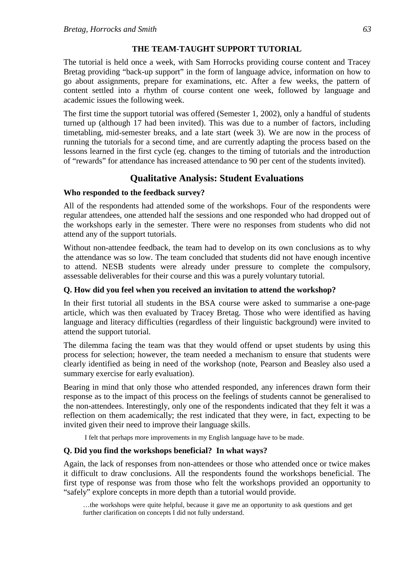### **THE TEAM-TAUGHT SUPPORT TUTORIAL**

The tutorial is held once a week, with Sam Horrocks providing course content and Tracey Bretag providing "back-up support" in the form of language advice, information on how to go about assignments, prepare for examinations, etc. After a few weeks, the pattern of content settled into a rhythm of course content one week, followed by language and academic issues the following week.

The first time the support tutorial was offered (Semester 1, 2002), only a handful of students turned up (although 17 had been invited). This was due to a number of factors, including timetabling, mid-semester breaks, and a late start (week 3). We are now in the process of running the tutorials for a second time, and are currently adapting the process based on the lessons learned in the first cycle (eg. changes to the timing of tutorials and the introduction of "rewards" for attendance has increased attendance to 90 per cent of the students invited).

# **Qualitative Analysis: Student Evaluations**

### **Who responded to the feedback survey?**

All of the respondents had attended some of the workshops. Four of the respondents were regular attendees, one attended half the sessions and one responded who had dropped out of the workshops early in the semester. There were no responses from students who did not attend any of the support tutorials.

Without non-attendee feedback, the team had to develop on its own conclusions as to why the attendance was so low. The team concluded that students did not have enough incentive to attend. NESB students were already under pressure to complete the compulsory, assessable deliverables for their course and this was a purely voluntary tutorial.

### **Q. How did you feel when you received an invitation to attend the workshop?**

In their first tutorial all students in the BSA course were asked to summarise a one-page article, which was then evaluated by Tracey Bretag. Those who were identified as having language and literacy difficulties (regardless of their linguistic background) were invited to attend the support tutorial.

The dilemma facing the team was that they would offend or upset students by using this process for selection; however, the team needed a mechanism to ensure that students were clearly identified as being in need of the workshop (note, Pearson and Beasley also used a summary exercise for early evaluation).

Bearing in mind that only those who attended responded, any inferences drawn form their response as to the impact of this process on the feelings of students cannot be generalised to the non-attendees. Interestingly, only one of the respondents indicated that they felt it was a reflection on them academically; the rest indicated that they were, in fact, expecting to be invited given their need to improve their language skills.

I felt that perhaps more improvements in my English language have to be made.

### **Q. Did you find the workshops beneficial? In what ways?**

Again, the lack of responses from non-attendees or those who attended once or twice makes it difficult to draw conclusions. All the respondents found the workshops beneficial. The first type of response was from those who felt the workshops provided an opportunity to "safely" explore concepts in more depth than a tutorial would provide.

…the workshops were quite helpful, because it gave me an opportunity to ask questions and get further clarification on concepts I did not fully understand.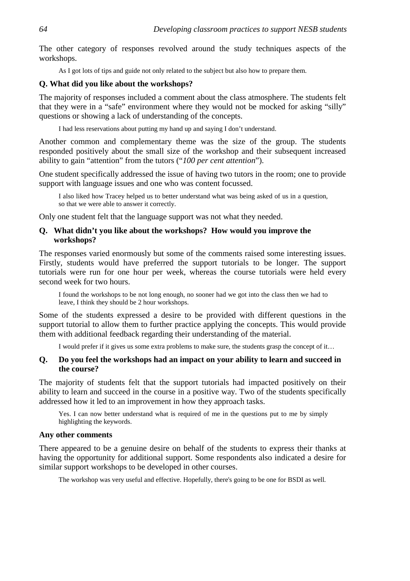The other category of responses revolved around the study techniques aspects of the workshops.

As I got lots of tips and guide not only related to the subject but also how to prepare them.

### **Q. What did you like about the workshops?**

The majority of responses included a comment about the class atmosphere. The students felt that they were in a "safe" environment where they would not be mocked for asking "silly" questions or showing a lack of understanding of the concepts.

I had less reservations about putting my hand up and saying I don't understand.

Another common and complementary theme was the size of the group. The students responded positively about the small size of the workshop and their subsequent increased ability to gain "attention" from the tutors ("*100 per cent attention*").

One student specifically addressed the issue of having two tutors in the room; one to provide support with language issues and one who was content focussed.

I also liked how Tracey helped us to better understand what was being asked of us in a question, so that we were able to answer it correctly.

Only one student felt that the language support was not what they needed.

### **Q. What didn't you like about the workshops? How would you improve the workshops?**

The responses varied enormously but some of the comments raised some interesting issues. Firstly, students would have preferred the support tutorials to be longer. The support tutorials were run for one hour per week, whereas the course tutorials were held every second week for two hours.

I found the workshops to be not long enough, no sooner had we got into the class then we had to leave, I think they should be 2 hour workshops.

Some of the students expressed a desire to be provided with different questions in the support tutorial to allow them to further practice applying the concepts. This would provide them with additional feedback regarding their understanding of the material.

I would prefer if it gives us some extra problems to make sure, the students grasp the concept of it…

# **Q. Do you feel the workshops had an impact on your ability to learn and succeed in the course?**

The majority of students felt that the support tutorials had impacted positively on their ability to learn and succeed in the course in a positive way. Two of the students specifically addressed how it led to an improvement in how they approach tasks.

Yes. I can now better understand what is required of me in the questions put to me by simply highlighting the keywords.

### **Any other comments**

There appeared to be a genuine desire on behalf of the students to express their thanks at having the opportunity for additional support. Some respondents also indicated a desire for similar support workshops to be developed in other courses.

The workshop was very useful and effective. Hopefully, there's going to be one for BSDI as well*.*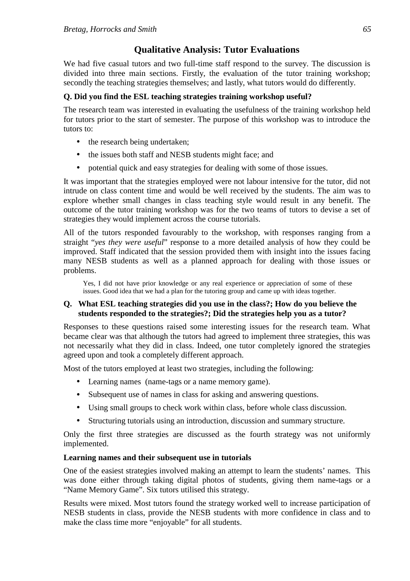# **Qualitative Analysis: Tutor Evaluations**

We had five casual tutors and two full-time staff respond to the survey. The discussion is divided into three main sections. Firstly, the evaluation of the tutor training workshop; secondly the teaching strategies themselves; and lastly, what tutors would do differently.

# **Q. Did you find the ESL teaching strategies training workshop useful?**

The research team was interested in evaluating the usefulness of the training workshop held for tutors prior to the start of semester. The purpose of this workshop was to introduce the tutors to:

- the research being undertaken:
- the issues both staff and NESB students might face; and
- potential quick and easy strategies for dealing with some of those issues.

It was important that the strategies employed were not labour intensive for the tutor, did not intrude on class content time and would be well received by the students. The aim was to explore whether small changes in class teaching style would result in any benefit. The outcome of the tutor training workshop was for the two teams of tutors to devise a set of strategies they would implement across the course tutorials.

All of the tutors responded favourably to the workshop, with responses ranging from a straight "*yes they were useful*" response to a more detailed analysis of how they could be improved. Staff indicated that the session provided them with insight into the issues facing many NESB students as well as a planned approach for dealing with those issues or problems.

Yes, I did not have prior knowledge or any real experience or appreciation of some of these issues. Good idea that we had a plan for the tutoring group and came up with ideas together.

# **Q. What ESL teaching strategies did you use in the class?; How do you believe the students responded to the strategies?; Did the strategies help you as a tutor?**

Responses to these questions raised some interesting issues for the research team. What became clear was that although the tutors had agreed to implement three strategies, this was not necessarily what they did in class. Indeed, one tutor completely ignored the strategies agreed upon and took a completely different approach.

Most of the tutors employed at least two strategies, including the following:

- Learning names (name-tags or a name memory game).
- Subsequent use of names in class for asking and answering questions.
- Using small groups to check work within class, before whole class discussion.
- Structuring tutorials using an introduction, discussion and summary structure.

Only the first three strategies are discussed as the fourth strategy was not uniformly implemented.

# **Learning names and their subsequent use in tutorials**

One of the easiest strategies involved making an attempt to learn the students' names. This was done either through taking digital photos of students, giving them name-tags or a "Name Memory Game". Six tutors utilised this strategy.

Results were mixed. Most tutors found the strategy worked well to increase participation of NESB students in class, provide the NESB students with more confidence in class and to make the class time more "enjoyable" for all students.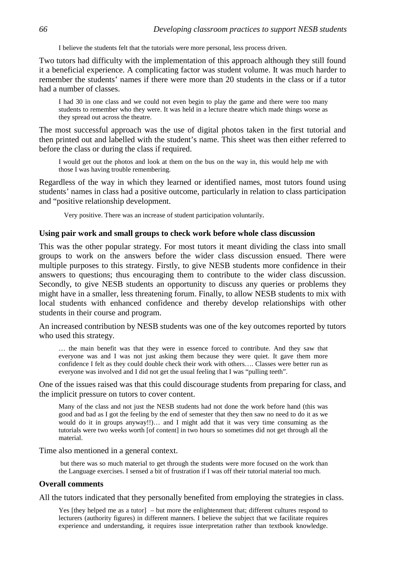I believe the students felt that the tutorials were more personal, less process driven.

Two tutors had difficulty with the implementation of this approach although they still found it a beneficial experience. A complicating factor was student volume. It was much harder to remember the students' names if there were more than 20 students in the class or if a tutor had a number of classes.

I had 30 in one class and we could not even begin to play the game and there were too many students to remember who they were. It was held in a lecture theatre which made things worse as they spread out across the theatre.

The most successful approach was the use of digital photos taken in the first tutorial and then printed out and labelled with the student's name. This sheet was then either referred to before the class or during the class if required.

I would get out the photos and look at them on the bus on the way in, this would help me with those I was having trouble remembering.

Regardless of the way in which they learned or identified names, most tutors found using students' names in class had a positive outcome, particularly in relation to class participation and "positive relationship development.

Very positive. There was an increase of student participation voluntarily*.*

### **Using pair work and small groups to check work before whole class discussion**

This was the other popular strategy. For most tutors it meant dividing the class into small groups to work on the answers before the wider class discussion ensued. There were multiple purposes to this strategy. Firstly, to give NESB students more confidence in their answers to questions; thus encouraging them to contribute to the wider class discussion. Secondly, to give NESB students an opportunity to discuss any queries or problems they might have in a smaller, less threatening forum. Finally, to allow NESB students to mix with local students with enhanced confidence and thereby develop relationships with other students in their course and program.

An increased contribution by NESB students was one of the key outcomes reported by tutors who used this strategy.

… the main benefit was that they were in essence forced to contribute. And they saw that everyone was and I was not just asking them because they were quiet. It gave them more confidence I felt as they could double check their work with others…. Classes were better run as everyone was involved and I did not get the usual feeling that I was "pulling teeth".

One of the issues raised was that this could discourage students from preparing for class, and the implicit pressure on tutors to cover content.

Many of the class and not just the NESB students had not done the work before hand (this was good and bad as I got the feeling by the end of semester that they then saw no need to do it as we would do it in groups anyway!!)… and I might add that it was very time consuming as the tutorials were two weeks worth [of content] in two hours so sometimes did not get through all the material.

Time also mentioned in a general context.

 but there was so much material to get through the students were more focused on the work than the Language exercises. I sensed a bit of frustration if I was off their tutorial material too much.

#### **Overall comments**

All the tutors indicated that they personally benefited from employing the strategies in class.

Yes [they helped me as a tutor] – but more the enlightenment that; different cultures respond to lecturers (authority figures) in different manners. I believe the subject that we facilitate requires experience and understanding, it requires issue interpretation rather than textbook knowledge.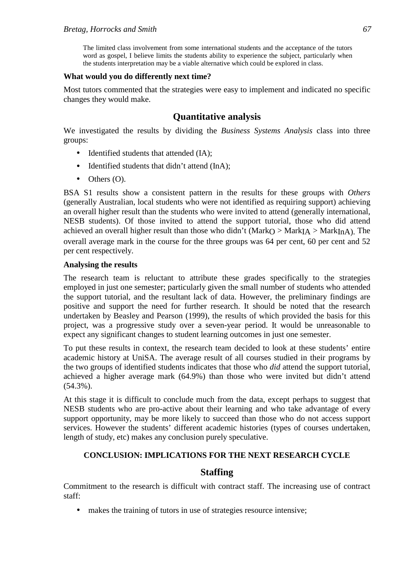The limited class involvement from some international students and the acceptance of the tutors word as gospel, I believe limits the students ability to experience the subject, particularly when the students interpretation may be a viable alternative which could be explored in class.

### **What would you do differently next time?**

Most tutors commented that the strategies were easy to implement and indicated no specific changes they would make.

# **Quantitative analysis**

We investigated the results by dividing the *Business Systems Analysis* class into three groups:

- Identified students that attended (IA);
- Identified students that didn't attend (InA):
- $\bullet$  Others  $(O)$ .

BSA S1 results show a consistent pattern in the results for these groups with *Others* (generally Australian, local students who were not identified as requiring support) achieving an overall higher result than the students who were invited to attend (generally international, NESB students). Of those invited to attend the support tutorial, those who did attend achieved an overall higher result than those who didn't (Mark $O > \text{MarkI}_A > \text{MarkI}_{n}(A)$ ). The overall average mark in the course for the three groups was 64 per cent, 60 per cent and 52 per cent respectively.

### **Analysing the results**

The research team is reluctant to attribute these grades specifically to the strategies employed in just one semester; particularly given the small number of students who attended the support tutorial, and the resultant lack of data. However, the preliminary findings are positive and support the need for further research. It should be noted that the research undertaken by Beasley and Pearson (1999), the results of which provided the basis for this project, was a progressive study over a seven-year period. It would be unreasonable to expect any significant changes to student learning outcomes in just one semester.

To put these results in context, the research team decided to look at these students' entire academic history at UniSA. The average result of all courses studied in their programs by the two groups of identified students indicates that those who *did* attend the support tutorial, achieved a higher average mark (64.9%) than those who were invited but didn't attend (54.3%).

At this stage it is difficult to conclude much from the data, except perhaps to suggest that NESB students who are pro-active about their learning and who take advantage of every support opportunity, may be more likely to succeed than those who do not access support services. However the students' different academic histories (types of courses undertaken, length of study, etc) makes any conclusion purely speculative.

### **CONCLUSION: IMPLICATIONS FOR THE NEXT RESEARCH CYCLE**

## **Staffing**

Commitment to the research is difficult with contract staff. The increasing use of contract staff:

• makes the training of tutors in use of strategies resource intensive;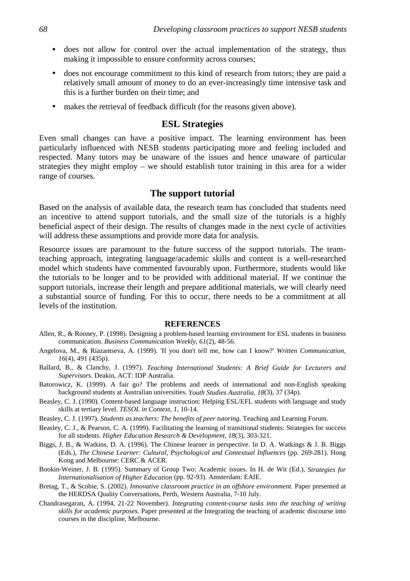- does not allow for control over the actual implementation of the strategy, thus making it impossible to ensure conformity across courses;
- does not encourage commitment to this kind of research from tutors; they are paid a relatively small amount of money to do an ever-increasingly time intensive task and this is a further burden on their time; and
- makes the retrieval of feedback difficult (for the reasons given above).

# **ESL Strategies**

Even small changes can have a positive impact. The learning environment has been particularly influenced with NESB students participating more and feeling included and respected. Many tutors may be unaware of the issues and hence unaware of particular strategies they might employ – we should establish tutor training in this area for a wider range of courses.

# **The support tutorial**

Based on the analysis of available data, the research team has concluded that students need an incentive to attend support tutorials, and the small size of the tutorials is a highly beneficial aspect of their design. The results of changes made in the next cycle of activities will address these assumptions and provide more data for analysis.

Resource issues are paramount to the future success of the support tutorials. The teamteaching approach, integrating language/academic skills and content is a well-researched model which students have commented favourably upon. Furthermore, students would like the tutorials to be longer and to be provided with additional material. If we continue the support tutorials, increase their length and prepare additional materials, we will clearly need a substantial source of funding. For this to occur, there needs to be a commitment at all levels of the institution.

#### **REFERENCES**

- Allen, R., & Rooney, P. (1998). Designing a problem-based learning environment for ESL students in business communication. *Business Communication Weekly, 61*(2), 48-56.
- Angelova, M., & Riazantseva, A. (1999). 'If you don't tell me, how can I know?' *Written Communication, 16*(4), 491 (435p).
- Ballard, B., & Clanchy, J. (1997). *Teaching International Students: A Brief Guide for Lecturers and Supervisors*. Deakin, ACT: IDP Australia.
- Batorowicz, K. (1999). A fair go? The problems and needs of international and non-English speaking background students at Australian universities. *Youth Studies Australia, 18*(3), 37 (34p).
- Beasley, C. J. (1990). Content-based language instruction: Helping ESL/EFL students with language and study skills at tertiary level. *TESOL in Context, 1*, 10-14.
- Beasley, C. J. (1997). *Students as teachers: The benefits of peer tutoring*. Teaching and Learning Forum.
- Beasley, C. J., & Pearson, C. A. (1999). Facilitating the learning of transitional students: Strategies for success for all students. *Higher Education Research & Development, 18*(3), 303-321.
- Biggs, J. B., & Watkins, D. A. (1996). The Chinese learner in perspective. In D. A. Watkings & J. B. Biggs (Eds.), *The Chinese Learner: Cultural, Psychological and Contextual Influences* (pp. 269-281). Hong Kong and Melbourne: CERC & ACER.
- Bookin-Weiner, J. B. (1995). Summary of Group Two: Academic issues. In H. de Wit (Ed.), *Strategies for Internationalisation of Higher Education* (pp. 92-93). Amsterdam: EAIE.
- Bretag, T., & Scobie, S. (2002). *Innovative classroom practice in an offshore environment.* Paper presented at the HERDSA Quality Conversations, Perth, Western Australia, 7-10 July.
- Chandrasegaran, A. (1994, 21-22 November). *Integrating content-course tasks into the teaching of writing skills for academic purposes.* Paper presented at the Integrating the teaching of academic discourse into courses in the discipline, Melbourne.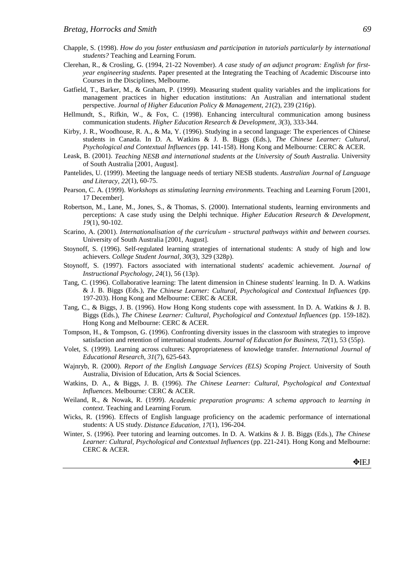- Chapple, S. (1998). *How do you foster enthusiasm and participation in tutorials particularly by international students?* Teaching and Learning Forum.
- Clerehan, R., & Crosling, G. (1994, 21-22 November). *A case study of an adjunct program: English for firstyear engineering students.* Paper presented at the Integrating the Teaching of Academic Discourse into Courses in the Disciplines, Melbourne.
- Gatfield, T., Barker, M., & Graham, P. (1999). Measuring student quality variables and the implications for management practices in higher education institutions: An Australian and international student perspective. *Journal of Higher Education Policy & Management, 21*(2), 239 (216p).
- Hellmundt, S., Rifkin, W., & Fox, C. (1998). Enhancing intercultural communication among business communication students. *Higher Education Research & Development, 3*(3), 333-344.
- Kirby, J. R., Woodhouse, R. A., & Ma, Y. (1996). Studying in a second language: The experiences of Chinese students in Canada. In D. A. Watkins & J. B. Biggs (Eds.), *The Chinese Learner: Cultural, Psychological and Contextual Influences* (pp. 141-158). Hong Kong and Melbourne: CERC & ACER.
- Leask, B. (2001). *Teaching NESB and international students at the University of South Australia*. University of South Australia [2001, August].
- Pantelides, U. (1999). Meeting the language needs of tertiary NESB students. *Australian Journal of Language and Literacy, 22*(1), 60-75.
- Pearson, C. A. (1999). *Workshops as stimulating learning environments*. Teaching and Learning Forum [2001, 17 December].
- Robertson, M., Lane, M., Jones, S., & Thomas, S. (2000). International students, learning environments and perceptions: A case study using the Delphi technique. *Higher Education Research & Development, 19*(1), 90-102.
- Scarino, A. (2001). *Internationalisation of the curriculum structural pathways within and between courses.* University of South Australia [2001, August].
- Stoynoff, S. (1996). Self-regulated learning strategies of international students: A study of high and low achievers. *College Student Journal, 30*(3), 329 (328p).
- Stoynoff, S. (1997). Factors associated with international students' academic achievement. *Journal of Instructional Psychology, 24*(1), 56 (13p).
- Tang, C. (1996). Collaborative learning: The latent dimension in Chinese students' learning. In D. A. Watkins & J. B. Biggs (Eds.), *The Chinese Learner: Cultural, Psychological and Contextual Influences* (pp. 197-203). Hong Kong and Melbourne: CERC & ACER.
- Tang, C., & Biggs, J. B. (1996). How Hong Kong students cope with assessment. In D. A. Watkins & J. B. Biggs (Eds.), *The Chinese Learner: Cultural, Psychological and Contextual Influences* (pp. 159-182). Hong Kong and Melbourne: CERC & ACER.
- Tompson, H., & Tompson, G. (1996). Confronting diversity issues in the classroom with strategies to improve satisfaction and retention of international students. *Journal of Education for Business, 72*(1), 53 (55p).
- Volet, S. (1999). Learning across cultures: Appropriateness of knowledge transfer. *International Journal of Educational Research, 31*(7), 625-643.
- Wajnryb, R. (2000). *Report of the English Language Services (ELS) Scoping Project.* University of South Australia, Division of Education, Arts & Social Sciences.
- Watkins, D. A., & Biggs, J. B. (1996). *The Chinese Learner: Cultural, Psychological and Contextual Influences*. Melbourne: CERC & ACER.
- Weiland, R., & Nowak, R. (1999). *Academic preparation programs: A schema approach to learning in context*. Teaching and Learning Forum.
- Wicks, R. (1996). Effects of English language proficiency on the academic performance of international students: A US study. *Distance Education, 17*(1), 196-204.
- Winter, S. (1996). Peer tutoring and learning outcomes. In D. A. Watkins & J. B. Biggs (Eds.), *The Chinese Learner: Cultural, Psychological and Contextual Influences* (pp. 221-241). Hong Kong and Melbourne: CERC & ACER.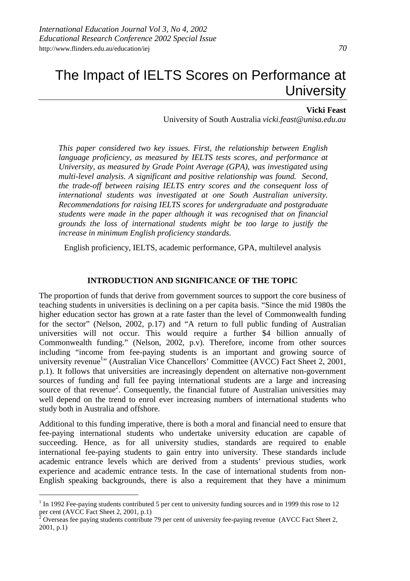### **Vicki Feast**

University of South Australia *vicki.feast@unisa.edu.au*

*This paper considered two key issues. First, the relationship between English language proficiency, as measured by IELTS tests scores, and performance at University, as measured by Grade Point Average (GPA), was investigated using multi-level analysis. A significant and positive relationship was found. Second, the trade-off between raising IELTS entry scores and the consequent loss of international students was investigated at one South Australian university. Recommendations for raising IELTS scores for undergraduate and postgraduate students were made in the paper although it was recognised that on financial grounds the loss of international students might be too large to justify the increase in minimum English proficiency standards.*

English proficiency, IELTS, academic performance, GPA, multilevel analysis

### **INTRODUCTION AND SIGNIFICANCE OF THE TOPIC**

The proportion of funds that derive from government sources to support the core business of teaching students in universities is declining on a per capita basis. "Since the mid 1980s the higher education sector has grown at a rate faster than the level of Commonwealth funding for the sector" (Nelson, 2002, p.17) and "A return to full public funding of Australian universities will not occur. This would require a further \$4 billion annually of Commonwealth funding." (Nelson, 2002, p.v). Therefore, income from other sources including "income from fee-paying students is an important and growing source of university revenue<sup>1</sup>" (Australian Vice Chancellors' Committee (AVCC) Fact Sheet 2, 2001, p.1). It follows that universities are increasingly dependent on alternative non-government sources of funding and full fee paying international students are a large and increasing source of that revenue<sup>2</sup>. Consequently, the financial future of Australian universities may well depend on the trend to enrol ever increasing numbers of international students who study both in Australia and offshore.

Additional to this funding imperative, there is both a moral and financial need to ensure that fee-paying international students who undertake university education are capable of succeeding. Hence, as for all university studies, standards are required to enable international fee-paying students to gain entry into university. These standards include academic entrance levels which are derived from a students' previous studies, work experience and academic entrance tests. In the case of international students from non-English speaking backgrounds, there is also a requirement that they have a minimum

 $\overline{a}$ 

 $1$  In 1992 Fee-paying students contributed 5 per cent to university funding sources and in 1999 this rose to 12 per cent (AVCC Fact Sheet 2, 2001, p.1)

Overseas fee paying students contribute 79 per cent of university fee-paying revenue (AVCC Fact Sheet 2, 2001, p.1)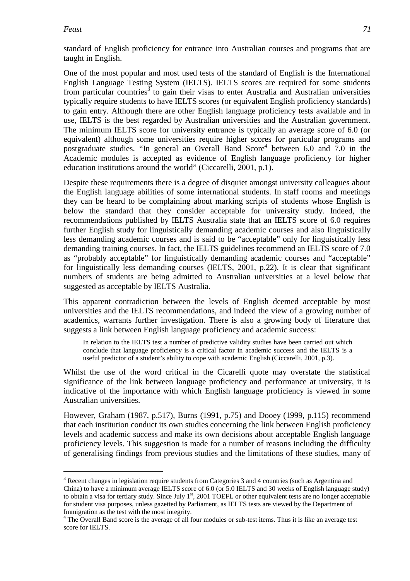### *Feast 71*

 $\overline{a}$ 

standard of English proficiency for entrance into Australian courses and programs that are taught in English.

One of the most popular and most used tests of the standard of English is the International English Language Testing System (IELTS). IELTS scores are required for some students from particular countries<sup>3</sup> to gain their visas to enter Australia and Australian universities typically require students to have IELTS scores (or equivalent English proficiency standards) to gain entry. Although there are other English language proficiency tests available and in use, IELTS is the best regarded by Australian universities and the Australian government. The minimum IELTS score for university entrance is typically an average score of 6.0 (or equivalent) although some universities require higher scores for particular programs and postgraduate studies. "In general an Overall Band Score<sup>4</sup> between 6.0 and 7.0 in the Academic modules is accepted as evidence of English language proficiency for higher education institutions around the world" (Ciccarelli, 2001, p.1).

Despite these requirements there is a degree of disquiet amongst university colleagues about the English language abilities of some international students. In staff rooms and meetings they can be heard to be complaining about marking scripts of students whose English is below the standard that they consider acceptable for university study. Indeed, the recommendations published by IELTS Australia state that an IELTS score of 6.0 requires further English study for linguistically demanding academic courses and also linguistically less demanding academic courses and is said to be "acceptable" only for linguistically less demanding training courses. In fact, the IELTS guidelines recommend an IELTS score of 7.0 as "probably acceptable" for linguistically demanding academic courses and "acceptable" for linguistically less demanding courses (IELTS, 2001, p.22). It is clear that significant numbers of students are being admitted to Australian universities at a level below that suggested as acceptable by IELTS Australia.

This apparent contradiction between the levels of English deemed acceptable by most universities and the IELTS recommendations, and indeed the view of a growing number of academics, warrants further investigation. There is also a growing body of literature that suggests a link between English language proficiency and academic success:

In relation to the IELTS test a number of predictive validity studies have been carried out which conclude that language proficiency is a critical factor in academic success and the IELTS is a useful predictor of a student's ability to cope with academic English (Ciccarelli, 2001, p.3).

Whilst the use of the word critical in the Cicarelli quote may overstate the statistical significance of the link between language proficiency and performance at university, it is indicative of the importance with which English language proficiency is viewed in some Australian universities.

However, Graham (1987, p.517), Burns (1991, p.75) and Dooey (1999, p.115) recommend that each institution conduct its own studies concerning the link between English proficiency levels and academic success and make its own decisions about acceptable English language proficiency levels. This suggestion is made for a number of reasons including the difficulty of generalising findings from previous studies and the limitations of these studies, many of

 $3$  Recent changes in legislation require students from Categories 3 and 4 countries (such as Argentina and China) to have a minimum average IELTS score of 6.0 (or 5.0 IELTS and 30 weeks of English language study) to obtain a visa for tertiary study. Since July  $1<sup>st</sup>$ , 2001 TOEFL or other equivalent tests are no longer acceptable for student visa purposes, unless gazetted by Parliament, as IELTS tests are viewed by the Department of Immigration as the test with the most integrity.

<sup>&</sup>lt;sup>4</sup> The Overall Band score is the average of all four modules or sub-test items. Thus it is like an average test score for IELTS.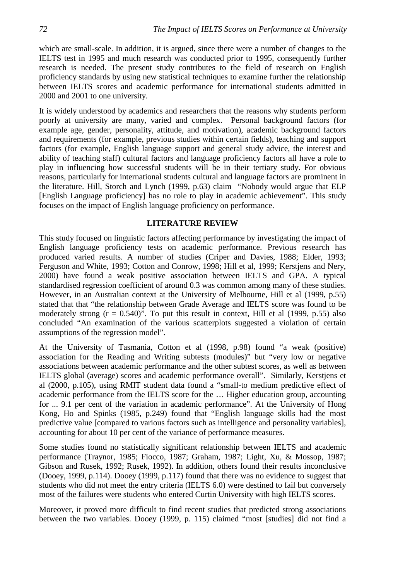which are small-scale. In addition, it is argued, since there were a number of changes to the IELTS test in 1995 and much research was conducted prior to 1995, consequently further research is needed. The present study contributes to the field of research on English proficiency standards by using new statistical techniques to examine further the relationship between IELTS scores and academic performance for international students admitted in 2000 and 2001 to one university.

It is widely understood by academics and researchers that the reasons why students perform poorly at university are many, varied and complex. Personal background factors (for example age, gender, personality, attitude, and motivation), academic background factors and requirements (for example, previous studies within certain fields), teaching and support factors (for example, English language support and general study advice, the interest and ability of teaching staff) cultural factors and language proficiency factors all have a role to play in influencing how successful students will be in their tertiary study. For obvious reasons, particularly for international students cultural and language factors are prominent in the literature. Hill, Storch and Lynch (1999, p.63) claim "Nobody would argue that ELP [English Language proficiency] has no role to play in academic achievement". This study focuses on the impact of English language proficiency on performance.

## **LITERATURE REVIEW**

This study focused on linguistic factors affecting performance by investigating the impact of English language proficiency tests on academic performance. Previous research has produced varied results. A number of studies (Criper and Davies, 1988; Elder, 1993; Ferguson and White, 1993; Cotton and Conrow, 1998; Hill et al, 1999; Kerstjens and Nery, 2000) have found a weak positive association between IELTS and GPA. A typical standardised regression coefficient of around 0.3 was common among many of these studies. However, in an Australian context at the University of Melbourne, Hill et al (1999, p.55) stated that that "the relationship between Grade Average and IELTS score was found to be moderately strong  $(r = 0.540)^{5}$ . To put this result in context, Hill et al (1999, p.55) also concluded "An examination of the various scatterplots suggested a violation of certain assumptions of the regression model".

At the University of Tasmania, Cotton et al (1998, p.98) found "a weak (positive) association for the Reading and Writing subtests (modules)" but "very low or negative associations between academic performance and the other subtest scores, as well as between IELTS global (average) scores and academic performance overall". Similarly, Kerstjens et al (2000, p.105), using RMIT student data found a "small-to medium predictive effect of academic performance from the IELTS score for the … Higher education group, accounting for ... 9.1 per cent of the variation in academic performance". At the University of Hong Kong, Ho and Spinks (1985, p.249) found that "English language skills had the most predictive value [compared to various factors such as intelligence and personality variables], accounting for about 10 per cent of the variance of performance measures.

Some studies found no statistically significant relationship between IELTS and academic performance (Traynor, 1985; Fiocco, 1987; Graham, 1987; Light, Xu, & Mossop, 1987; Gibson and Rusek, 1992; Rusek, 1992). In addition, others found their results inconclusive (Dooey, 1999, p.114). Dooey (1999, p.117) found that there was no evidence to suggest that students who did not meet the entry criteria (IELTS 6.0) were destined to fail but conversely most of the failures were students who entered Curtin University with high IELTS scores.

Moreover, it proved more difficult to find recent studies that predicted strong associations between the two variables. Dooey (1999, p. 115) claimed "most [studies] did not find a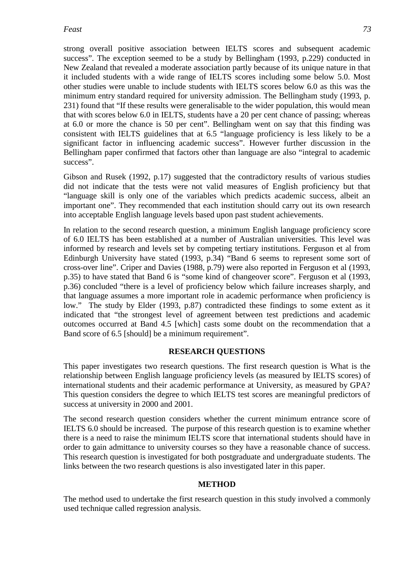strong overall positive association between IELTS scores and subsequent academic success". The exception seemed to be a study by Bellingham (1993, p.229) conducted in New Zealand that revealed a moderate association partly because of its unique nature in that it included students with a wide range of IELTS scores including some below 5.0. Most other studies were unable to include students with IELTS scores below 6.0 as this was the minimum entry standard required for university admission. The Bellingham study (1993, p. 231) found that "If these results were generalisable to the wider population, this would mean that with scores below 6.0 in IELTS, students have a 20 per cent chance of passing; whereas at 6.0 or more the chance is 50 per cent". Bellingham went on say that this finding was consistent with IELTS guidelines that at 6.5 "language proficiency is less likely to be a significant factor in influencing academic success". However further discussion in the Bellingham paper confirmed that factors other than language are also "integral to academic success".

Gibson and Rusek (1992, p.17) suggested that the contradictory results of various studies did not indicate that the tests were not valid measures of English proficiency but that "language skill is only one of the variables which predicts academic success, albeit an important one". They recommended that each institution should carry out its own research into acceptable English language levels based upon past student achievements.

In relation to the second research question, a minimum English language proficiency score of 6.0 IELTS has been established at a number of Australian universities. This level was informed by research and levels set by competing tertiary institutions. Ferguson et al from Edinburgh University have stated (1993, p.34) "Band 6 seems to represent some sort of cross-over line". Criper and Davies (1988, p.79) were also reported in Ferguson et al (1993, p.35) to have stated that Band 6 is "some kind of changeover score". Ferguson et al (1993, p.36) concluded "there is a level of proficiency below which failure increases sharply, and that language assumes a more important role in academic performance when proficiency is low." The study by Elder (1993, p.87) contradicted these findings to some extent as it indicated that "the strongest level of agreement between test predictions and academic outcomes occurred at Band 4.5 [which] casts some doubt on the recommendation that a Band score of 6.5 [should] be a minimum requirement".

## **RESEARCH QUESTIONS**

This paper investigates two research questions. The first research question is What is the relationship between English language proficiency levels (as measured by IELTS scores) of international students and their academic performance at University, as measured by GPA? This question considers the degree to which IELTS test scores are meaningful predictors of success at university in 2000 and 2001.

The second research question considers whether the current minimum entrance score of IELTS 6.0 should be increased. The purpose of this research question is to examine whether there is a need to raise the minimum IELTS score that international students should have in order to gain admittance to university courses so they have a reasonable chance of success. This research question is investigated for both postgraduate and undergraduate students. The links between the two research questions is also investigated later in this paper.

## **METHOD**

The method used to undertake the first research question in this study involved a commonly used technique called regression analysis.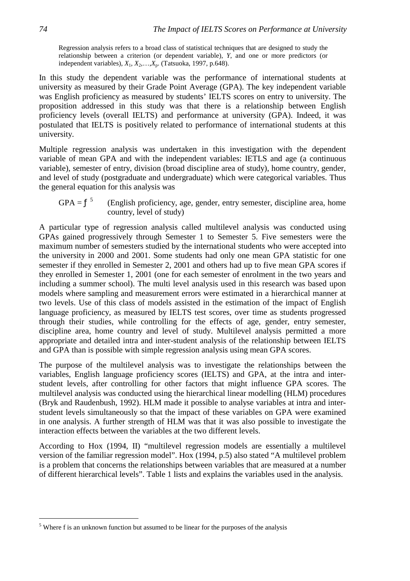Regression analysis refers to a broad class of statistical techniques that are designed to study the relationship between a criterion (or dependent variable), *Y*, and one or more predictors (or independent variables), *X*1, *X*2,…,*X*p. (Tatsuoka, 1997, p.648).

In this study the dependent variable was the performance of international students at university as measured by their Grade Point Average (GPA). The key independent variable was English proficiency as measured by students' IELTS scores on entry to university. The proposition addressed in this study was that there is a relationship between English proficiency levels (overall IELTS) and performance at university (GPA). Indeed, it was postulated that IELTS is positively related to performance of international students at this university.

Multiple regression analysis was undertaken in this investigation with the dependent variable of mean GPA and with the independent variables: IETLS and age (a continuous variable), semester of entry, division (broad discipline area of study), home country, gender, and level of study (postgraduate and undergraduate) which were categorical variables. Thus the general equation for this analysis was

$$
GPA = f5
$$
 (English proficiency, age, gender, entry semester, discipline area, home country, level of study)

A particular type of regression analysis called multilevel analysis was conducted using GPAs gained progressively through Semester 1 to Semester 5. Five semesters were the maximum number of semesters studied by the international students who were accepted into the university in 2000 and 2001. Some students had only one mean GPA statistic for one semester if they enrolled in Semester 2, 2001 and others had up to five mean GPA scores if they enrolled in Semester 1, 2001 (one for each semester of enrolment in the two years and including a summer school). The multi level analysis used in this research was based upon models where sampling and measurement errors were estimated in a hierarchical manner at two levels. Use of this class of models assisted in the estimation of the impact of English language proficiency, as measured by IELTS test scores, over time as students progressed through their studies, while controlling for the effects of age, gender, entry semester, discipline area, home country and level of study. Multilevel analysis permitted a more appropriate and detailed intra and inter-student analysis of the relationship between IELTS and GPA than is possible with simple regression analysis using mean GPA scores.

The purpose of the multilevel analysis was to investigate the relationships between the variables, English language proficiency scores (IELTS) and GPA, at the intra and interstudent levels, after controlling for other factors that might influence GPA scores. The multilevel analysis was conducted using the hierarchical linear modelling (HLM) procedures (Bryk and Raudenbush, 1992). HLM made it possible to analyse variables at intra and interstudent levels simultaneously so that the impact of these variables on GPA were examined in one analysis. A further strength of HLM was that it was also possible to investigate the interaction effects between the variables at the two different levels.

According to Hox (1994, II) "multilevel regression models are essentially a multilevel version of the familiar regression model". Hox (1994, p.5) also stated "A multilevel problem is a problem that concerns the relationships between variables that are measured at a number of different hierarchical levels". Table 1 lists and explains the variables used in the analysis.

 $\overline{a}$ 

<sup>&</sup>lt;sup>5</sup> Where f is an unknown function but assumed to be linear for the purposes of the analysis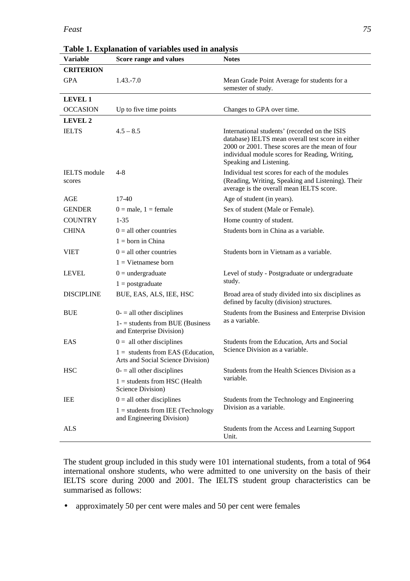### *Feast 75*

| Table 1. Explanation of variables used in analysis |                                                                          |                                                                                                                                                                                                                                    |  |  |  |  |
|----------------------------------------------------|--------------------------------------------------------------------------|------------------------------------------------------------------------------------------------------------------------------------------------------------------------------------------------------------------------------------|--|--|--|--|
| <b>Variable</b>                                    | Score range and values                                                   | <b>Notes</b>                                                                                                                                                                                                                       |  |  |  |  |
| <b>CRITERION</b>                                   |                                                                          |                                                                                                                                                                                                                                    |  |  |  |  |
| <b>GPA</b>                                         | $1.43 - 7.0$                                                             | Mean Grade Point Average for students for a<br>semester of study.                                                                                                                                                                  |  |  |  |  |
| <b>LEVEL 1</b>                                     |                                                                          |                                                                                                                                                                                                                                    |  |  |  |  |
| <b>OCCASION</b>                                    | Up to five time points                                                   | Changes to GPA over time.                                                                                                                                                                                                          |  |  |  |  |
| <b>LEVEL 2</b>                                     |                                                                          |                                                                                                                                                                                                                                    |  |  |  |  |
| <b>IELTS</b>                                       | $4.5 - 8.5$                                                              | International students' (recorded on the ISIS<br>database) IELTS mean overall test score in either<br>2000 or 2001. These scores are the mean of four<br>individual module scores for Reading, Writing,<br>Speaking and Listening. |  |  |  |  |
| <b>IELTS</b> module<br>scores                      | $4 - 8$                                                                  | Individual test scores for each of the modules<br>(Reading, Writing, Speaking and Listening). Their<br>average is the overall mean IELTS score.                                                                                    |  |  |  |  |
| <b>AGE</b>                                         | $17-40$                                                                  | Age of student (in years).                                                                                                                                                                                                         |  |  |  |  |
| <b>GENDER</b>                                      | $0 =$ male, $1 =$ female                                                 | Sex of student (Male or Female).                                                                                                                                                                                                   |  |  |  |  |
| <b>COUNTRY</b>                                     | $1 - 35$                                                                 | Home country of student.                                                                                                                                                                                                           |  |  |  |  |
| <b>CHINA</b>                                       | $0 =$ all other countries                                                | Students born in China as a variable.                                                                                                                                                                                              |  |  |  |  |
|                                                    | $1 =$ born in China                                                      |                                                                                                                                                                                                                                    |  |  |  |  |
| <b>VIET</b>                                        | $0 =$ all other countries                                                | Students born in Vietnam as a variable.                                                                                                                                                                                            |  |  |  |  |
|                                                    | $1 =$ Vietnamese born                                                    |                                                                                                                                                                                                                                    |  |  |  |  |
| <b>LEVEL</b>                                       | $0 =$ undergraduate                                                      | Level of study - Postgraduate or undergraduate                                                                                                                                                                                     |  |  |  |  |
|                                                    | $1 = postgraduate$                                                       | study.                                                                                                                                                                                                                             |  |  |  |  |
| <b>DISCIPLINE</b>                                  | BUE, EAS, ALS, IEE, HSC                                                  | Broad area of study divided into six disciplines as<br>defined by faculty (division) structures.                                                                                                                                   |  |  |  |  |
| <b>BUE</b>                                         | $0-$ = all other disciplines                                             | Students from the Business and Enterprise Division                                                                                                                                                                                 |  |  |  |  |
|                                                    | $1 -$ = students from BUE (Business<br>and Enterprise Division)          | as a variable.                                                                                                                                                                                                                     |  |  |  |  |
| EAS                                                | $0 =$ all other disciplines                                              | Students from the Education, Arts and Social                                                                                                                                                                                       |  |  |  |  |
|                                                    | $1 =$ students from EAS (Education,<br>Arts and Social Science Division) | Science Division as a variable.                                                                                                                                                                                                    |  |  |  |  |
| <b>HSC</b>                                         | $0 -$ = all other disciplines                                            | Students from the Health Sciences Division as a                                                                                                                                                                                    |  |  |  |  |
|                                                    | $1 =$ students from HSC (Health<br>Science Division)                     | variable.                                                                                                                                                                                                                          |  |  |  |  |
| IEE                                                | $0 =$ all other disciplines                                              | Students from the Technology and Engineering                                                                                                                                                                                       |  |  |  |  |
|                                                    | $1 =$ students from IEE (Technology<br>and Engineering Division)         | Division as a variable.                                                                                                                                                                                                            |  |  |  |  |
| ALS                                                |                                                                          | Students from the Access and Learning Support<br>Unit.                                                                                                                                                                             |  |  |  |  |

**Table 1. Explanation of variables used in analysis**

The student group included in this study were 101 international students, from a total of 964 international onshore students, who were admitted to one university on the basis of their IELTS score during 2000 and 2001. The IELTS student group characteristics can be summarised as follows:

• approximately 50 per cent were males and 50 per cent were females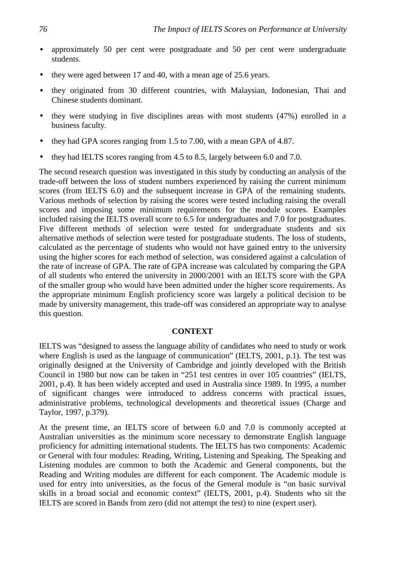- approximately 50 per cent were postgraduate and 50 per cent were undergraduate students.
- they were aged between 17 and 40, with a mean age of 25.6 years.
- they originated from 30 different countries, with Malaysian, Indonesian, Thai and Chinese students dominant.
- they were studying in five disciplines areas with most students (47%) enrolled in a business faculty.
- they had GPA scores ranging from 1.5 to 7.00, with a mean GPA of 4.87.
- they had IELTS scores ranging from 4.5 to 8.5, largely between 6.0 and 7.0.

The second research question was investigated in this study by conducting an analysis of the trade-off between the loss of student numbers experienced by raising the current minimum scores (from IELTS 6.0) and the subsequent increase in GPA of the remaining students. Various methods of selection by raising the scores were tested including raising the overall scores and imposing some minimum requirements for the module scores. Examples included raising the IELTS overall score to 6.5 for undergraduates and 7.0 for postgraduates. Five different methods of selection were tested for undergraduate students and six alternative methods of selection were tested for postgraduate students. The loss of students, calculated as the percentage of students who would not have gained entry to the university using the higher scores for each method of selection, was considered against a calculation of the rate of increase of GPA. The rate of GPA increase was calculated by comparing the GPA of all students who entered the university in 2000/2001 with an IELTS score with the GPA of the smaller group who would have been admitted under the higher score requirements. As the appropriate minimum English proficiency score was largely a political decision to be made by university management, this trade-off was considered an appropriate way to analyse this question.

## **CONTEXT**

IELTS was "designed to assess the language ability of candidates who need to study or work where English is used as the language of communication" (IELTS, 2001, p.1). The test was originally designed at the University of Cambridge and jointly developed with the British Council in 1980 but now can be taken in "251 test centres in over 105 countries" (IELTS, 2001, p.4). It has been widely accepted and used in Australia since 1989. In 1995, a number of significant changes were introduced to address concerns with practical issues, administrative problems, technological developments and theoretical issues (Charge and Taylor, 1997, p.379).

At the present time, an IELTS score of between 6.0 and 7.0 is commonly accepted at Australian universities as the minimum score necessary to demonstrate English language proficiency for admitting international students. The IELTS has two components: Academic or General with four modules: Reading, Writing, Listening and Speaking. The Speaking and Listening modules are common to both the Academic and General components, but the Reading and Writing modules are different for each component. The Academic module is used for entry into universities, as the focus of the General module is "on basic survival skills in a broad social and economic context" (IELTS, 2001, p.4). Students who sit the IELTS are scored in Bands from zero (did not attempt the test) to nine (expert user).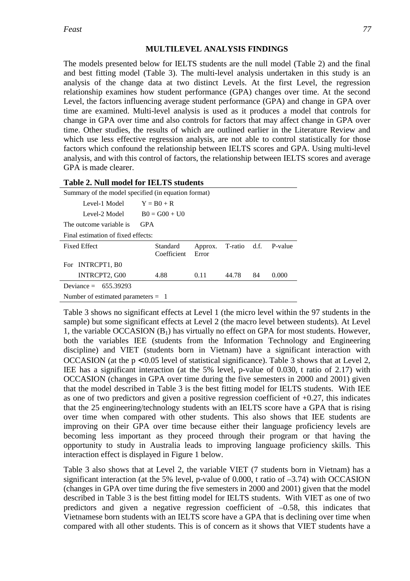## **MULTILEVEL ANALYSIS FINDINGS**

The models presented below for IELTS students are the null model (Table 2) and the final and best fitting model (Table 3). The multi-level analysis undertaken in this study is an analysis of the change data at two distinct Levels. At the first Level, the regression relationship examines how student performance (GPA) changes over time. At the second Level, the factors influencing average student performance (GPA) and change in GPA over time are examined. Multi-level analysis is used as it produces a model that controls for change in GPA over time and also controls for factors that may affect change in GPA over time. Other studies, the results of which are outlined earlier in the Literature Review and which use less effective regression analysis, are not able to control statistically for those factors which confound the relationship between IELTS scores and GPA. Using multi-level analysis, and with this control of factors, the relationship between IELTS scores and average GPA is made clearer.

|                                                     | Table 2. Null model for IELTS students |                  |              |    |         |  |  |  |
|-----------------------------------------------------|----------------------------------------|------------------|--------------|----|---------|--|--|--|
| Summary of the model specified (in equation format) |                                        |                  |              |    |         |  |  |  |
| Level-1 Model                                       | $Y = B0 + R$                           |                  |              |    |         |  |  |  |
| Level-2 Model                                       | $B0 = G00 + U0$                        |                  |              |    |         |  |  |  |
| The outcome variable is                             | <b>GPA</b>                             |                  |              |    |         |  |  |  |
| Final estimation of fixed effects:                  |                                        |                  |              |    |         |  |  |  |
| <b>Fixed Effect</b>                                 | Standard<br>Coefficient                | Approx.<br>Error | T-ratio d.f. |    | P-value |  |  |  |
| For INTRCPT1, B0                                    |                                        |                  |              |    |         |  |  |  |
| INTRCPT2, G00                                       | 4.88                                   | 0.11             | 44.78        | 84 | 0.000   |  |  |  |
| Deviance = $655.39293$                              |                                        |                  |              |    |         |  |  |  |
| Number of estimated parameters $= 1$                |                                        |                  |              |    |         |  |  |  |

Table 3 shows no significant effects at Level 1 (the micro level within the 97 students in the sample) but some significant effects at Level 2 (the macro level between students). At Level 1, the variable OCCASION  $(B_1)$  has virtually no effect on GPA for most students. However, both the variables IEE (students from the Information Technology and Engineering discipline) and VIET (students born in Vietnam) have a significant interaction with OCCASION (at the  $p < 0.05$  level of statistical significance). Table 3 shows that at Level 2, IEE has a significant interaction (at the 5% level, p-value of 0.030, t ratio of 2.17) with OCCASION (changes in GPA over time during the five semesters in 2000 and 2001) given that the model described in Table 3 is the best fitting model for IELTS students. With IEE as one of two predictors and given a positive regression coefficient of  $+0.27$ , this indicates that the 25 engineering/technology students with an IELTS score have a GPA that is rising over time when compared with other students. This also shows that IEE students are improving on their GPA over time because either their language proficiency levels are becoming less important as they proceed through their program or that having the opportunity to study in Australia leads to improving language proficiency skills. This interaction effect is displayed in Figure 1 below.

Table 3 also shows that at Level 2, the variable VIET (7 students born in Vietnam) has a significant interaction (at the 5% level, p-value of 0.000, t ratio of  $-3.74$ ) with OCCASION (changes in GPA over time during the five semesters in 2000 and 2001) given that the model described in Table 3 is the best fitting model for IELTS students. With VIET as one of two predictors and given a negative regression coefficient of  $-0.58$ , this indicates that Vietnamese born students with an IELTS score have a GPA that is declining over time when compared with all other students. This is of concern as it shows that VIET students have a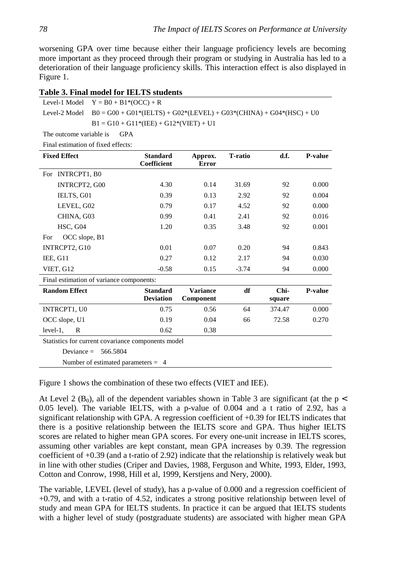worsening GPA over time because either their language proficiency levels are becoming more important as they proceed through their program or studying in Australia has led to a deterioration of their language proficiency skills. This interaction effect is also displayed in Figure 1.

|  | Table 3. Final model for IELTS students |  |  |
|--|-----------------------------------------|--|--|
|--|-----------------------------------------|--|--|

| Level-1 Model $Y = B0 + B1*(OCC) + R$                                               |
|-------------------------------------------------------------------------------------|
| Level-2 Model $B0 = G00 + G01*(IELTS) + G02*(LEVEL) + G03*(CHINA) + G04*(HSC) + U0$ |
| $B1 = G10 + G11*(IEE) + G12*(VIET) + U1$                                            |

The outcome variable is GPA

Final estimation of fixed effects:

| <b>Fixed Effect</b>                                | <b>Standard</b><br><b>Coefficient</b> | Approx.<br><b>Error</b>      | <b>T</b> -ratio | d.f.           | <b>P-value</b> |  |  |
|----------------------------------------------------|---------------------------------------|------------------------------|-----------------|----------------|----------------|--|--|
| INTRCPT1, B0<br>For -                              |                                       |                              |                 |                |                |  |  |
| INTRCPT2, G00                                      | 4.30                                  | 0.14                         | 31.69           | 92             | 0.000          |  |  |
| IELTS, G01                                         | 0.39                                  | 0.13                         | 2.92            | 92             | 0.004          |  |  |
| LEVEL, G02                                         | 0.79                                  | 0.17                         | 4.52            | 92             | 0.000          |  |  |
| CHINA, G03                                         | 0.99                                  | 0.41                         | 2.41            | 92             | 0.016          |  |  |
| HSC, G04                                           | 1.20                                  | 0.35                         | 3.48            | 92             | 0.001          |  |  |
| OCC slope, B1<br>For                               |                                       |                              |                 |                |                |  |  |
| INTRCPT2, G10                                      | 0.01                                  | 0.07                         | 0.20            | 94             | 0.843          |  |  |
| IEE, G11                                           | 0.27                                  | 0.12                         | 2.17            | 94             | 0.030          |  |  |
| VIET, G12                                          | $-0.58$                               | 0.15                         | $-3.74$         | 94             | 0.000          |  |  |
| Final estimation of variance components:           |                                       |                              |                 |                |                |  |  |
| <b>Random Effect</b>                               | <b>Standard</b><br><b>Deviation</b>   | <b>Variance</b><br>Component | df              | Chi-<br>square | P-value        |  |  |
| INTRCPT1, U0                                       | 0.75                                  | 0.56                         | 64              | 374.47         | 0.000          |  |  |
| OCC slope, U1                                      | 0.19                                  | 0.04                         | 66              | 72.58          | 0.270          |  |  |
| $level-1$ ,<br>R                                   | 0.62                                  | 0.38                         |                 |                |                |  |  |
| Statistics for current covariance components model |                                       |                              |                 |                |                |  |  |
| Deviance $=$<br>566.5804                           |                                       |                              |                 |                |                |  |  |
| Number of estimated parameters $= 4$               |                                       |                              |                 |                |                |  |  |

Figure 1 shows the combination of these two effects (VIET and IEE).

At Level 2 ( $B_0$ ), all of the dependent variables shown in Table 3 are significant (at the p < 0.05 level). The variable IELTS, with a p-value of 0.004 and a t ratio of 2.92, has a significant relationship with GPA. A regression coefficient of +0.39 for IELTS indicates that there is a positive relationship between the IELTS score and GPA. Thus higher IELTS scores are related to higher mean GPA scores. For every one-unit increase in IELTS scores, assuming other variables are kept constant, mean GPA increases by 0.39. The regression coefficient of +0.39 (and a t-ratio of 2.92) indicate that the relationship is relatively weak but in line with other studies (Criper and Davies, 1988, Ferguson and White, 1993, Elder, 1993, Cotton and Conrow, 1998, Hill et al, 1999, Kerstjens and Nery, 2000).

The variable, LEVEL (level of study), has a p-value of 0.000 and a regression coefficient of +0.79, and with a t-ratio of 4.52, indicates a strong positive relationship between level of study and mean GPA for IELTS students. In practice it can be argued that IELTS students with a higher level of study (postgraduate students) are associated with higher mean GPA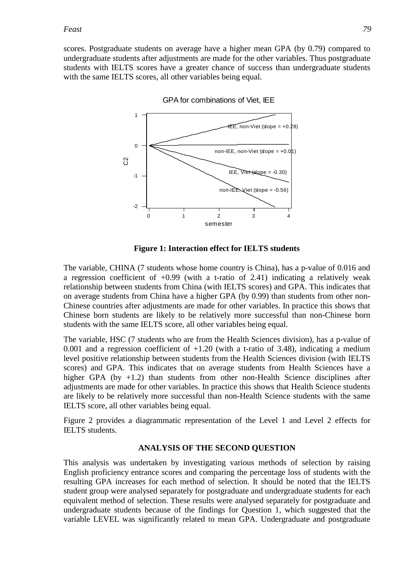scores. Postgraduate students on average have a higher mean GPA (by 0.79) compared to undergraduate students after adjustments are made for the other variables. Thus postgraduate students with IELTS scores have a greater chance of success than undergraduate students with the same IELTS scores, all other variables being equal.



GPA for combinations of Viet, IEE

**Figure 1: Interaction effect for IELTS students**

The variable, CHINA (7 students whose home country is China), has a p-value of 0.016 and a regression coefficient of  $+0.99$  (with a t-ratio of 2.41) indicating a relatively weak relationship between students from China (with IELTS scores) and GPA. This indicates that on average students from China have a higher GPA (by 0.99) than students from other non-Chinese countries after adjustments are made for other variables. In practice this shows that Chinese born students are likely to be relatively more successful than non-Chinese born students with the same IELTS score, all other variables being equal.

The variable, HSC (7 students who are from the Health Sciences division), has a p-value of 0.001 and a regression coefficient of  $+1.20$  (with a t-ratio of 3.48), indicating a medium level positive relationship between students from the Health Sciences division (with IELTS scores) and GPA. This indicates that on average students from Health Sciences have a higher GPA (by  $+1.2$ ) than students from other non-Health Science disciplines after adjustments are made for other variables. In practice this shows that Health Science students are likely to be relatively more successful than non-Health Science students with the same IELTS score, all other variables being equal.

Figure 2 provides a diagrammatic representation of the Level 1 and Level 2 effects for IELTS students.

### **ANALYSIS OF THE SECOND QUESTION**

This analysis was undertaken by investigating various methods of selection by raising English proficiency entrance scores and comparing the percentage loss of students with the resulting GPA increases for each method of selection. It should be noted that the IELTS student group were analysed separately for postgraduate and undergraduate students for each equivalent method of selection. These results were analysed separately for postgraduate and undergraduate students because of the findings for Question 1, which suggested that the variable LEVEL was significantly related to mean GPA. Undergraduate and postgraduate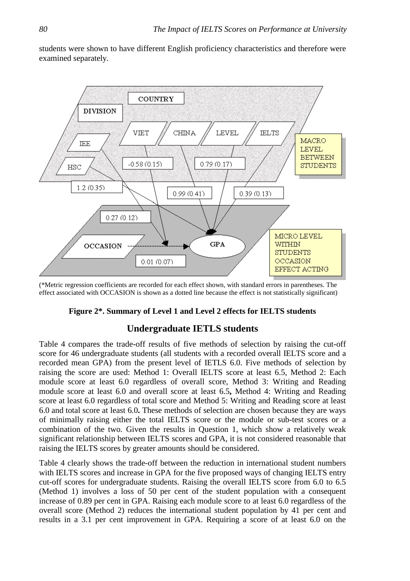students were shown to have different English proficiency characteristics and therefore were examined separately.



(\*Metric regression coefficients are recorded for each effect shown, with standard errors in parentheses. The effect associated with OCCASION is shown as a dotted line because the effect is not statistically significant)

## **Figure 2\*. Summary of Level 1 and Level 2 effects for IELTS students**

# **Undergraduate IETLS students**

Table 4 compares the trade-off results of five methods of selection by raising the cut-off score for 46 undergraduate students (all students with a recorded overall IELTS score and a recorded mean GPA) from the present level of IETLS 6.0. Five methods of selection by raising the score are used: Method 1: Overall IELTS score at least 6.5, Method 2: Each module score at least 6.0 regardless of overall score, Method 3: Writing and Reading module score at least 6.0 and overall score at least 6.5**,** Method 4: Writing and Reading score at least 6.0 regardless of total score and Method 5: Writing and Reading score at least 6.0 and total score at least 6.0**.** These methods of selection are chosen because they are ways of minimally raising either the total IELTS score or the module or sub-test scores or a combination of the two. Given the results in Question 1, which show a relatively weak significant relationship between IELTS scores and GPA, it is not considered reasonable that raising the IELTS scores by greater amounts should be considered.

Table 4 clearly shows the trade-off between the reduction in international student numbers with IELTS scores and increase in GPA for the five proposed ways of changing IELTS entry cut-off scores for undergraduate students. Raising the overall IELTS score from 6.0 to 6.5 (Method 1) involves a loss of 50 per cent of the student population with a consequent increase of 0.89 per cent in GPA. Raising each module score to at least 6.0 regardless of the overall score (Method 2) reduces the international student population by 41 per cent and results in a 3.1 per cent improvement in GPA. Requiring a score of at least 6.0 on the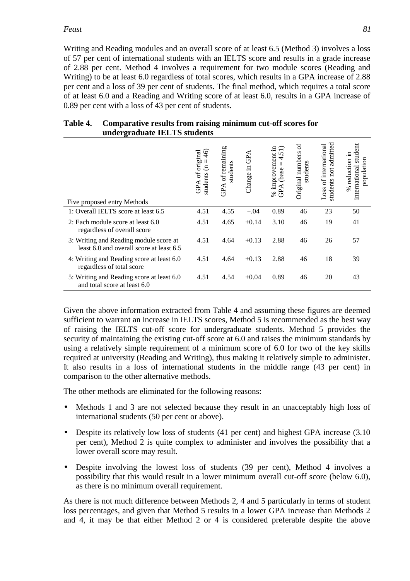### *Feast 81*

Writing and Reading modules and an overall score of at least 6.5 (Method 3) involves a loss of 57 per cent of international students with an IELTS score and results in a grade increase of 2.88 per cent. Method 4 involves a requirement for two module scores (Reading and Writing) to be at least 6.0 regardless of total scores, which results in a GPA increase of 2.88 per cent and a loss of 39 per cent of students. The final method, which requires a total score of at least 6.0 and a Reading and Writing score of at least 6.0, results in a GPA increase of 0.89 per cent with a loss of 43 per cent of students.

| Table 4. Comparative results from raising minimum cut-off scores for |
|----------------------------------------------------------------------|
| undergraduate IELTS students                                         |

| Five proposed entry Methods                                                        | $\widetilde{\mathcal{L}}$<br>GPA of original<br>$\epsilon$<br>students | of remaining<br>students<br>GPA | GPA<br>щ.<br>Change: | .日<br>4.5<br>improvement<br>П<br>(base<br>GPA<br>Se | $\sigma$<br>Original numbers<br>students | students not admitted<br>Loss of international | student<br>% reduction in<br>population<br>international |
|------------------------------------------------------------------------------------|------------------------------------------------------------------------|---------------------------------|----------------------|-----------------------------------------------------|------------------------------------------|------------------------------------------------|----------------------------------------------------------|
| 1: Overall IELTS score at least 6.5                                                | 4.51                                                                   | 4.55                            | $+.04$               | 0.89                                                | 46                                       | 23                                             | 50                                                       |
| 2: Each module score at least 6.0<br>regardless of overall score                   | 4.51                                                                   | 4.65                            | $+0.14$              | 3.10                                                | 46                                       | 19                                             | 41                                                       |
| 3: Writing and Reading module score at<br>least 6.0 and overall score at least 6.5 | 4.51                                                                   | 4.64                            | $+0.13$              | 2.88                                                | 46                                       | 26                                             | 57                                                       |
| 4: Writing and Reading score at least 6.0<br>regardless of total score             | 4.51                                                                   | 4.64                            | $+0.13$              | 2.88                                                | 46                                       | 18                                             | 39                                                       |
| 5: Writing and Reading score at least 6.0<br>and total score at least 6.0          | 4.51                                                                   | 4.54                            | $+0.04$              | 0.89                                                | 46                                       | 20                                             | 43                                                       |

Given the above information extracted from Table 4 and assuming these figures are deemed sufficient to warrant an increase in IELTS scores, Method 5 is recommended as the best way of raising the IELTS cut-off score for undergraduate students. Method 5 provides the security of maintaining the existing cut-off score at 6.0 and raises the minimum standards by using a relatively simple requirement of a minimum score of 6.0 for two of the key skills required at university (Reading and Writing), thus making it relatively simple to administer. It also results in a loss of international students in the middle range (43 per cent) in comparison to the other alternative methods.

The other methods are eliminated for the following reasons:

- Methods 1 and 3 are not selected because they result in an unacceptably high loss of international students (50 per cent or above).
- Despite its relatively low loss of students (41 per cent) and highest GPA increase (3.10 per cent), Method 2 is quite complex to administer and involves the possibility that a lower overall score may result.
- Despite involving the lowest loss of students (39 per cent), Method 4 involves a possibility that this would result in a lower minimum overall cut-off score (below 6.0), as there is no minimum overall requirement.

As there is not much difference between Methods 2, 4 and 5 particularly in terms of student loss percentages, and given that Method 5 results in a lower GPA increase than Methods 2 and 4, it may be that either Method 2 or 4 is considered preferable despite the above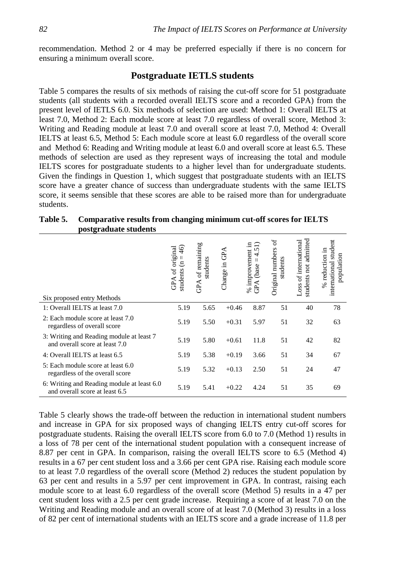recommendation. Method 2 or 4 may be preferred especially if there is no concern for ensuring a minimum overall score.

## **Postgraduate IETLS students**

Table 5 compares the results of six methods of raising the cut-off score for 51 postgraduate students (all students with a recorded overall IELTS score and a recorded GPA) from the present level of IETLS 6.0. Six methods of selection are used: Method 1: Overall IELTS at least 7.0, Method 2: Each module score at least 7.0 regardless of overall score, Method 3: Writing and Reading module at least 7.0 and overall score at least 7.0, Method 4: Overall IELTS at least 6.5, Method 5: Each module score at least 6.0 regardless of the overall score and Method 6: Reading and Writing module at least 6.0 and overall score at least 6.5. These methods of selection are used as they represent ways of increasing the total and module IELTS scores for postgraduate students to a higher level than for undergraduate students. Given the findings in Question 1, which suggest that postgraduate students with an IELTS score have a greater chance of success than undergraduate students with the same IELTS score, it seems sensible that these scores are able to be raised more than for undergraduate students.

| Table 5. | Comparative results from changing minimum cut-off scores for IELTS |  |
|----------|--------------------------------------------------------------------|--|
|          | postgraduate students                                              |  |

| Six proposed entry Methods                                                   | original<br>$\widetilde{46}$<br>$\epsilon$<br>GPA of<br>students | of remaining<br>students<br>GPA | GPA<br>Change in | % improvement in<br>$=4.51$<br>(base<br>GPA | ЪÇ<br>Original numbers<br>students | admitted<br>Loss of international<br>students not | student<br>$%$ reduction in<br>population<br>international |
|------------------------------------------------------------------------------|------------------------------------------------------------------|---------------------------------|------------------|---------------------------------------------|------------------------------------|---------------------------------------------------|------------------------------------------------------------|
| 1: Overall IELTS at least 7.0                                                | 5.19                                                             | 5.65                            | $+0.46$          | 8.87                                        | 51                                 | 40                                                | 78                                                         |
| 2: Each module score at least 7.0<br>regardless of overall score             | 5.19                                                             | 5.50                            | $+0.31$          | 5.97                                        | 51                                 | 32                                                | 63                                                         |
| 3: Writing and Reading module at least 7<br>and overall score at least 7.0   | 5.19                                                             | 5.80                            | $+0.61$          | 11.8                                        | 51                                 | 42                                                | 82                                                         |
| 4: Overall IELTS at least 6.5                                                | 5.19                                                             | 5.38                            | $+0.19$          | 3.66                                        | 51                                 | 34                                                | 67                                                         |
| 5: Each module score at least 6.0<br>regardless of the overall score         | 5.19                                                             | 5.32                            | $+0.13$          | 2.50                                        | 51                                 | 24                                                | 47                                                         |
| 6: Writing and Reading module at least 6.0<br>and overall score at least 6.5 | 5.19                                                             | 5.41                            | $+0.22$          | 4.24                                        | 51                                 | 35                                                | 69                                                         |

Table 5 clearly shows the trade-off between the reduction in international student numbers and increase in GPA for six proposed ways of changing IELTS entry cut-off scores for postgraduate students. Raising the overall IELTS score from 6.0 to 7.0 (Method 1) results in a loss of 78 per cent of the international student population with a consequent increase of 8.87 per cent in GPA. In comparison, raising the overall IELTS score to 6.5 (Method 4) results in a 67 per cent student loss and a 3.66 per cent GPA rise. Raising each module score to at least 7.0 regardless of the overall score (Method 2) reduces the student population by 63 per cent and results in a 5.97 per cent improvement in GPA. In contrast, raising each module score to at least 6.0 regardless of the overall score (Method 5) results in a 47 per cent student loss with a 2.5 per cent grade increase. Requiring a score of at least 7.0 on the Writing and Reading module and an overall score of at least 7.0 (Method 3) results in a loss of 82 per cent of international students with an IELTS score and a grade increase of 11.8 per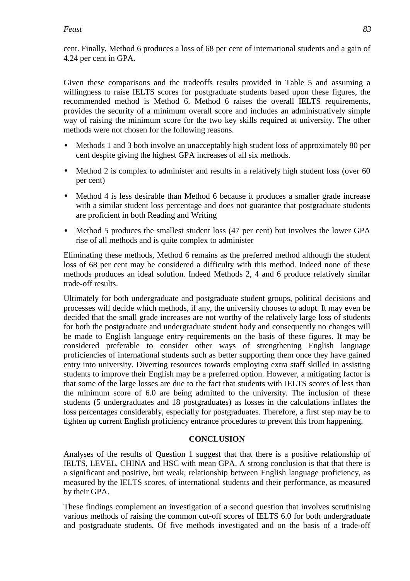cent. Finally, Method 6 produces a loss of 68 per cent of international students and a gain of 4.24 per cent in GPA.

Given these comparisons and the tradeoffs results provided in Table 5 and assuming a willingness to raise IELTS scores for postgraduate students based upon these figures, the recommended method is Method 6. Method 6 raises the overall IELTS requirements, provides the security of a minimum overall score and includes an administratively simple way of raising the minimum score for the two key skills required at university. The other methods were not chosen for the following reasons.

- Methods 1 and 3 both involve an unacceptably high student loss of approximately 80 per cent despite giving the highest GPA increases of all six methods.
- Method 2 is complex to administer and results in a relatively high student loss (over 60) per cent)
- Method 4 is less desirable than Method 6 because it produces a smaller grade increase with a similar student loss percentage and does not guarantee that postgraduate students are proficient in both Reading and Writing
- Method 5 produces the smallest student loss (47 per cent) but involves the lower GPA rise of all methods and is quite complex to administer

Eliminating these methods, Method 6 remains as the preferred method although the student loss of 68 per cent may be considered a difficulty with this method. Indeed none of these methods produces an ideal solution. Indeed Methods 2, 4 and 6 produce relatively similar trade-off results.

Ultimately for both undergraduate and postgraduate student groups, political decisions and processes will decide which methods, if any, the university chooses to adopt. It may even be decided that the small grade increases are not worthy of the relatively large loss of students for both the postgraduate and undergraduate student body and consequently no changes will be made to English language entry requirements on the basis of these figures. It may be considered preferable to consider other ways of strengthening English language proficiencies of international students such as better supporting them once they have gained entry into university. Diverting resources towards employing extra staff skilled in assisting students to improve their English may be a preferred option. However, a mitigating factor is that some of the large losses are due to the fact that students with IELTS scores of less than the minimum score of 6.0 are being admitted to the university. The inclusion of these students (5 undergraduates and 18 postgraduates) as losses in the calculations inflates the loss percentages considerably, especially for postgraduates. Therefore, a first step may be to tighten up current English proficiency entrance procedures to prevent this from happening.

## **CONCLUSION**

Analyses of the results of Question 1 suggest that that there is a positive relationship of IELTS, LEVEL, CHINA and HSC with mean GPA. A strong conclusion is that that there is a significant and positive, but weak, relationship between English language proficiency, as measured by the IELTS scores, of international students and their performance, as measured by their GPA.

These findings complement an investigation of a second question that involves scrutinising various methods of raising the common cut-off scores of IELTS 6.0 for both undergraduate and postgraduate students. Of five methods investigated and on the basis of a trade-off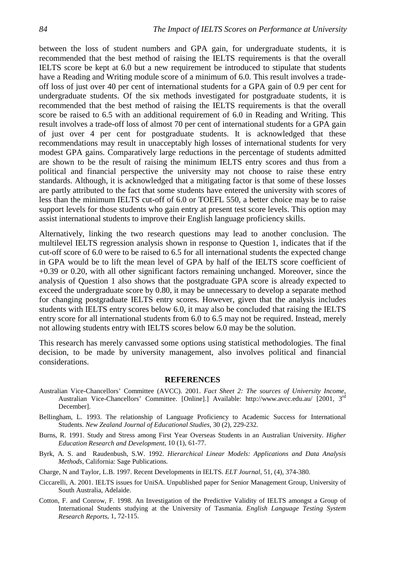between the loss of student numbers and GPA gain, for undergraduate students, it is recommended that the best method of raising the IELTS requirements is that the overall IELTS score be kept at 6.0 but a new requirement be introduced to stipulate that students have a Reading and Writing module score of a minimum of 6.0. This result involves a tradeoff loss of just over 40 per cent of international students for a GPA gain of 0.9 per cent for undergraduate students. Of the six methods investigated for postgraduate students, it is recommended that the best method of raising the IELTS requirements is that the overall score be raised to 6.5 with an additional requirement of 6.0 in Reading and Writing. This result involves a trade-off loss of almost 70 per cent of international students for a GPA gain of just over 4 per cent for postgraduate students. It is acknowledged that these recommendations may result in unacceptably high losses of international students for very modest GPA gains. Comparatively large reductions in the percentage of students admitted are shown to be the result of raising the minimum IELTS entry scores and thus from a political and financial perspective the university may not choose to raise these entry standards. Although, it is acknowledged that a mitigating factor is that some of these losses are partly attributed to the fact that some students have entered the university with scores of less than the minimum IELTS cut-off of 6.0 or TOEFL 550, a better choice may be to raise support levels for those students who gain entry at present test score levels. This option may assist international students to improve their English language proficiency skills.

Alternatively, linking the two research questions may lead to another conclusion. The multilevel IELTS regression analysis shown in response to Question 1, indicates that if the cut-off score of 6.0 were to be raised to 6.5 for all international students the expected change in GPA would be to lift the mean level of GPA by half of the IELTS score coefficient of +0.39 or 0.20, with all other significant factors remaining unchanged. Moreover, since the analysis of Question 1 also shows that the postgraduate GPA score is already expected to exceed the undergraduate score by 0.80, it may be unnecessary to develop a separate method for changing postgraduate IELTS entry scores. However, given that the analysis includes students with IELTS entry scores below 6.0, it may also be concluded that raising the IELTS entry score for all international students from 6.0 to 6.5 may not be required. Instead, merely not allowing students entry with IELTS scores below 6.0 may be the solution.

This research has merely canvassed some options using statistical methodologies. The final decision, to be made by university management, also involves political and financial considerations.

#### **REFERENCES**

- Australian Vice-Chancellors' Committee (AVCC). 2001. *Fact Sheet 2: The sources of University Income,* Australian Vice-Chancellors' Committee. [Online].] Available: http://www.avcc.edu.au/ [2001, 3<sup>rd</sup> December].
- Bellingham, L. 1993. The relationship of Language Proficiency to Academic Success for International Students. *New Zealand Journal of Educational Studies*, 30 (2), 229-232.
- Burns, R. 1991. Study and Stress among First Year Overseas Students in an Australian University. *Higher Education Research and Development*, 10 (1), 61-77.
- Byrk, A. S. and Raudenbush, S.W. 1992. *Hierarchical Linear Models: Applications and Data Analysis Methods*, California: Sage Publications.
- Charge, N and Taylor, L.B. 1997. Recent Developments in IELTS. *ELT Journal*, 51, (4), 374-380.
- Ciccarelli, A. 2001. IELTS issues for UniSA. Unpublished paper for Senior Management Group, University of South Australia, Adelaide.
- Cotton, F. and Conrow, F. 1998. An Investigation of the Predictive Validity of IELTS amongst a Group of International Students studying at the University of Tasmania. *English Language Testing System Research Reports*, 1, 72-115.